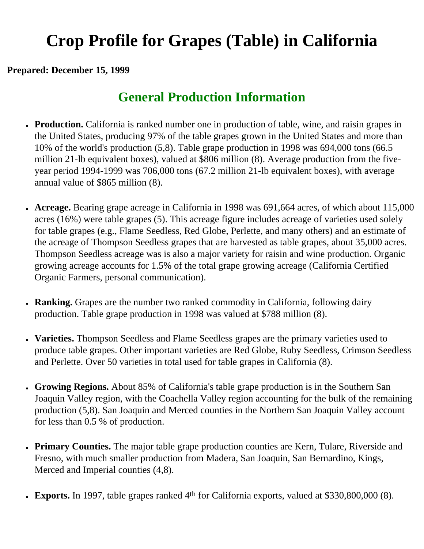# **Crop Profile for Grapes (Table) in California**

#### **Prepared: December 15, 1999**

## **General Production Information**

- **Production.** California is ranked number one in production of table, wine, and raisin grapes in the United States, producing 97% of the table grapes grown in the United States and more than 10% of the world's production (5,8). Table grape production in 1998 was 694,000 tons (66.5 million 21-lb equivalent boxes), valued at \$806 million (8). Average production from the fiveyear period 1994-1999 was 706,000 tons (67.2 million 21-lb equivalent boxes), with average annual value of \$865 million (8).
- Acreage. Bearing grape acreage in California in 1998 was 691,664 acres, of which about 115,000 acres (16%) were table grapes (5). This acreage figure includes acreage of varieties used solely for table grapes (e.g., Flame Seedless, Red Globe, Perlette, and many others) and an estimate of the acreage of Thompson Seedless grapes that are harvested as table grapes, about 35,000 acres. Thompson Seedless acreage was is also a major variety for raisin and wine production. Organic growing acreage accounts for 1.5% of the total grape growing acreage (California Certified Organic Farmers, personal communication).
- **Ranking.** Grapes are the number two ranked commodity in California, following dairy production. Table grape production in 1998 was valued at \$788 million (8).
- **Varieties.** Thompson Seedless and Flame Seedless grapes are the primary varieties used to produce table grapes. Other important varieties are Red Globe, Ruby Seedless, Crimson Seedless and Perlette. Over 50 varieties in total used for table grapes in California (8).
- **Growing Regions.** About 85% of California's table grape production is in the Southern San Joaquin Valley region, with the Coachella Valley region accounting for the bulk of the remaining production (5,8). San Joaquin and Merced counties in the Northern San Joaquin Valley account for less than 0.5 % of production.
- Primary Counties. The major table grape production counties are Kern, Tulare, Riverside and Fresno, with much smaller production from Madera, San Joaquin, San Bernardino, Kings, Merced and Imperial counties (4,8).
- **Exports.** In 1997, table grapes ranked 4<sup>th</sup> for California exports, valued at \$330,800,000 (8).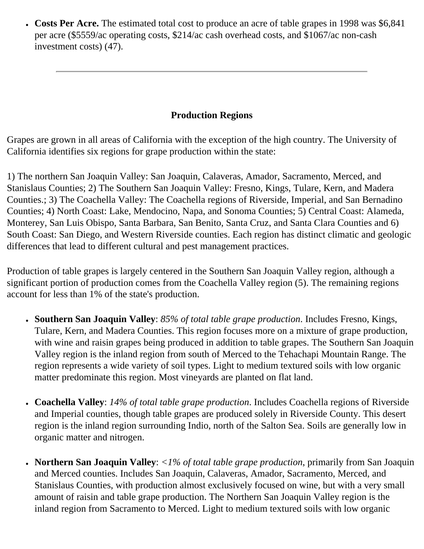• **Costs Per Acre.** The estimated total cost to produce an acre of table grapes in 1998 was \$6,841 per acre (\$5559/ac operating costs, \$214/ac cash overhead costs, and \$1067/ac non-cash investment costs) (47).

### **Production Regions**

Grapes are grown in all areas of California with the exception of the high country. The University of California identifies six regions for grape production within the state:

1) The northern San Joaquin Valley: San Joaquin, Calaveras, Amador, Sacramento, Merced, and Stanislaus Counties; 2) The Southern San Joaquin Valley: Fresno, Kings, Tulare, Kern, and Madera Counties.; 3) The Coachella Valley: The Coachella regions of Riverside, Imperial, and San Bernadino Counties; 4) North Coast: Lake, Mendocino, Napa, and Sonoma Counties; 5) Central Coast: Alameda, Monterey, San Luis Obispo, Santa Barbara, San Benito, Santa Cruz, and Santa Clara Counties and 6) South Coast: San Diego, and Western Riverside counties. Each region has distinct climatic and geologic differences that lead to different cultural and pest management practices.

Production of table grapes is largely centered in the Southern San Joaquin Valley region, although a significant portion of production comes from the Coachella Valley region (5). The remaining regions account for less than 1% of the state's production.

- **Southern San Joaquin Valley**: *85% of total table grape production*. Includes Fresno, Kings, Tulare, Kern, and Madera Counties. This region focuses more on a mixture of grape production, with wine and raisin grapes being produced in addition to table grapes. The Southern San Joaquin Valley region is the inland region from south of Merced to the Tehachapi Mountain Range. The region represents a wide variety of soil types. Light to medium textured soils with low organic matter predominate this region. Most vineyards are planted on flat land.
- **Coachella Valley**: *14% of total table grape production*. Includes Coachella regions of Riverside and Imperial counties, though table grapes are produced solely in Riverside County. This desert region is the inland region surrounding Indio, north of the Salton Sea. Soils are generally low in organic matter and nitrogen.
- **Northern San Joaquin Valley**: *<1% of total table grape production*, primarily from San Joaquin and Merced counties. Includes San Joaquin, Calaveras, Amador, Sacramento, Merced, and Stanislaus Counties, with production almost exclusively focused on wine, but with a very small amount of raisin and table grape production. The Northern San Joaquin Valley region is the inland region from Sacramento to Merced. Light to medium textured soils with low organic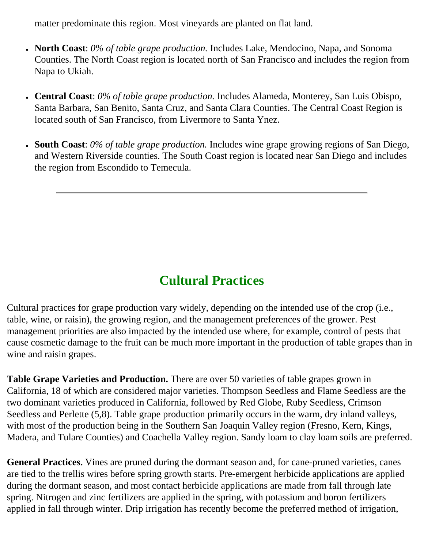matter predominate this region. Most vineyards are planted on flat land.

- **North Coast**: *0% of table grape production.* Includes Lake, Mendocino, Napa, and Sonoma Counties. The North Coast region is located north of San Francisco and includes the region from Napa to Ukiah.
- **Central Coast**: *0% of table grape production.* Includes Alameda, Monterey, San Luis Obispo, Santa Barbara, San Benito, Santa Cruz, and Santa Clara Counties. The Central Coast Region is located south of San Francisco, from Livermore to Santa Ynez.
- **South Coast**: 0% of table grape production. Includes wine grape growing regions of San Diego, and Western Riverside counties. The South Coast region is located near San Diego and includes the region from Escondido to Temecula.

## **Cultural Practices**

Cultural practices for grape production vary widely, depending on the intended use of the crop (i.e., table, wine, or raisin), the growing region, and the management preferences of the grower. Pest management priorities are also impacted by the intended use where, for example, control of pests that cause cosmetic damage to the fruit can be much more important in the production of table grapes than in wine and raisin grapes.

**Table Grape Varieties and Production.** There are over 50 varieties of table grapes grown in California, 18 of which are considered major varieties. Thompson Seedless and Flame Seedless are the two dominant varieties produced in California, followed by Red Globe, Ruby Seedless, Crimson Seedless and Perlette (5,8). Table grape production primarily occurs in the warm, dry inland valleys, with most of the production being in the Southern San Joaquin Valley region (Fresno, Kern, Kings, Madera, and Tulare Counties) and Coachella Valley region. Sandy loam to clay loam soils are preferred.

**General Practices.** Vines are pruned during the dormant season and, for cane-pruned varieties, canes are tied to the trellis wires before spring growth starts. Pre-emergent herbicide applications are applied during the dormant season, and most contact herbicide applications are made from fall through late spring. Nitrogen and zinc fertilizers are applied in the spring, with potassium and boron fertilizers applied in fall through winter. Drip irrigation has recently become the preferred method of irrigation,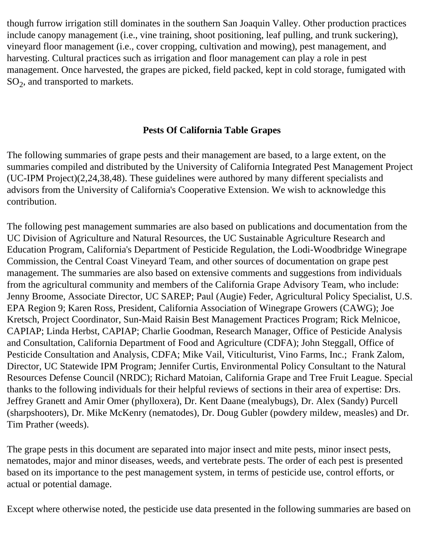though furrow irrigation still dominates in the southern San Joaquin Valley. Other production practices include canopy management (i.e., vine training, shoot positioning, leaf pulling, and trunk suckering), vineyard floor management (i.e., cover cropping, cultivation and mowing), pest management, and harvesting. Cultural practices such as irrigation and floor management can play a role in pest management. Once harvested, the grapes are picked, field packed, kept in cold storage, fumigated with  $SO<sub>2</sub>$ , and transported to markets.

## **Pests Of California Table Grapes**

The following summaries of grape pests and their management are based, to a large extent, on the summaries compiled and distributed by the University of California Integrated Pest Management Project (UC-IPM Project)(2,24,38,48). These guidelines were authored by many different specialists and advisors from the University of California's Cooperative Extension. We wish to acknowledge this contribution.

The following pest management summaries are also based on publications and documentation from the UC Division of Agriculture and Natural Resources, the UC Sustainable Agriculture Research and Education Program, California's Department of Pesticide Regulation, the Lodi-Woodbridge Winegrape Commission, the Central Coast Vineyard Team, and other sources of documentation on grape pest management. The summaries are also based on extensive comments and suggestions from individuals from the agricultural community and members of the California Grape Advisory Team, who include: Jenny Broome, Associate Director, UC SAREP; Paul (Augie) Feder, Agricultural Policy Specialist, U.S. EPA Region 9; Karen Ross, President, California Association of Winegrape Growers (CAWG); Joe Kretsch, Project Coordinator, Sun-Maid Raisin Best Management Practices Program; Rick Melnicoe, CAPIAP; Linda Herbst, CAPIAP; Charlie Goodman, Research Manager, Office of Pesticide Analysis and Consultation, California Department of Food and Agriculture (CDFA); John Steggall, Office of Pesticide Consultation and Analysis, CDFA; Mike Vail, Viticulturist, Vino Farms, Inc.; Frank Zalom, Director, UC Statewide IPM Program; Jennifer Curtis, Environmental Policy Consultant to the Natural Resources Defense Council (NRDC); Richard Matoian, California Grape and Tree Fruit League. Special thanks to the following individuals for their helpful reviews of sections in their area of expertise: Drs. Jeffrey Granett and Amir Omer (phylloxera), Dr. Kent Daane (mealybugs), Dr. Alex (Sandy) Purcell (sharpshooters), Dr. Mike McKenry (nematodes), Dr. Doug Gubler (powdery mildew, measles) and Dr. Tim Prather (weeds).

The grape pests in this document are separated into major insect and mite pests, minor insect pests, nematodes, major and minor diseases, weeds, and vertebrate pests. The order of each pest is presented based on its importance to the pest management system, in terms of pesticide use, control efforts, or actual or potential damage.

Except where otherwise noted, the pesticide use data presented in the following summaries are based on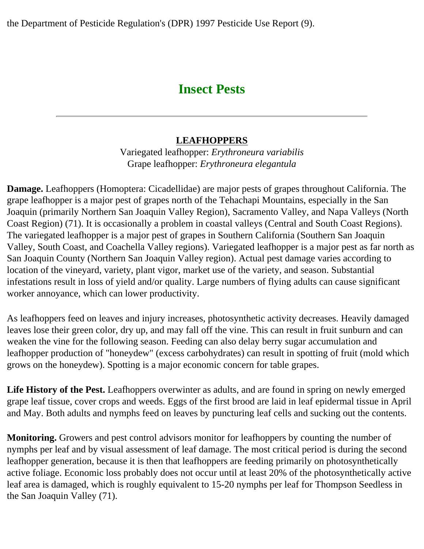the Department of Pesticide Regulation's (DPR) 1997 Pesticide Use Report (9).

## **Insect Pests**

## **LEAFHOPPERS**

Variegated leafhopper: *Erythroneura variabilis* Grape leafhopper: *Erythroneura elegantula*

**Damage.** Leafhoppers (Homoptera: Cicadellidae) are major pests of grapes throughout California. The grape leafhopper is a major pest of grapes north of the Tehachapi Mountains, especially in the San Joaquin (primarily Northern San Joaquin Valley Region), Sacramento Valley, and Napa Valleys (North Coast Region) (71). It is occasionally a problem in coastal valleys (Central and South Coast Regions). The variegated leafhopper is a major pest of grapes in Southern California (Southern San Joaquin Valley, South Coast, and Coachella Valley regions). Variegated leafhopper is a major pest as far north as San Joaquin County (Northern San Joaquin Valley region). Actual pest damage varies according to location of the vineyard, variety, plant vigor, market use of the variety, and season. Substantial infestations result in loss of yield and/or quality. Large numbers of flying adults can cause significant worker annoyance, which can lower productivity.

As leafhoppers feed on leaves and injury increases, photosynthetic activity decreases. Heavily damaged leaves lose their green color, dry up, and may fall off the vine. This can result in fruit sunburn and can weaken the vine for the following season. Feeding can also delay berry sugar accumulation and leafhopper production of "honeydew" (excess carbohydrates) can result in spotting of fruit (mold which grows on the honeydew). Spotting is a major economic concern for table grapes.

**Life History of the Pest.** Leafhoppers overwinter as adults, and are found in spring on newly emerged grape leaf tissue, cover crops and weeds. Eggs of the first brood are laid in leaf epidermal tissue in April and May. Both adults and nymphs feed on leaves by puncturing leaf cells and sucking out the contents.

**Monitoring.** Growers and pest control advisors monitor for leafhoppers by counting the number of nymphs per leaf and by visual assessment of leaf damage. The most critical period is during the second leafhopper generation, because it is then that leafhoppers are feeding primarily on photosynthetically active foliage. Economic loss probably does not occur until at least 20% of the photosynthetically active leaf area is damaged, which is roughly equivalent to 15-20 nymphs per leaf for Thompson Seedless in the San Joaquin Valley (71).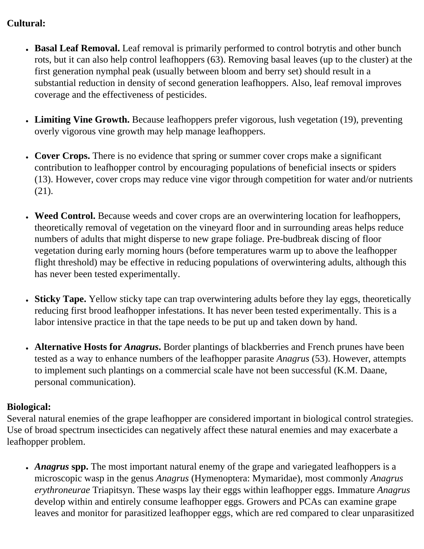## **Cultural:**

- Basal Leaf Removal. Leaf removal is primarily performed to control botrytis and other bunch rots, but it can also help control leafhoppers (63). Removing basal leaves (up to the cluster) at the first generation nymphal peak (usually between bloom and berry set) should result in a substantial reduction in density of second generation leafhoppers. Also, leaf removal improves coverage and the effectiveness of pesticides.
- **Limiting Vine Growth.** Because leafhoppers prefer vigorous, lush vegetation (19), preventing overly vigorous vine growth may help manage leafhoppers.
- Cover Crops. There is no evidence that spring or summer cover crops make a significant contribution to leafhopper control by encouraging populations of beneficial insects or spiders (13). However, cover crops may reduce vine vigor through competition for water and/or nutrients (21).
- Weed Control. Because weeds and cover crops are an overwintering location for leafhoppers, theoretically removal of vegetation on the vineyard floor and in surrounding areas helps reduce numbers of adults that might disperse to new grape foliage. Pre-budbreak discing of floor vegetation during early morning hours (before temperatures warm up to above the leafhopper flight threshold) may be effective in reducing populations of overwintering adults, although this has never been tested experimentally.
- Sticky Tape. Yellow sticky tape can trap overwintering adults before they lay eggs, theoretically reducing first brood leafhopper infestations. It has never been tested experimentally. This is a labor intensive practice in that the tape needs to be put up and taken down by hand.
- Alternative Hosts for *Anagrus*. Border plantings of blackberries and French prunes have been tested as a way to enhance numbers of the leafhopper parasite *Anagrus* (53). However, attempts to implement such plantings on a commercial scale have not been successful (K.M. Daane, personal communication).

## **Biological:**

Several natural enemies of the grape leafhopper are considered important in biological control strategies. Use of broad spectrum insecticides can negatively affect these natural enemies and may exacerbate a leafhopper problem.

• *Anagrus* spp. The most important natural enemy of the grape and variegated leafhoppers is a microscopic wasp in the genus *Anagrus* (Hymenoptera: Mymaridae), most commonly *Anagrus erythroneurae* Triapitsyn. These wasps lay their eggs within leafhopper eggs. Immature *Anagrus* develop within and entirely consume leafhopper eggs. Growers and PCAs can examine grape leaves and monitor for parasitized leafhopper eggs, which are red compared to clear unparasitized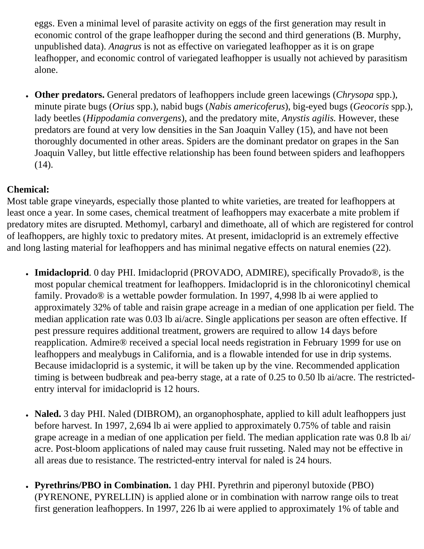eggs. Even a minimal level of parasite activity on eggs of the first generation may result in economic control of the grape leafhopper during the second and third generations (B. Murphy, unpublished data). *Anagrus* is not as effective on variegated leafhopper as it is on grape leafhopper, and economic control of variegated leafhopper is usually not achieved by parasitism alone.

● **Other predators.** General predators of leafhoppers include green lacewings (*Chrysopa* spp.), minute pirate bugs (*Orius* spp.), nabid bugs (*Nabis americoferus*), big-eyed bugs (*Geocoris* spp.), lady beetles (*Hippodamia convergens*), and the predatory mite, *Anystis agilis.* However, these predators are found at very low densities in the San Joaquin Valley (15), and have not been thoroughly documented in other areas. Spiders are the dominant predator on grapes in the San Joaquin Valley, but little effective relationship has been found between spiders and leafhoppers (14).

## **Chemical:**

Most table grape vineyards, especially those planted to white varieties, are treated for leafhoppers at least once a year. In some cases, chemical treatment of leafhoppers may exacerbate a mite problem if predatory mites are disrupted. Methomyl, carbaryl and dimethoate, all of which are registered for control of leafhoppers, are highly toxic to predatory mites. At present, imidacloprid is an extremely effective and long lasting material for leafhoppers and has minimal negative effects on natural enemies (22).

- **Imidacloprid**. 0 day PHI. Imidacloprid (PROVADO, ADMIRE), specifically Provado®, is the most popular chemical treatment for leafhoppers. Imidacloprid is in the chloronicotinyl chemical family. Provado® is a wettable powder formulation. In 1997, 4,998 lb ai were applied to approximately 32% of table and raisin grape acreage in a median of one application per field. The median application rate was 0.03 lb ai/acre. Single applications per season are often effective. If pest pressure requires additional treatment, growers are required to allow 14 days before reapplication. Admire® received a special local needs registration in February 1999 for use on leafhoppers and mealybugs in California, and is a flowable intended for use in drip systems. Because imidacloprid is a systemic, it will be taken up by the vine. Recommended application timing is between budbreak and pea-berry stage, at a rate of 0.25 to 0.50 lb ai/acre. The restrictedentry interval for imidacloprid is 12 hours.
- Naled. 3 day PHI. Naled (DIBROM), an organophosphate, applied to kill adult leafhoppers just before harvest. In 1997, 2,694 lb ai were applied to approximately 0.75% of table and raisin grape acreage in a median of one application per field. The median application rate was 0.8 lb ai/ acre. Post-bloom applications of naled may cause fruit russeting. Naled may not be effective in all areas due to resistance. The restricted-entry interval for naled is 24 hours.
- **Pyrethrins/PBO in Combination.** 1 day PHI. Pyrethrin and piperonyl butoxide (PBO) (PYRENONE, PYRELLIN) is applied alone or in combination with narrow range oils to treat first generation leafhoppers. In 1997, 226 lb ai were applied to approximately 1% of table and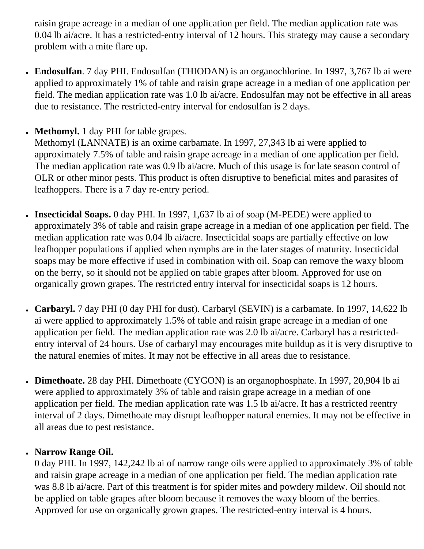raisin grape acreage in a median of one application per field. The median application rate was 0.04 lb ai/acre. It has a restricted-entry interval of 12 hours. This strategy may cause a secondary problem with a mite flare up.

- **Endosulfan**. 7 day PHI. Endosulfan (THIODAN) is an organochlorine. In 1997, 3,767 lb ai were applied to approximately 1% of table and raisin grape acreage in a median of one application per field. The median application rate was 1.0 lb ai/acre. Endosulfan may not be effective in all areas due to resistance. The restricted-entry interval for endosulfan is 2 days.
- **Methomyl.** 1 day PHI for table grapes.

Methomyl (LANNATE) is an oxime carbamate. In 1997, 27,343 lb ai were applied to approximately 7.5% of table and raisin grape acreage in a median of one application per field. The median application rate was 0.9 lb ai/acre. Much of this usage is for late season control of OLR or other minor pests. This product is often disruptive to beneficial mites and parasites of leafhoppers. There is a 7 day re-entry period.

- **Insecticidal Soaps.** 0 day PHI. In 1997, 1,637 lb ai of soap (M-PEDE) were applied to approximately 3% of table and raisin grape acreage in a median of one application per field. The median application rate was 0.04 lb ai/acre. Insecticidal soaps are partially effective on low leafhopper populations if applied when nymphs are in the later stages of maturity. Insecticidal soaps may be more effective if used in combination with oil. Soap can remove the waxy bloom on the berry, so it should not be applied on table grapes after bloom. Approved for use on organically grown grapes. The restricted entry interval for insecticidal soaps is 12 hours.
- Carbaryl. 7 day PHI (0 day PHI for dust). Carbaryl (SEVIN) is a carbamate. In 1997, 14,622 lb ai were applied to approximately 1.5% of table and raisin grape acreage in a median of one application per field. The median application rate was 2.0 lb ai/acre. Carbaryl has a restrictedentry interval of 24 hours. Use of carbaryl may encourages mite buildup as it is very disruptive to the natural enemies of mites. It may not be effective in all areas due to resistance.
- **Dimethoate.** 28 day PHI. Dimethoate (CYGON) is an organophosphate. In 1997, 20,904 lb ai were applied to approximately 3% of table and raisin grape acreage in a median of one application per field. The median application rate was 1.5 lb ai/acre. It has a restricted reentry interval of 2 days. Dimethoate may disrupt leafhopper natural enemies. It may not be effective in all areas due to pest resistance.

## ● **Narrow Range Oil.**

0 day PHI. In 1997, 142,242 lb ai of narrow range oils were applied to approximately 3% of table and raisin grape acreage in a median of one application per field. The median application rate was 8.8 lb ai/acre. Part of this treatment is for spider mites and powdery mildew. Oil should not be applied on table grapes after bloom because it removes the waxy bloom of the berries. Approved for use on organically grown grapes. The restricted-entry interval is 4 hours.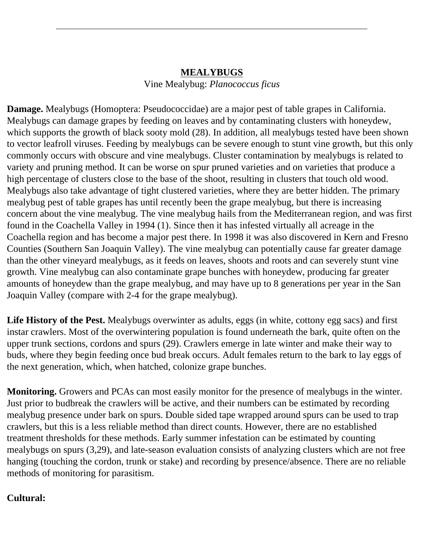## **MEALYBUGS** Vine Mealybug: *Planococcus ficus*

**Damage.** Mealybugs (Homoptera: Pseudococcidae) are a major pest of table grapes in California. Mealybugs can damage grapes by feeding on leaves and by contaminating clusters with honeydew, which supports the growth of black sooty mold (28). In addition, all mealybugs tested have been shown to vector leafroll viruses. Feeding by mealybugs can be severe enough to stunt vine growth, but this only commonly occurs with obscure and vine mealybugs. Cluster contamination by mealybugs is related to variety and pruning method. It can be worse on spur pruned varieties and on varieties that produce a high percentage of clusters close to the base of the shoot, resulting in clusters that touch old wood. Mealybugs also take advantage of tight clustered varieties, where they are better hidden. The primary mealybug pest of table grapes has until recently been the grape mealybug, but there is increasing concern about the vine mealybug. The vine mealybug hails from the Mediterranean region, and was first found in the Coachella Valley in 1994 (1). Since then it has infested virtually all acreage in the Coachella region and has become a major pest there. In 1998 it was also discovered in Kern and Fresno Counties (Southern San Joaquin Valley). The vine mealybug can potentially cause far greater damage than the other vineyard mealybugs, as it feeds on leaves, shoots and roots and can severely stunt vine growth. Vine mealybug can also contaminate grape bunches with honeydew, producing far greater amounts of honeydew than the grape mealybug, and may have up to 8 generations per year in the San Joaquin Valley (compare with 2-4 for the grape mealybug).

**Life History of the Pest.** Mealybugs overwinter as adults, eggs (in white, cottony egg sacs) and first instar crawlers. Most of the overwintering population is found underneath the bark, quite often on the upper trunk sections, cordons and spurs (29). Crawlers emerge in late winter and make their way to buds, where they begin feeding once bud break occurs. Adult females return to the bark to lay eggs of the next generation, which, when hatched, colonize grape bunches.

**Monitoring.** Growers and PCAs can most easily monitor for the presence of mealybugs in the winter. Just prior to budbreak the crawlers will be active, and their numbers can be estimated by recording mealybug presence under bark on spurs. Double sided tape wrapped around spurs can be used to trap crawlers, but this is a less reliable method than direct counts. However, there are no established treatment thresholds for these methods. Early summer infestation can be estimated by counting mealybugs on spurs (3,29), and late-season evaluation consists of analyzing clusters which are not free hanging (touching the cordon, trunk or stake) and recording by presence/absence. There are no reliable methods of monitoring for parasitism.

#### **Cultural:**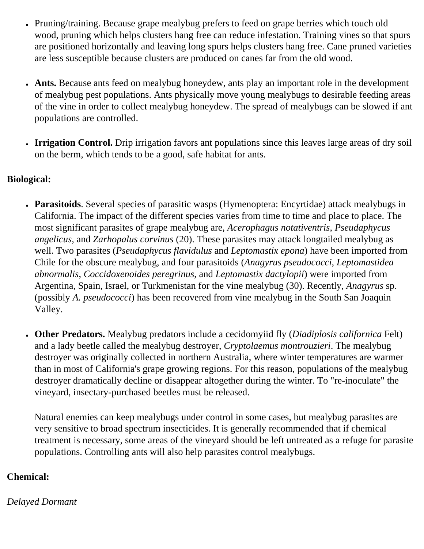- Pruning/training. Because grape mealybug prefers to feed on grape berries which touch old wood, pruning which helps clusters hang free can reduce infestation. Training vines so that spurs are positioned horizontally and leaving long spurs helps clusters hang free. Cane pruned varieties are less susceptible because clusters are produced on canes far from the old wood.
- Ants. Because ants feed on mealybug honeydew, ants play an important role in the development of mealybug pest populations. Ants physically move young mealybugs to desirable feeding areas of the vine in order to collect mealybug honeydew. The spread of mealybugs can be slowed if ant populations are controlled.
- **Irrigation Control.** Drip irrigation favors ant populations since this leaves large areas of dry soil on the berm, which tends to be a good, safe habitat for ants.

## **Biological:**

- **Parasitoids**. Several species of parasitic wasps (Hymenoptera: Encyrtidae) attack mealybugs in California. The impact of the different species varies from time to time and place to place. The most significant parasites of grape mealybug are, *Acerophagus notativentris*, *Pseudaphycus angelicus*, and *Zarhopalus corvinus* (20). These parasites may attack longtailed mealybug as well. Two parasites (*Pseudaphycus flavidulus* and *Leptomastix epona*) have been imported from Chile for the obscure mealybug, and four parasitoids (*Anagyrus pseudococci*, *Leptomastidea abnormalis*, *Coccidoxenoides peregrinus*, and *Leptomastix dactylopii*) were imported from Argentina, Spain, Israel, or Turkmenistan for the vine mealybug (30). Recently, *Anagyrus* sp. (possibly *A. pseudococci*) has been recovered from vine mealybug in the South San Joaquin Valley.
- **Other Predators.** Mealybug predators include a cecidomyiid fly (*Diadiplosis californica* Felt) and a lady beetle called the mealybug destroyer, *Cryptolaemus montrouzieri*. The mealybug destroyer was originally collected in northern Australia, where winter temperatures are warmer than in most of California's grape growing regions. For this reason, populations of the mealybug destroyer dramatically decline or disappear altogether during the winter. To "re-inoculate" the vineyard, insectary-purchased beetles must be released.

Natural enemies can keep mealybugs under control in some cases, but mealybug parasites are very sensitive to broad spectrum insecticides. It is generally recommended that if chemical treatment is necessary, some areas of the vineyard should be left untreated as a refuge for parasite populations. Controlling ants will also help parasites control mealybugs.

## **Chemical:**

*Delayed Dormant*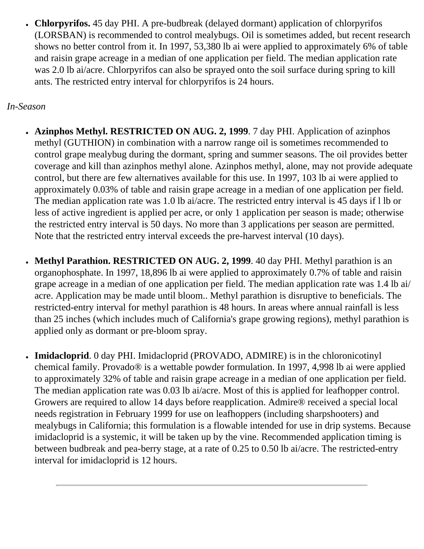• **Chlorpyrifos.** 45 day PHI. A pre-budbreak (delayed dormant) application of chlorpyrifos (LORSBAN) is recommended to control mealybugs. Oil is sometimes added, but recent research shows no better control from it. In 1997, 53,380 lb ai were applied to approximately 6% of table and raisin grape acreage in a median of one application per field. The median application rate was 2.0 lb ai/acre. Chlorpyrifos can also be sprayed onto the soil surface during spring to kill ants. The restricted entry interval for chlorpyrifos is 24 hours.

#### *In-Season*

- **Azinphos Methyl. RESTRICTED ON AUG. 2, 1999**. 7 day PHI. Application of azinphos methyl (GUTHION) in combination with a narrow range oil is sometimes recommended to control grape mealybug during the dormant, spring and summer seasons. The oil provides better coverage and kill than azinphos methyl alone. Azinphos methyl, alone, may not provide adequate control, but there are few alternatives available for this use. In 1997, 103 lb ai were applied to approximately 0.03% of table and raisin grape acreage in a median of one application per field. The median application rate was 1.0 lb ai/acre. The restricted entry interval is 45 days if l lb or less of active ingredient is applied per acre, or only 1 application per season is made; otherwise the restricted entry interval is 50 days. No more than 3 applications per season are permitted. Note that the restricted entry interval exceeds the pre-harvest interval (10 days).
- **Methyl Parathion. RESTRICTED ON AUG. 2, 1999**. 40 day PHI. Methyl parathion is an organophosphate. In 1997, 18,896 lb ai were applied to approximately 0.7% of table and raisin grape acreage in a median of one application per field. The median application rate was 1.4 lb ai/ acre. Application may be made until bloom.. Methyl parathion is disruptive to beneficials. The restricted-entry interval for methyl parathion is 48 hours. In areas where annual rainfall is less than 25 inches (which includes much of California's grape growing regions), methyl parathion is applied only as dormant or pre-bloom spray.
- **Imidacloprid**. 0 day PHI. Imidacloprid (PROVADO, ADMIRE) is in the chloronicotinyl chemical family. Provado® is a wettable powder formulation. In 1997, 4,998 lb ai were applied to approximately 32% of table and raisin grape acreage in a median of one application per field. The median application rate was 0.03 lb ai/acre. Most of this is applied for leafhopper control. Growers are required to allow 14 days before reapplication. Admire® received a special local needs registration in February 1999 for use on leafhoppers (including sharpshooters) and mealybugs in California; this formulation is a flowable intended for use in drip systems. Because imidacloprid is a systemic, it will be taken up by the vine. Recommended application timing is between budbreak and pea-berry stage, at a rate of 0.25 to 0.50 lb ai/acre. The restricted-entry interval for imidacloprid is 12 hours.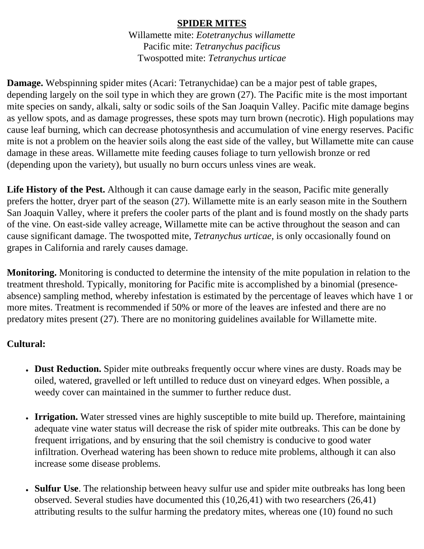#### **SPIDER MITES**

Willamette mite: *Eotetranychus willamette* Pacific mite: *Tetranychus pacificus* Twospotted mite: *Tetranychus urticae*

**Damage.** Webspinning spider mites (Acari: Tetranychidae) can be a major pest of table grapes, depending largely on the soil type in which they are grown (27). The Pacific mite is the most important mite species on sandy, alkali, salty or sodic soils of the San Joaquin Valley. Pacific mite damage begins as yellow spots, and as damage progresses, these spots may turn brown (necrotic). High populations may cause leaf burning, which can decrease photosynthesis and accumulation of vine energy reserves. Pacific mite is not a problem on the heavier soils along the east side of the valley, but Willamette mite can cause damage in these areas. Willamette mite feeding causes foliage to turn yellowish bronze or red (depending upon the variety), but usually no burn occurs unless vines are weak.

**Life History of the Pest.** Although it can cause damage early in the season, Pacific mite generally prefers the hotter, dryer part of the season (27). Willamette mite is an early season mite in the Southern San Joaquin Valley, where it prefers the cooler parts of the plant and is found mostly on the shady parts of the vine. On east-side valley acreage, Willamette mite can be active throughout the season and can cause significant damage. The twospotted mite, *Tetranychus urticae,* is only occasionally found on grapes in California and rarely causes damage.

**Monitoring.** Monitoring is conducted to determine the intensity of the mite population in relation to the treatment threshold. Typically, monitoring for Pacific mite is accomplished by a binomial (presenceabsence) sampling method, whereby infestation is estimated by the percentage of leaves which have 1 or more mites. Treatment is recommended if 50% or more of the leaves are infested and there are no predatory mites present (27). There are no monitoring guidelines available for Willamette mite.

## **Cultural:**

- Dust Reduction. Spider mite outbreaks frequently occur where vines are dusty. Roads may be oiled, watered, gravelled or left untilled to reduce dust on vineyard edges. When possible, a weedy cover can maintained in the summer to further reduce dust.
- **Irrigation.** Water stressed vines are highly susceptible to mite build up. Therefore, maintaining adequate vine water status will decrease the risk of spider mite outbreaks. This can be done by frequent irrigations, and by ensuring that the soil chemistry is conducive to good water infiltration. Overhead watering has been shown to reduce mite problems, although it can also increase some disease problems.
- **Sulfur Use**. The relationship between heavy sulfur use and spider mite outbreaks has long been observed. Several studies have documented this (10,26,41) with two researchers (26,41) attributing results to the sulfur harming the predatory mites, whereas one (10) found no such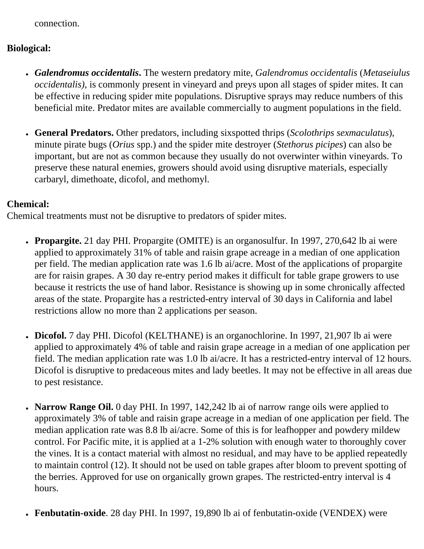connection.

### **Biological:**

- *Galendromus occidentalis***.** The western predatory mite, *Galendromus occidentalis* (*Metaseiulus occidentalis)*, is commonly present in vineyard and preys upon all stages of spider mites. It can be effective in reducing spider mite populations. Disruptive sprays may reduce numbers of this beneficial mite. Predator mites are available commercially to augment populations in the field.
- **General Predators.** Other predators, including sixspotted thrips (*Scolothrips sexmaculatus*), minute pirate bugs (*Orius* spp.) and the spider mite destroyer (*Stethorus picipes*) can also be important, but are not as common because they usually do not overwinter within vineyards. To preserve these natural enemies, growers should avoid using disruptive materials, especially carbaryl, dimethoate, dicofol, and methomyl.

#### **Chemical:**

Chemical treatments must not be disruptive to predators of spider mites.

- **Propargite.** 21 day PHI. Propargite (OMITE) is an organosulfur. In 1997, 270,642 lb ai were applied to approximately 31% of table and raisin grape acreage in a median of one application per field. The median application rate was 1.6 lb ai/acre. Most of the applications of propargite are for raisin grapes. A 30 day re-entry period makes it difficult for table grape growers to use because it restricts the use of hand labor. Resistance is showing up in some chronically affected areas of the state. Propargite has a restricted-entry interval of 30 days in California and label restrictions allow no more than 2 applications per season.
- **Dicofol.** 7 day PHI. Dicofol (KELTHANE) is an organochlorine. In 1997, 21,907 lb ai were applied to approximately 4% of table and raisin grape acreage in a median of one application per field. The median application rate was 1.0 lb ai/acre. It has a restricted-entry interval of 12 hours. Dicofol is disruptive to predaceous mites and lady beetles. It may not be effective in all areas due to pest resistance.
- **Narrow Range Oil.** 0 day PHI. In 1997, 142,242 lb ai of narrow range oils were applied to approximately 3% of table and raisin grape acreage in a median of one application per field. The median application rate was 8.8 lb ai/acre. Some of this is for leafhopper and powdery mildew control. For Pacific mite, it is applied at a 1-2% solution with enough water to thoroughly cover the vines. It is a contact material with almost no residual, and may have to be applied repeatedly to maintain control (12). It should not be used on table grapes after bloom to prevent spotting of the berries. Approved for use on organically grown grapes. The restricted-entry interval is 4 hours.
- **Fenbutatin-oxide**. 28 day PHI. In 1997, 19,890 lb ai of fenbutatin-oxide (VENDEX) were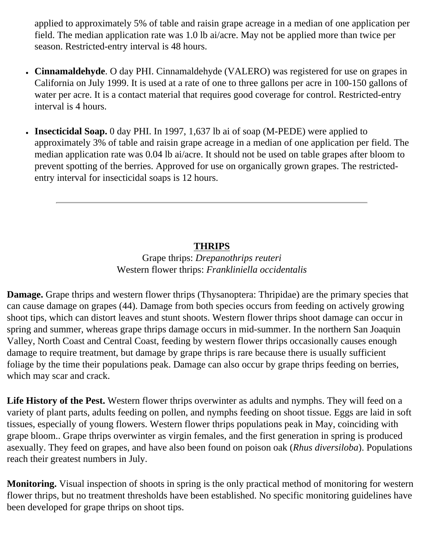applied to approximately 5% of table and raisin grape acreage in a median of one application per field. The median application rate was 1.0 lb ai/acre. May not be applied more than twice per season. Restricted-entry interval is 48 hours.

- **Cinnamaldehyde**. O day PHI. Cinnamaldehyde (VALERO) was registered for use on grapes in California on July 1999. It is used at a rate of one to three gallons per acre in 100-150 gallons of water per acre. It is a contact material that requires good coverage for control. Restricted-entry interval is 4 hours.
- **Insecticidal Soap.** 0 day PHI. In 1997, 1,637 lb ai of soap (M-PEDE) were applied to approximately 3% of table and raisin grape acreage in a median of one application per field. The median application rate was 0.04 lb ai/acre. It should not be used on table grapes after bloom to prevent spotting of the berries. Approved for use on organically grown grapes. The restrictedentry interval for insecticidal soaps is 12 hours.

## **THRIPS**

## Grape thrips: *Drepanothrips reuteri* Western flower thrips: *Frankliniella occidentalis*

**Damage.** Grape thrips and western flower thrips (Thysanoptera: Thripidae) are the primary species that can cause damage on grapes (44). Damage from both species occurs from feeding on actively growing shoot tips, which can distort leaves and stunt shoots. Western flower thrips shoot damage can occur in spring and summer, whereas grape thrips damage occurs in mid-summer. In the northern San Joaquin Valley, North Coast and Central Coast, feeding by western flower thrips occasionally causes enough damage to require treatment, but damage by grape thrips is rare because there is usually sufficient foliage by the time their populations peak. Damage can also occur by grape thrips feeding on berries, which may scar and crack.

**Life History of the Pest.** Western flower thrips overwinter as adults and nymphs. They will feed on a variety of plant parts, adults feeding on pollen, and nymphs feeding on shoot tissue. Eggs are laid in soft tissues, especially of young flowers. Western flower thrips populations peak in May, coinciding with grape bloom.. Grape thrips overwinter as virgin females, and the first generation in spring is produced asexually. They feed on grapes, and have also been found on poison oak (*Rhus diversiloba*). Populations reach their greatest numbers in July.

**Monitoring.** Visual inspection of shoots in spring is the only practical method of monitoring for western flower thrips, but no treatment thresholds have been established. No specific monitoring guidelines have been developed for grape thrips on shoot tips.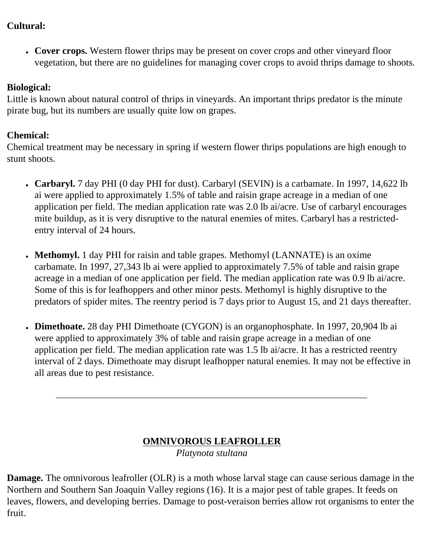#### **Cultural:**

• Cover crops. Western flower thrips may be present on cover crops and other vineyard floor vegetation, but there are no guidelines for managing cover crops to avoid thrips damage to shoots.

## **Biological:**

Little is known about natural control of thrips in vineyards. An important thrips predator is the minute pirate bug, but its numbers are usually quite low on grapes.

#### **Chemical:**

Chemical treatment may be necessary in spring if western flower thrips populations are high enough to stunt shoots.

- **Carbaryl.** 7 day PHI (0 day PHI for dust). Carbaryl (SEVIN) is a carbamate. In 1997, 14,622 lb ai were applied to approximately 1.5% of table and raisin grape acreage in a median of one application per field. The median application rate was 2.0 lb ai/acre. Use of carbaryl encourages mite buildup, as it is very disruptive to the natural enemies of mites. Carbaryl has a restrictedentry interval of 24 hours.
- **Methomyl.** 1 day PHI for raisin and table grapes. Methomyl (LANNATE) is an oxime carbamate. In 1997, 27,343 lb ai were applied to approximately 7.5% of table and raisin grape acreage in a median of one application per field. The median application rate was 0.9 lb ai/acre. Some of this is for leafhoppers and other minor pests. Methomyl is highly disruptive to the predators of spider mites. The reentry period is 7 days prior to August 15, and 21 days thereafter.
- **Dimethoate.** 28 day PHI Dimethoate (CYGON) is an organophosphate. In 1997, 20,904 lb ai were applied to approximately 3% of table and raisin grape acreage in a median of one application per field. The median application rate was 1.5 lb ai/acre. It has a restricted reentry interval of 2 days. Dimethoate may disrupt leafhopper natural enemies. It may not be effective in all areas due to pest resistance.

## **OMNIVOROUS LEAFROLLER**

*Platynota stultana*

**Damage.** The omnivorous leafroller (OLR) is a moth whose larval stage can cause serious damage in the Northern and Southern San Joaquin Valley regions (16). It is a major pest of table grapes. It feeds on leaves, flowers, and developing berries. Damage to post-veraison berries allow rot organisms to enter the fruit.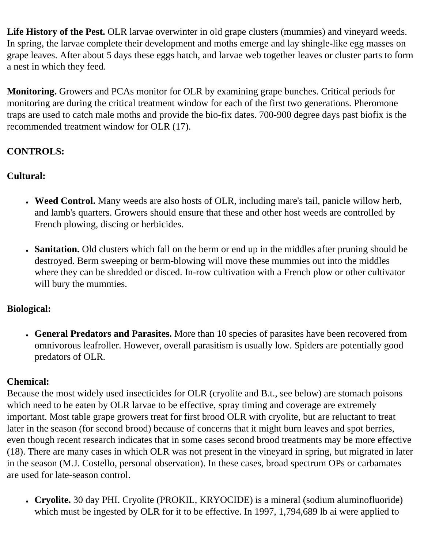Life History of the Pest. OLR larvae overwinter in old grape clusters (mummies) and vineyard weeds. In spring, the larvae complete their development and moths emerge and lay shingle-like egg masses on grape leaves. After about 5 days these eggs hatch, and larvae web together leaves or cluster parts to form a nest in which they feed.

**Monitoring.** Growers and PCAs monitor for OLR by examining grape bunches. Critical periods for monitoring are during the critical treatment window for each of the first two generations. Pheromone traps are used to catch male moths and provide the bio-fix dates. 700-900 degree days past biofix is the recommended treatment window for OLR (17).

## **CONTROLS:**

## **Cultural:**

- Weed Control. Many weeds are also hosts of OLR, including mare's tail, panicle willow herb, and lamb's quarters. Growers should ensure that these and other host weeds are controlled by French plowing, discing or herbicides.
- **Sanitation.** Old clusters which fall on the berm or end up in the middles after pruning should be destroyed. Berm sweeping or berm-blowing will move these mummies out into the middles where they can be shredded or disced. In-row cultivation with a French plow or other cultivator will bury the mummies.

## **Biological:**

● **General Predators and Parasites.** More than 10 species of parasites have been recovered from omnivorous leafroller. However, overall parasitism is usually low. Spiders are potentially good predators of OLR.

## **Chemical:**

Because the most widely used insecticides for OLR (cryolite and B.t., see below) are stomach poisons which need to be eaten by OLR larvae to be effective, spray timing and coverage are extremely important. Most table grape growers treat for first brood OLR with cryolite, but are reluctant to treat later in the season (for second brood) because of concerns that it might burn leaves and spot berries, even though recent research indicates that in some cases second brood treatments may be more effective (18). There are many cases in which OLR was not present in the vineyard in spring, but migrated in later in the season (M.J. Costello, personal observation). In these cases, broad spectrum OPs or carbamates are used for late-season control.

● **Cryolite.** 30 day PHI. Cryolite (PROKIL, KRYOCIDE) is a mineral (sodium aluminofluoride) which must be ingested by OLR for it to be effective. In 1997, 1,794,689 lb ai were applied to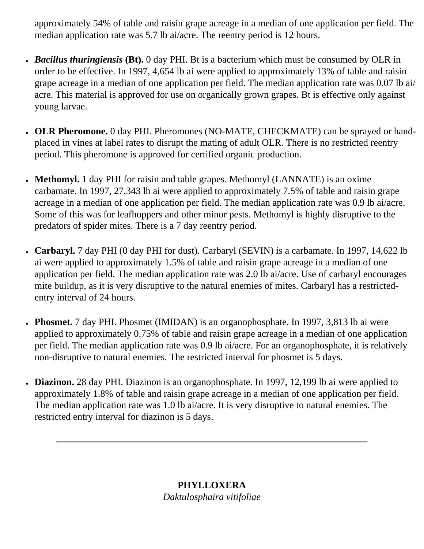approximately 54% of table and raisin grape acreage in a median of one application per field. The median application rate was 5.7 lb ai/acre. The reentry period is 12 hours.

- *Bacillus thuringiensis* **(Bt).** 0 day PHI. Bt is a bacterium which must be consumed by OLR in order to be effective. In 1997, 4,654 lb ai were applied to approximately 13% of table and raisin grape acreage in a median of one application per field. The median application rate was 0.07 lb ai/ acre. This material is approved for use on organically grown grapes. Bt is effective only against young larvae.
- **OLR Pheromone.** 0 day PHI. Pheromones (NO-MATE, CHECKMATE) can be sprayed or handplaced in vines at label rates to disrupt the mating of adult OLR. There is no restricted reentry period. This pheromone is approved for certified organic production.
- **Methomyl.** 1 day PHI for raisin and table grapes. Methomyl (LANNATE) is an oxime carbamate. In 1997, 27,343 lb ai were applied to approximately 7.5% of table and raisin grape acreage in a median of one application per field. The median application rate was 0.9 lb ai/acre. Some of this was for leafhoppers and other minor pests. Methomyl is highly disruptive to the predators of spider mites. There is a 7 day reentry period.
- **Carbaryl.** 7 day PHI (0 day PHI for dust). Carbaryl (SEVIN) is a carbamate. In 1997, 14,622 lb ai were applied to approximately 1.5% of table and raisin grape acreage in a median of one application per field. The median application rate was 2.0 lb ai/acre. Use of carbaryl encourages mite buildup, as it is very disruptive to the natural enemies of mites. Carbaryl has a restrictedentry interval of 24 hours.
- Phosmet. 7 day PHI. Phosmet (IMIDAN) is an organophosphate. In 1997, 3,813 lb ai were applied to approximately 0.75% of table and raisin grape acreage in a median of one application per field. The median application rate was 0.9 lb ai/acre. For an organophosphate, it is relatively non-disruptive to natural enemies. The restricted interval for phosmet is 5 days.
- Diazinon. 28 day PHI. Diazinon is an organophosphate. In 1997, 12,199 lb ai were applied to approximately 1.8% of table and raisin grape acreage in a median of one application per field. The median application rate was 1.0 lb ai/acre. It is very disruptive to natural enemies. The restricted entry interval for diazinon is 5 days.

## **PHYLLOXERA**

*Daktulosphaira vitifoliae*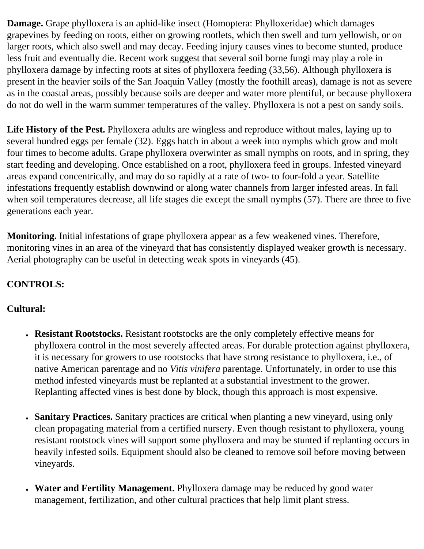**Damage.** Grape phylloxera is an aphid-like insect (Homoptera: Phylloxeridae) which damages grapevines by feeding on roots, either on growing rootlets, which then swell and turn yellowish, or on larger roots, which also swell and may decay. Feeding injury causes vines to become stunted, produce less fruit and eventually die. Recent work suggest that several soil borne fungi may play a role in phylloxera damage by infecting roots at sites of phylloxera feeding (33,56). Although phylloxera is present in the heavier soils of the San Joaquin Valley (mostly the foothill areas), damage is not as severe as in the coastal areas, possibly because soils are deeper and water more plentiful, or because phylloxera do not do well in the warm summer temperatures of the valley. Phylloxera is not a pest on sandy soils.

Life History of the Pest. Phylloxera adults are wingless and reproduce without males, laying up to several hundred eggs per female (32). Eggs hatch in about a week into nymphs which grow and molt four times to become adults. Grape phylloxera overwinter as small nymphs on roots, and in spring, they start feeding and developing. Once established on a root, phylloxera feed in groups. Infested vineyard areas expand concentrically, and may do so rapidly at a rate of two- to four-fold a year. Satellite infestations frequently establish downwind or along water channels from larger infested areas. In fall when soil temperatures decrease, all life stages die except the small nymphs (57). There are three to five generations each year.

**Monitoring.** Initial infestations of grape phylloxera appear as a few weakened vines. Therefore, monitoring vines in an area of the vineyard that has consistently displayed weaker growth is necessary. Aerial photography can be useful in detecting weak spots in vineyards (45).

## **CONTROLS:**

## **Cultural:**

- **Resistant Rootstocks.** Resistant rootstocks are the only completely effective means for phylloxera control in the most severely affected areas. For durable protection against phylloxera, it is necessary for growers to use rootstocks that have strong resistance to phylloxera, i.e., of native American parentage and no *Vitis vinifera* parentage. Unfortunately, in order to use this method infested vineyards must be replanted at a substantial investment to the grower. Replanting affected vines is best done by block, though this approach is most expensive.
- **Sanitary Practices.** Sanitary practices are critical when planting a new vineyard, using only clean propagating material from a certified nursery. Even though resistant to phylloxera, young resistant rootstock vines will support some phylloxera and may be stunted if replanting occurs in heavily infested soils. Equipment should also be cleaned to remove soil before moving between vineyards.
- **Water and Fertility Management.** Phylloxera damage may be reduced by good water management, fertilization, and other cultural practices that help limit plant stress.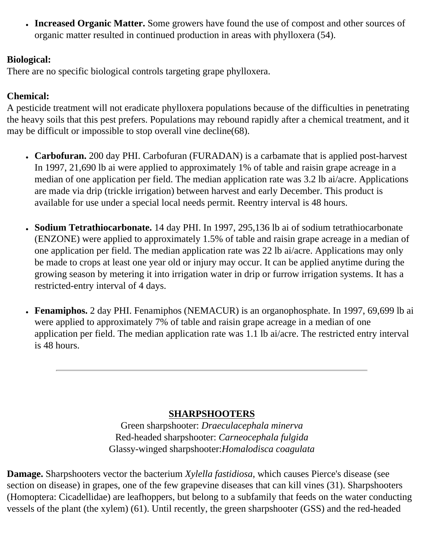• **Increased Organic Matter.** Some growers have found the use of compost and other sources of organic matter resulted in continued production in areas with phylloxera (54).

#### **Biological:**

There are no specific biological controls targeting grape phylloxera.

## **Chemical:**

A pesticide treatment will not eradicate phylloxera populations because of the difficulties in penetrating the heavy soils that this pest prefers. Populations may rebound rapidly after a chemical treatment, and it may be difficult or impossible to stop overall vine decline(68).

- **Carbofuran.** 200 day PHI. Carbofuran (FURADAN) is a carbamate that is applied post-harvest In 1997, 21,690 lb ai were applied to approximately 1% of table and raisin grape acreage in a median of one application per field. The median application rate was 3.2 lb ai/acre. Applications are made via drip (trickle irrigation) between harvest and early December. This product is available for use under a special local needs permit. Reentry interval is 48 hours.
- **Sodium Tetrathiocarbonate.** 14 day PHI. In 1997, 295,136 lb ai of sodium tetrathiocarbonate (ENZONE) were applied to approximately 1.5% of table and raisin grape acreage in a median of one application per field. The median application rate was 22 lb ai/acre. Applications may only be made to crops at least one year old or injury may occur. It can be applied anytime during the growing season by metering it into irrigation water in drip or furrow irrigation systems. It has a restricted-entry interval of 4 days.
- **Fenamiphos.** 2 day PHI. Fenamiphos (NEMACUR) is an organophosphate. In 1997, 69,699 lb ai were applied to approximately 7% of table and raisin grape acreage in a median of one application per field. The median application rate was 1.1 lb ai/acre. The restricted entry interval is 48 hours.

## **SHARPSHOOTERS**

Green sharpshooter: *Draeculacephala minerva* Red-headed sharpshooter: *Carneocephala fulgida* Glassy-winged sharpshooter:*Homalodisca coagulata*

**Damage.** Sharpshooters vector the bacterium *Xylella fastidiosa*, which causes Pierce's disease (see section on disease) in grapes, one of the few grapevine diseases that can kill vines (31). Sharpshooters (Homoptera: Cicadellidae) are leafhoppers, but belong to a subfamily that feeds on the water conducting vessels of the plant (the xylem) (61). Until recently, the green sharpshooter (GSS) and the red-headed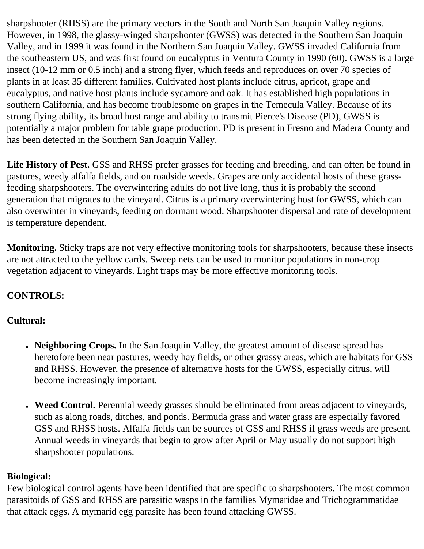sharpshooter (RHSS) are the primary vectors in the South and North San Joaquin Valley regions. However, in 1998, the glassy-winged sharpshooter (GWSS) was detected in the Southern San Joaquin Valley, and in 1999 it was found in the Northern San Joaquin Valley. GWSS invaded California from the southeastern US, and was first found on eucalyptus in Ventura County in 1990 (60). GWSS is a large insect (10-12 mm or 0.5 inch) and a strong flyer, which feeds and reproduces on over 70 species of plants in at least 35 different families. Cultivated host plants include citrus, apricot, grape and eucalyptus, and native host plants include sycamore and oak. It has established high populations in southern California, and has become troublesome on grapes in the Temecula Valley. Because of its strong flying ability, its broad host range and ability to transmit Pierce's Disease (PD), GWSS is potentially a major problem for table grape production. PD is present in Fresno and Madera County and has been detected in the Southern San Joaquin Valley.

**Life History of Pest.** GSS and RHSS prefer grasses for feeding and breeding, and can often be found in pastures, weedy alfalfa fields, and on roadside weeds. Grapes are only accidental hosts of these grassfeeding sharpshooters. The overwintering adults do not live long, thus it is probably the second generation that migrates to the vineyard. Citrus is a primary overwintering host for GWSS, which can also overwinter in vineyards, feeding on dormant wood. Sharpshooter dispersal and rate of development is temperature dependent.

**Monitoring.** Sticky traps are not very effective monitoring tools for sharpshooters, because these insects are not attracted to the yellow cards. Sweep nets can be used to monitor populations in non-crop vegetation adjacent to vineyards. Light traps may be more effective monitoring tools.

## **CONTROLS:**

## **Cultural:**

- Neighboring Crops. In the San Joaquin Valley, the greatest amount of disease spread has heretofore been near pastures, weedy hay fields, or other grassy areas, which are habitats for GSS and RHSS. However, the presence of alternative hosts for the GWSS, especially citrus, will become increasingly important.
- **Weed Control.** Perennial weedy grasses should be eliminated from areas adjacent to vineyards, such as along roads, ditches, and ponds. Bermuda grass and water grass are especially favored GSS and RHSS hosts. Alfalfa fields can be sources of GSS and RHSS if grass weeds are present. Annual weeds in vineyards that begin to grow after April or May usually do not support high sharpshooter populations.

## **Biological:**

Few biological control agents have been identified that are specific to sharpshooters. The most common parasitoids of GSS and RHSS are parasitic wasps in the families Mymaridae and Trichogrammatidae that attack eggs. A mymarid egg parasite has been found attacking GWSS.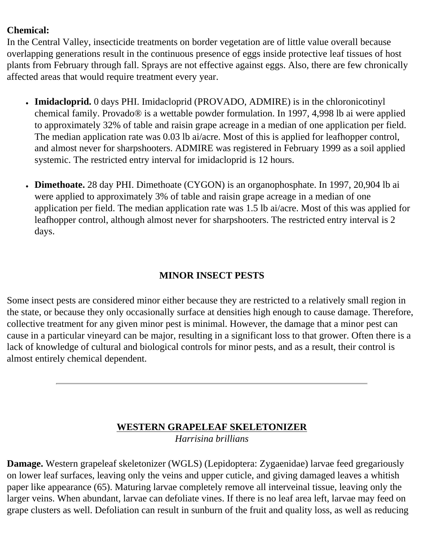#### **Chemical:**

In the Central Valley, insecticide treatments on border vegetation are of little value overall because overlapping generations result in the continuous presence of eggs inside protective leaf tissues of host plants from February through fall. Sprays are not effective against eggs. Also, there are few chronically affected areas that would require treatment every year.

- **Imidacloprid.** 0 days PHI. Imidacloprid (PROVADO, ADMIRE) is in the chloronicotinyl chemical family. Provado® is a wettable powder formulation. In 1997, 4,998 lb ai were applied to approximately 32% of table and raisin grape acreage in a median of one application per field. The median application rate was 0.03 lb ai/acre. Most of this is applied for leafhopper control, and almost never for sharpshooters. ADMIRE was registered in February 1999 as a soil applied systemic. The restricted entry interval for imidacloprid is 12 hours.
- **Dimethoate.** 28 day PHI. Dimethoate (CYGON) is an organophosphate. In 1997, 20,904 lb ai were applied to approximately 3% of table and raisin grape acreage in a median of one application per field. The median application rate was 1.5 lb ai/acre. Most of this was applied for leafhopper control, although almost never for sharpshooters. The restricted entry interval is 2 days.

## **MINOR INSECT PESTS**

Some insect pests are considered minor either because they are restricted to a relatively small region in the state, or because they only occasionally surface at densities high enough to cause damage. Therefore, collective treatment for any given minor pest is minimal. However, the damage that a minor pest can cause in a particular vineyard can be major, resulting in a significant loss to that grower. Often there is a lack of knowledge of cultural and biological controls for minor pests, and as a result, their control is almost entirely chemical dependent.

## **WESTERN GRAPELEAF SKELETONIZER** *Harrisina brillians*

**Damage.** Western grapeleaf skeletonizer (WGLS) (Lepidoptera: Zygaenidae) larvae feed gregariously on lower leaf surfaces, leaving only the veins and upper cuticle, and giving damaged leaves a whitish paper like appearance (65). Maturing larvae completely remove all interveinal tissue, leaving only the larger veins. When abundant, larvae can defoliate vines. If there is no leaf area left, larvae may feed on grape clusters as well. Defoliation can result in sunburn of the fruit and quality loss, as well as reducing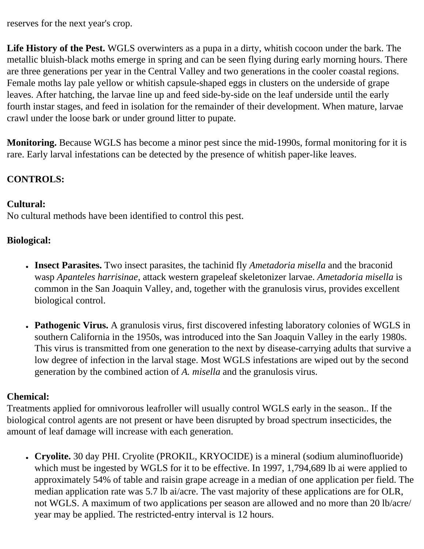reserves for the next year's crop.

**Life History of the Pest.** WGLS overwinters as a pupa in a dirty, whitish cocoon under the bark. The metallic bluish-black moths emerge in spring and can be seen flying during early morning hours. There are three generations per year in the Central Valley and two generations in the cooler coastal regions. Female moths lay pale yellow or whitish capsule-shaped eggs in clusters on the underside of grape leaves. After hatching, the larvae line up and feed side-by-side on the leaf underside until the early fourth instar stages, and feed in isolation for the remainder of their development. When mature, larvae crawl under the loose bark or under ground litter to pupate.

**Monitoring.** Because WGLS has become a minor pest since the mid-1990s, formal monitoring for it is rare. Early larval infestations can be detected by the presence of whitish paper-like leaves.

## **CONTROLS:**

#### **Cultural:**

No cultural methods have been identified to control this pest.

## **Biological:**

- **Insect Parasites.** Two insect parasites, the tachinid fly *Ametadoria misella* and the braconid wasp *Apanteles harrisinae*, attack western grapeleaf skeletonizer larvae. *Ametadoria misella* is common in the San Joaquin Valley, and, together with the granulosis virus, provides excellent biological control.
- **Pathogenic Virus.** A granulosis virus, first discovered infesting laboratory colonies of WGLS in southern California in the 1950s, was introduced into the San Joaquin Valley in the early 1980s. This virus is transmitted from one generation to the next by disease-carrying adults that survive a low degree of infection in the larval stage. Most WGLS infestations are wiped out by the second generation by the combined action of *A. misella* and the granulosis virus.

## **Chemical:**

Treatments applied for omnivorous leafroller will usually control WGLS early in the season.. If the biological control agents are not present or have been disrupted by broad spectrum insecticides, the amount of leaf damage will increase with each generation.

● **Cryolite.** 30 day PHI. Cryolite (PROKIL, KRYOCIDE) is a mineral (sodium aluminofluoride) which must be ingested by WGLS for it to be effective. In 1997, 1,794,689 lb ai were applied to approximately 54% of table and raisin grape acreage in a median of one application per field. The median application rate was 5.7 lb ai/acre. The vast majority of these applications are for OLR, not WGLS. A maximum of two applications per season are allowed and no more than 20 lb/acre/ year may be applied. The restricted-entry interval is 12 hours.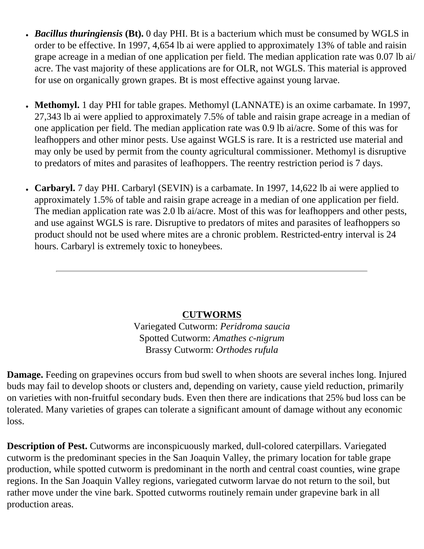- *Bacillus thuringiensis* (Bt). 0 day PHI. Bt is a bacterium which must be consumed by WGLS in order to be effective. In 1997, 4,654 lb ai were applied to approximately 13% of table and raisin grape acreage in a median of one application per field. The median application rate was 0.07 lb ai/ acre. The vast majority of these applications are for OLR, not WGLS. This material is approved for use on organically grown grapes. Bt is most effective against young larvae.
- **Methomyl.** 1 day PHI for table grapes. Methomyl (LANNATE) is an oxime carbamate. In 1997, 27,343 lb ai were applied to approximately 7.5% of table and raisin grape acreage in a median of one application per field. The median application rate was 0.9 lb ai/acre. Some of this was for leafhoppers and other minor pests. Use against WGLS is rare. It is a restricted use material and may only be used by permit from the county agricultural commissioner. Methomyl is disruptive to predators of mites and parasites of leafhoppers. The reentry restriction period is 7 days.
- **Carbaryl.** 7 day PHI. Carbaryl (SEVIN) is a carbamate. In 1997, 14,622 lb ai were applied to approximately 1.5% of table and raisin grape acreage in a median of one application per field. The median application rate was 2.0 lb ai/acre. Most of this was for leafhoppers and other pests, and use against WGLS is rare. Disruptive to predators of mites and parasites of leafhoppers so product should not be used where mites are a chronic problem. Restricted-entry interval is 24 hours. Carbaryl is extremely toxic to honeybees.

## **CUTWORMS**

Variegated Cutworm: *Peridroma saucia* Spotted Cutworm: *Amathes c-nigrum* Brassy Cutworm: *Orthodes rufula*

**Damage.** Feeding on grapevines occurs from bud swell to when shoots are several inches long. Injured buds may fail to develop shoots or clusters and, depending on variety, cause yield reduction, primarily on varieties with non-fruitful secondary buds. Even then there are indications that 25% bud loss can be tolerated. Many varieties of grapes can tolerate a significant amount of damage without any economic loss.

**Description of Pest.** Cutworms are inconspicuously marked, dull-colored caterpillars. Variegated cutworm is the predominant species in the San Joaquin Valley, the primary location for table grape production, while spotted cutworm is predominant in the north and central coast counties, wine grape regions. In the San Joaquin Valley regions, variegated cutworm larvae do not return to the soil, but rather move under the vine bark. Spotted cutworms routinely remain under grapevine bark in all production areas.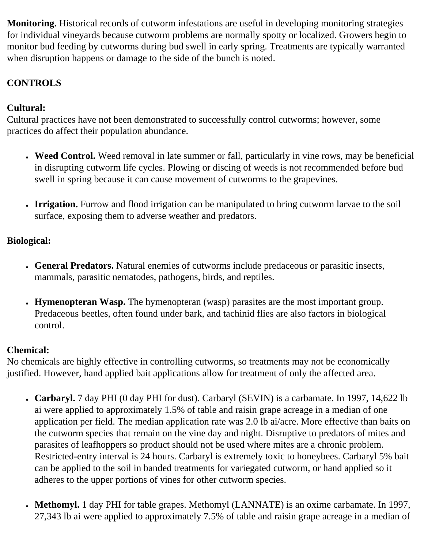**Monitoring.** Historical records of cutworm infestations are useful in developing monitoring strategies for individual vineyards because cutworm problems are normally spotty or localized. Growers begin to monitor bud feeding by cutworms during bud swell in early spring. Treatments are typically warranted when disruption happens or damage to the side of the bunch is noted.

## **CONTROLS**

## **Cultural:**

Cultural practices have not been demonstrated to successfully control cutworms; however, some practices do affect their population abundance.

- Weed Control. Weed removal in late summer or fall, particularly in vine rows, may be beneficial in disrupting cutworm life cycles. Plowing or discing of weeds is not recommended before bud swell in spring because it can cause movement of cutworms to the grapevines.
- **Irrigation.** Furrow and flood irrigation can be manipulated to bring cutworm larvae to the soil surface, exposing them to adverse weather and predators.

## **Biological:**

- **General Predators.** Natural enemies of cutworms include predaceous or parasitic insects, mammals, parasitic nematodes, pathogens, birds, and reptiles.
- **Hymenopteran Wasp.** The hymenopteran (wasp) parasites are the most important group. Predaceous beetles, often found under bark, and tachinid flies are also factors in biological control.

## **Chemical:**

No chemicals are highly effective in controlling cutworms, so treatments may not be economically justified. However, hand applied bait applications allow for treatment of only the affected area.

- **Carbaryl.** 7 day PHI (0 day PHI for dust). Carbaryl (SEVIN) is a carbamate. In 1997, 14,622 lb ai were applied to approximately 1.5% of table and raisin grape acreage in a median of one application per field. The median application rate was 2.0 lb ai/acre. More effective than baits on the cutworm species that remain on the vine day and night. Disruptive to predators of mites and parasites of leafhoppers so product should not be used where mites are a chronic problem. Restricted-entry interval is 24 hours. Carbaryl is extremely toxic to honeybees. Carbaryl 5% bait can be applied to the soil in banded treatments for variegated cutworm, or hand applied so it adheres to the upper portions of vines for other cutworm species.
- Methomyl. 1 day PHI for table grapes. Methomyl (LANNATE) is an oxime carbamate. In 1997, 27,343 lb ai were applied to approximately 7.5% of table and raisin grape acreage in a median of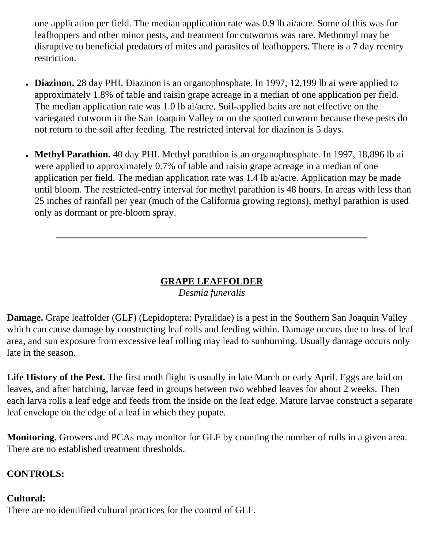one application per field. The median application rate was 0.9 lb ai/acre. Some of this was for leafhoppers and other minor pests, and treatment for cutworms was rare. Methomyl may be disruptive to beneficial predators of mites and parasites of leafhoppers. There is a 7 day reentry restriction.

- **Diazinon.** 28 day PHI. Diazinon is an organophosphate. In 1997, 12,199 lb ai were applied to approximately 1.8% of table and raisin grape acreage in a median of one application per field. The median application rate was 1.0 lb ai/acre. Soil-applied baits are not effective on the variegated cutworm in the San Joaquin Valley or on the spotted cutworm because these pests do not return to the soil after feeding. The restricted interval for diazinon is 5 days.
- Methyl Parathion. 40 day PHI. Methyl parathion is an organophosphate. In 1997, 18,896 lb ai were applied to approximately 0.7% of table and raisin grape acreage in a median of one application per field. The median application rate was 1.4 lb ai/acre. Application may be made until bloom. The restricted-entry interval for methyl parathion is 48 hours. In areas with less than 25 inches of rainfall per year (much of the California growing regions), methyl parathion is used only as dormant or pre-bloom spray.

## **GRAPE LEAFFOLDER**

## *Desmia funeralis*

**Damage.** Grape leaffolder (GLF) (Lepidoptera: Pyralidae) is a pest in the Southern San Joaquin Valley which can cause damage by constructing leaf rolls and feeding within. Damage occurs due to loss of leaf area, and sun exposure from excessive leaf rolling may lead to sunburning. Usually damage occurs only late in the season.

Life History of the Pest. The first moth flight is usually in late March or early April. Eggs are laid on leaves, and after hatching, larvae feed in groups between two webbed leaves for about 2 weeks. Then each larva rolls a leaf edge and feeds from the inside on the leaf edge. Mature larvae construct a separate leaf envelope on the edge of a leaf in which they pupate.

**Monitoring.** Growers and PCAs may monitor for GLF by counting the number of rolls in a given area. There are no established treatment thresholds.

## **CONTROLS:**

## **Cultural:**

There are no identified cultural practices for the control of GLF.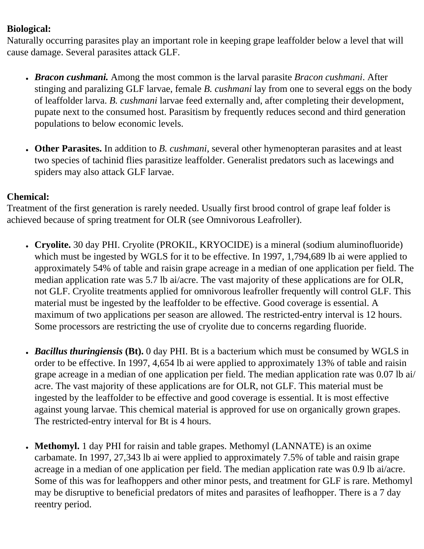#### **Biological:**

Naturally occurring parasites play an important role in keeping grape leaffolder below a level that will cause damage. Several parasites attack GLF.

- *Bracon cushmani.* Among the most common is the larval parasite *Bracon cushmani*. After stinging and paralizing GLF larvae, female *B. cushmani* lay from one to several eggs on the body of leaffolder larva. *B. cushmani* larvae feed externally and, after completing their development, pupate next to the consumed host. Parasitism by frequently reduces second and third generation populations to below economic levels.
- **Other Parasites.** In addition to *B. cushmani*, several other hymenopteran parasites and at least two species of tachinid flies parasitize leaffolder. Generalist predators such as lacewings and spiders may also attack GLF larvae.

#### **Chemical:**

Treatment of the first generation is rarely needed. Usually first brood control of grape leaf folder is achieved because of spring treatment for OLR (see Omnivorous Leafroller).

- **Cryolite.** 30 day PHI. Cryolite (PROKIL, KRYOCIDE) is a mineral (sodium aluminofluoride) which must be ingested by WGLS for it to be effective. In 1997, 1,794,689 lb ai were applied to approximately 54% of table and raisin grape acreage in a median of one application per field. The median application rate was 5.7 lb ai/acre. The vast majority of these applications are for OLR, not GLF. Cryolite treatments applied for omnivorous leafroller frequently will control GLF. This material must be ingested by the leaffolder to be effective. Good coverage is essential. A maximum of two applications per season are allowed. The restricted-entry interval is 12 hours. Some processors are restricting the use of cryolite due to concerns regarding fluoride.
- *Bacillus thuringiensis* (Bt). 0 day PHI. Bt is a bacterium which must be consumed by WGLS in order to be effective. In 1997, 4,654 lb ai were applied to approximately 13% of table and raisin grape acreage in a median of one application per field. The median application rate was 0.07 lb ai/ acre. The vast majority of these applications are for OLR, not GLF. This material must be ingested by the leaffolder to be effective and good coverage is essential. It is most effective against young larvae. This chemical material is approved for use on organically grown grapes. The restricted-entry interval for Bt is 4 hours.
- Methomyl. 1 day PHI for raisin and table grapes. Methomyl (LANNATE) is an oxime carbamate. In 1997, 27,343 lb ai were applied to approximately 7.5% of table and raisin grape acreage in a median of one application per field. The median application rate was 0.9 lb ai/acre. Some of this was for leafhoppers and other minor pests, and treatment for GLF is rare. Methomyl may be disruptive to beneficial predators of mites and parasites of leafhopper. There is a 7 day reentry period.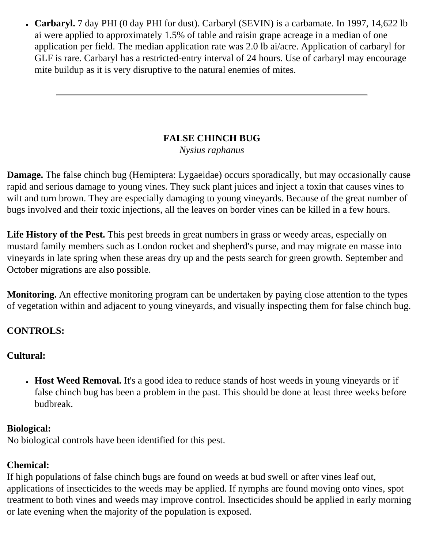● **Carbaryl.** 7 day PHI (0 day PHI for dust). Carbaryl (SEVIN) is a carbamate. In 1997, 14,622 lb ai were applied to approximately 1.5% of table and raisin grape acreage in a median of one application per field. The median application rate was 2.0 lb ai/acre. Application of carbaryl for GLF is rare. Carbaryl has a restricted-entry interval of 24 hours. Use of carbaryl may encourage mite buildup as it is very disruptive to the natural enemies of mites.

## **FALSE CHINCH BUG**

*Nysius raphanus*

**Damage.** The false chinch bug (Hemiptera: Lygaeidae) occurs sporadically, but may occasionally cause rapid and serious damage to young vines. They suck plant juices and inject a toxin that causes vines to wilt and turn brown. They are especially damaging to young vineyards. Because of the great number of bugs involved and their toxic injections, all the leaves on border vines can be killed in a few hours.

Life History of the Pest. This pest breeds in great numbers in grass or weedy areas, especially on mustard family members such as London rocket and shepherd's purse, and may migrate en masse into vineyards in late spring when these areas dry up and the pests search for green growth. September and October migrations are also possible.

**Monitoring.** An effective monitoring program can be undertaken by paying close attention to the types of vegetation within and adjacent to young vineyards, and visually inspecting them for false chinch bug.

## **CONTROLS:**

## **Cultural:**

• **Host Weed Removal.** It's a good idea to reduce stands of host weeds in young vineyards or if false chinch bug has been a problem in the past. This should be done at least three weeks before budbreak.

## **Biological:**

No biological controls have been identified for this pest.

## **Chemical:**

If high populations of false chinch bugs are found on weeds at bud swell or after vines leaf out, applications of insecticides to the weeds may be applied. If nymphs are found moving onto vines, spot treatment to both vines and weeds may improve control. Insecticides should be applied in early morning or late evening when the majority of the population is exposed.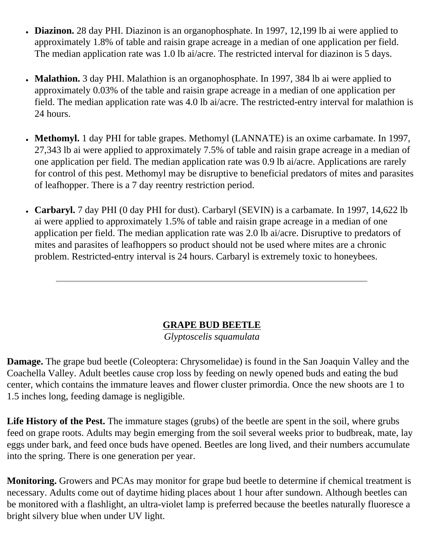- **Diazinon.** 28 day PHI. Diazinon is an organophosphate. In 1997, 12,199 lb ai were applied to approximately 1.8% of table and raisin grape acreage in a median of one application per field. The median application rate was 1.0 lb ai/acre. The restricted interval for diazinon is 5 days.
- **Malathion.** 3 day PHI. Malathion is an organophosphate. In 1997, 384 lb ai were applied to approximately 0.03% of the table and raisin grape acreage in a median of one application per field. The median application rate was 4.0 lb ai/acre. The restricted-entry interval for malathion is 24 hours.
- Methomyl. 1 day PHI for table grapes. Methomyl (LANNATE) is an oxime carbamate. In 1997, 27,343 lb ai were applied to approximately 7.5% of table and raisin grape acreage in a median of one application per field. The median application rate was 0.9 lb ai/acre. Applications are rarely for control of this pest. Methomyl may be disruptive to beneficial predators of mites and parasites of leafhopper. There is a 7 day reentry restriction period.
- **Carbaryl.** 7 day PHI (0 day PHI for dust). Carbaryl (SEVIN) is a carbamate. In 1997, 14,622 lb ai were applied to approximately 1.5% of table and raisin grape acreage in a median of one application per field. The median application rate was 2.0 lb ai/acre. Disruptive to predators of mites and parasites of leafhoppers so product should not be used where mites are a chronic problem. Restricted-entry interval is 24 hours. Carbaryl is extremely toxic to honeybees.

## **GRAPE BUD BEETLE**

*Glyptoscelis squamulata*

**Damage.** The grape bud beetle (Coleoptera: Chrysomelidae) is found in the San Joaquin Valley and the Coachella Valley. Adult beetles cause crop loss by feeding on newly opened buds and eating the bud center, which contains the immature leaves and flower cluster primordia. Once the new shoots are 1 to 1.5 inches long, feeding damage is negligible.

Life History of the Pest. The immature stages (grubs) of the beetle are spent in the soil, where grubs feed on grape roots. Adults may begin emerging from the soil several weeks prior to budbreak, mate, lay eggs under bark, and feed once buds have opened. Beetles are long lived, and their numbers accumulate into the spring. There is one generation per year.

**Monitoring.** Growers and PCAs may monitor for grape bud beetle to determine if chemical treatment is necessary. Adults come out of daytime hiding places about 1 hour after sundown. Although beetles can be monitored with a flashlight, an ultra-violet lamp is preferred because the beetles naturally fluoresce a bright silvery blue when under UV light.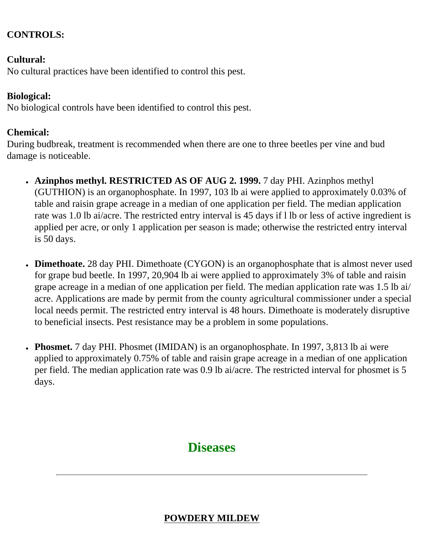#### **CONTROLS:**

#### **Cultural:**

No cultural practices have been identified to control this pest.

#### **Biological:**

No biological controls have been identified to control this pest.

#### **Chemical:**

During budbreak, treatment is recommended when there are one to three beetles per vine and bud damage is noticeable.

- **Azinphos methyl. RESTRICTED AS OF AUG 2. 1999.** 7 day PHI. Azinphos methyl (GUTHION) is an organophosphate. In 1997, 103 lb ai were applied to approximately 0.03% of table and raisin grape acreage in a median of one application per field. The median application rate was 1.0 lb ai/acre. The restricted entry interval is 45 days if l lb or less of active ingredient is applied per acre, or only 1 application per season is made; otherwise the restricted entry interval is 50 days.
- **Dimethoate.** 28 day PHI. Dimethoate (CYGON) is an organophosphate that is almost never used for grape bud beetle. In 1997, 20,904 lb ai were applied to approximately 3% of table and raisin grape acreage in a median of one application per field. The median application rate was 1.5 lb ai/ acre. Applications are made by permit from the county agricultural commissioner under a special local needs permit. The restricted entry interval is 48 hours. Dimethoate is moderately disruptive to beneficial insects. Pest resistance may be a problem in some populations.
- **Phosmet.** 7 day PHI. Phosmet (IMIDAN) is an organophosphate. In 1997, 3,813 lb ai were applied to approximately 0.75% of table and raisin grape acreage in a median of one application per field. The median application rate was 0.9 lb ai/acre. The restricted interval for phosmet is 5 days.

## **Diseases**

## **POWDERY MILDEW**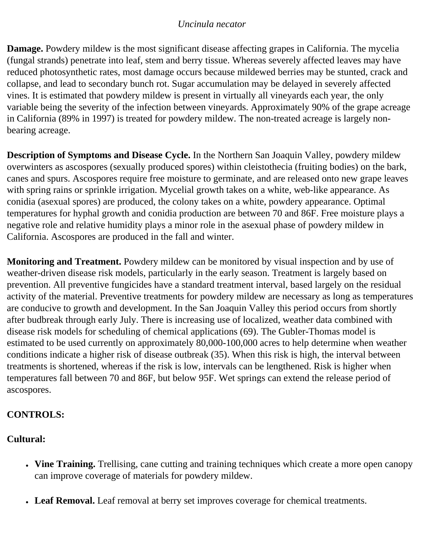#### *Uncinula necator*

**Damage.** Powdery mildew is the most significant disease affecting grapes in California. The mycelia (fungal strands) penetrate into leaf, stem and berry tissue. Whereas severely affected leaves may have reduced photosynthetic rates, most damage occurs because mildewed berries may be stunted, crack and collapse, and lead to secondary bunch rot. Sugar accumulation may be delayed in severely affected vines. It is estimated that powdery mildew is present in virtually all vineyards each year, the only variable being the severity of the infection between vineyards. Approximately 90% of the grape acreage in California (89% in 1997) is treated for powdery mildew. The non-treated acreage is largely nonbearing acreage.

**Description of Symptoms and Disease Cycle.** In the Northern San Joaquin Valley, powdery mildew overwinters as ascospores (sexually produced spores) within cleistothecia (fruiting bodies) on the bark, canes and spurs. Ascospores require free moisture to germinate, and are released onto new grape leaves with spring rains or sprinkle irrigation. Mycelial growth takes on a white, web-like appearance. As conidia (asexual spores) are produced, the colony takes on a white, powdery appearance. Optimal temperatures for hyphal growth and conidia production are between 70 and 86F. Free moisture plays a negative role and relative humidity plays a minor role in the asexual phase of powdery mildew in California. Ascospores are produced in the fall and winter.

**Monitoring and Treatment.** Powdery mildew can be monitored by visual inspection and by use of weather-driven disease risk models, particularly in the early season. Treatment is largely based on prevention. All preventive fungicides have a standard treatment interval, based largely on the residual activity of the material. Preventive treatments for powdery mildew are necessary as long as temperatures are conducive to growth and development. In the San Joaquin Valley this period occurs from shortly after budbreak through early July. There is increasing use of localized, weather data combined with disease risk models for scheduling of chemical applications (69). The Gubler-Thomas model is estimated to be used currently on approximately 80,000-100,000 acres to help determine when weather conditions indicate a higher risk of disease outbreak (35). When this risk is high, the interval between treatments is shortened, whereas if the risk is low, intervals can be lengthened. Risk is higher when temperatures fall between 70 and 86F, but below 95F. Wet springs can extend the release period of ascospores.

## **CONTROLS:**

## **Cultural:**

- Vine Training. Trellising, cane cutting and training techniques which create a more open canopy can improve coverage of materials for powdery mildew.
- Leaf Removal. Leaf removal at berry set improves coverage for chemical treatments.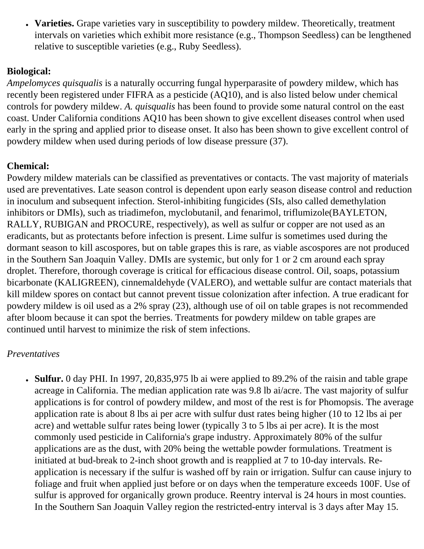• Varieties. Grape varieties vary in susceptibility to powdery mildew. Theoretically, treatment intervals on varieties which exhibit more resistance (e.g., Thompson Seedless) can be lengthened relative to susceptible varieties (e.g., Ruby Seedless).

## **Biological:**

*Ampelomyces quisqualis* is a naturally occurring fungal hyperparasite of powdery mildew, which has recently been registered under FIFRA as a pesticide (AQ10), and is also listed below under chemical controls for powdery mildew. *A. quisqualis* has been found to provide some natural control on the east coast. Under California conditions AQ10 has been shown to give excellent diseases control when used early in the spring and applied prior to disease onset. It also has been shown to give excellent control of powdery mildew when used during periods of low disease pressure (37).

## **Chemical:**

Powdery mildew materials can be classified as preventatives or contacts. The vast majority of materials used are preventatives. Late season control is dependent upon early season disease control and reduction in inoculum and subsequent infection. Sterol-inhibiting fungicides (SIs, also called demethylation inhibitors or DMIs), such as triadimefon, myclobutanil, and fenarimol, triflumizole(BAYLETON, RALLY, RUBIGAN and PROCURE, respectively), as well as sulfur or copper are not used as an eradicants, but as protectants before infection is present. Lime sulfur is sometimes used during the dormant season to kill ascospores, but on table grapes this is rare, as viable ascospores are not produced in the Southern San Joaquin Valley. DMIs are systemic, but only for 1 or 2 cm around each spray droplet. Therefore, thorough coverage is critical for efficacious disease control. Oil, soaps, potassium bicarbonate (KALIGREEN), cinnemaldehyde (VALERO), and wettable sulfur are contact materials that kill mildew spores on contact but cannot prevent tissue colonization after infection. A true eradicant for powdery mildew is oil used as a 2% spray (23), although use of oil on table grapes is not recommended after bloom because it can spot the berries. Treatments for powdery mildew on table grapes are continued until harvest to minimize the risk of stem infections.

#### *Preventatives*

• **Sulfur.** 0 day PHI. In 1997, 20,835,975 lb ai were applied to 89.2% of the raisin and table grape acreage in California. The median application rate was 9.8 lb ai/acre. The vast majority of sulfur applications is for control of powdery mildew, and most of the rest is for Phomopsis. The average application rate is about 8 lbs ai per acre with sulfur dust rates being higher (10 to 12 lbs ai per acre) and wettable sulfur rates being lower (typically 3 to 5 lbs ai per acre). It is the most commonly used pesticide in California's grape industry. Approximately 80% of the sulfur applications are as the dust, with 20% being the wettable powder formulations. Treatment is initiated at bud-break to 2-inch shoot growth and is reapplied at 7 to 10-day intervals. Reapplication is necessary if the sulfur is washed off by rain or irrigation. Sulfur can cause injury to foliage and fruit when applied just before or on days when the temperature exceeds 100F. Use of sulfur is approved for organically grown produce. Reentry interval is 24 hours in most counties. In the Southern San Joaquin Valley region the restricted-entry interval is 3 days after May 15.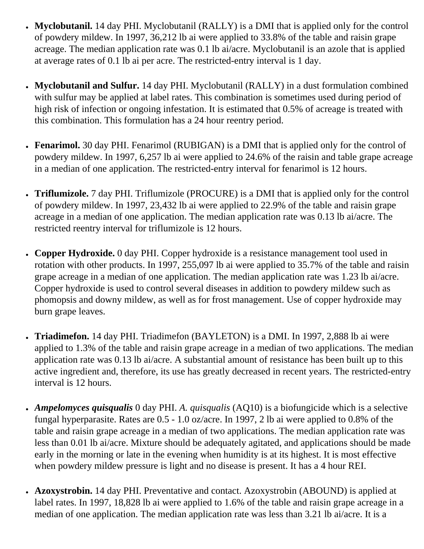- Myclobutanil. 14 day PHI. Myclobutanil (RALLY) is a DMI that is applied only for the control of powdery mildew. In 1997, 36,212 lb ai were applied to 33.8% of the table and raisin grape acreage. The median application rate was 0.1 lb ai/acre. Myclobutanil is an azole that is applied at average rates of 0.1 lb ai per acre. The restricted-entry interval is 1 day.
- **Myclobutanil and Sulfur.** 14 day PHI. Myclobutanil (RALLY) in a dust formulation combined with sulfur may be applied at label rates. This combination is sometimes used during period of high risk of infection or ongoing infestation. It is estimated that 0.5% of acreage is treated with this combination. This formulation has a 24 hour reentry period.
- **Fenarimol.** 30 day PHI. Fenarimol (RUBIGAN) is a DMI that is applied only for the control of powdery mildew. In 1997, 6,257 lb ai were applied to 24.6% of the raisin and table grape acreage in a median of one application. The restricted-entry interval for fenarimol is 12 hours.
- **Triflumizole.** 7 day PHI. Triflumizole (PROCURE) is a DMI that is applied only for the control of powdery mildew. In 1997, 23,432 lb ai were applied to 22.9% of the table and raisin grape acreage in a median of one application. The median application rate was 0.13 lb ai/acre. The restricted reentry interval for triflumizole is 12 hours.
- **Copper Hydroxide.** O day PHI. Copper hydroxide is a resistance management tool used in rotation with other products. In 1997, 255,097 lb ai were applied to 35.7% of the table and raisin grape acreage in a median of one application. The median application rate was 1.23 lb ai/acre. Copper hydroxide is used to control several diseases in addition to powdery mildew such as phomopsis and downy mildew, as well as for frost management. Use of copper hydroxide may burn grape leaves.
- **Triadimefon.** 14 day PHI. Triadimefon (BAYLETON) is a DMI. In 1997, 2,888 lb ai were applied to 1.3% of the table and raisin grape acreage in a median of two applications. The median application rate was 0.13 lb ai/acre. A substantial amount of resistance has been built up to this active ingredient and, therefore, its use has greatly decreased in recent years. The restricted-entry interval is 12 hours.
- *Ampelomyces quisqualis* 0 day PHI. *A. quisqualis* (AQ10) is a biofungicide which is a selective fungal hyperparasite. Rates are 0.5 - 1.0 oz/acre. In 1997, 2 lb ai were applied to 0.8% of the table and raisin grape acreage in a median of two applications. The median application rate was less than 0.01 lb ai/acre. Mixture should be adequately agitated, and applications should be made early in the morning or late in the evening when humidity is at its highest. It is most effective when powdery mildew pressure is light and no disease is present. It has a 4 hour REI.
- **Azoxystrobin.** 14 day PHI. Preventative and contact. Azoxystrobin (ABOUND) is applied at label rates. In 1997, 18,828 lb ai were applied to 1.6% of the table and raisin grape acreage in a median of one application. The median application rate was less than 3.21 lb ai/acre. It is a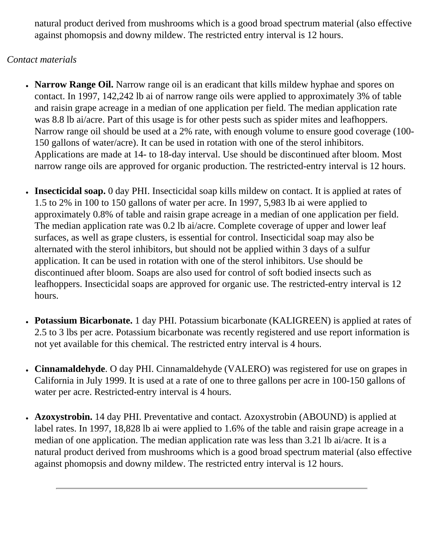natural product derived from mushrooms which is a good broad spectrum material (also effective against phomopsis and downy mildew. The restricted entry interval is 12 hours.

#### *Contact materials*

- **Narrow Range Oil.** Narrow range oil is an eradicant that kills mildew hyphae and spores on contact. In 1997, 142,242 lb ai of narrow range oils were applied to approximately 3% of table and raisin grape acreage in a median of one application per field. The median application rate was 8.8 lb ai/acre. Part of this usage is for other pests such as spider mites and leafhoppers. Narrow range oil should be used at a 2% rate, with enough volume to ensure good coverage (100- 150 gallons of water/acre). It can be used in rotation with one of the sterol inhibitors. Applications are made at 14- to 18-day interval. Use should be discontinued after bloom. Most narrow range oils are approved for organic production. The restricted-entry interval is 12 hours.
- **Insecticidal soap.** 0 day PHI. Insecticidal soap kills mildew on contact. It is applied at rates of 1.5 to 2% in 100 to 150 gallons of water per acre. In 1997, 5,983 lb ai were applied to approximately 0.8% of table and raisin grape acreage in a median of one application per field. The median application rate was 0.2 lb ai/acre. Complete coverage of upper and lower leaf surfaces, as well as grape clusters, is essential for control. Insecticidal soap may also be alternated with the sterol inhibitors, but should not be applied within 3 days of a sulfur application. It can be used in rotation with one of the sterol inhibitors. Use should be discontinued after bloom. Soaps are also used for control of soft bodied insects such as leafhoppers. Insecticidal soaps are approved for organic use. The restricted-entry interval is 12 hours.
- **Potassium Bicarbonate.** 1 day PHI. Potassium bicarbonate (KALIGREEN) is applied at rates of 2.5 to 3 lbs per acre. Potassium bicarbonate was recently registered and use report information is not yet available for this chemical. The restricted entry interval is 4 hours.
- **Cinnamaldehyde**. O day PHI. Cinnamaldehyde (VALERO) was registered for use on grapes in California in July 1999. It is used at a rate of one to three gallons per acre in 100-150 gallons of water per acre. Restricted-entry interval is 4 hours.
- **Azoxystrobin.** 14 day PHI. Preventative and contact. Azoxystrobin (ABOUND) is applied at label rates. In 1997, 18,828 lb ai were applied to 1.6% of the table and raisin grape acreage in a median of one application. The median application rate was less than 3.21 lb ai/acre. It is a natural product derived from mushrooms which is a good broad spectrum material (also effective against phomopsis and downy mildew. The restricted entry interval is 12 hours.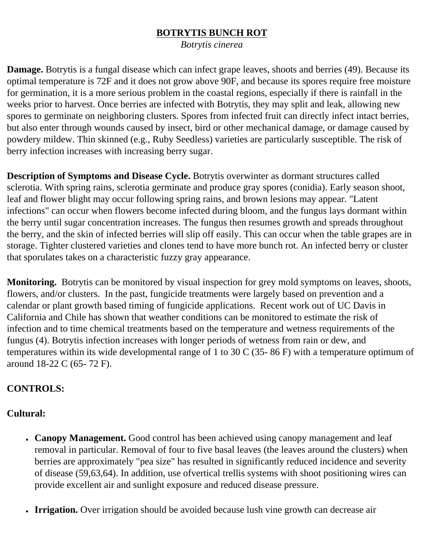### **BOTRYTIS BUNCH ROT**

*Botrytis cinerea*

**Damage.** Botrytis is a fungal disease which can infect grape leaves, shoots and berries (49). Because its optimal temperature is 72F and it does not grow above 90F, and because its spores require free moisture for germination, it is a more serious problem in the coastal regions, especially if there is rainfall in the weeks prior to harvest. Once berries are infected with Botrytis, they may split and leak, allowing new spores to germinate on neighboring clusters. Spores from infected fruit can directly infect intact berries, but also enter through wounds caused by insect, bird or other mechanical damage, or damage caused by powdery mildew. Thin skinned (e.g., Ruby Seedless) varieties are particularly susceptible. The risk of berry infection increases with increasing berry sugar.

**Description of Symptoms and Disease Cycle.** Botrytis overwinter as dormant structures called sclerotia. With spring rains, sclerotia germinate and produce gray spores (conidia). Early season shoot, leaf and flower blight may occur following spring rains, and brown lesions may appear. "Latent infections" can occur when flowers become infected during bloom, and the fungus lays dormant within the berry until sugar concentration increases. The fungus then resumes growth and spreads throughout the berry, and the skin of infected berries will slip off easily. This can occur when the table grapes are in storage. Tighter clustered varieties and clones tend to have more bunch rot. An infected berry or cluster that sporulates takes on a characteristic fuzzy gray appearance.

**Monitoring.** Botrytis can be monitored by visual inspection for grey mold symptoms on leaves, shoots, flowers, and/or clusters. In the past, fungicide treatments were largely based on prevention and a calendar or plant growth based timing of fungicide applications. Recent work out of UC Davis in California and Chile has shown that weather conditions can be monitored to estimate the risk of infection and to time chemical treatments based on the temperature and wetness requirements of the fungus (4). Botrytis infection increases with longer periods of wetness from rain or dew, and temperatures within its wide developmental range of 1 to 30 C (35- 86 F) with a temperature optimum of around 18-22 C (65- 72 F).

## **CONTROLS:**

#### **Cultural:**

- Canopy Management. Good control has been achieved using canopy management and leaf removal in particular. Removal of four to five basal leaves (the leaves around the clusters) when berries are approximately "pea size" has resulted in significantly reduced incidence and severity of disease (59,63,64). In addition, use ofvertical trellis systems with shoot positioning wires can provide excellent air and sunlight exposure and reduced disease pressure.
- **Irrigation.** Over irrigation should be avoided because lush vine growth can decrease air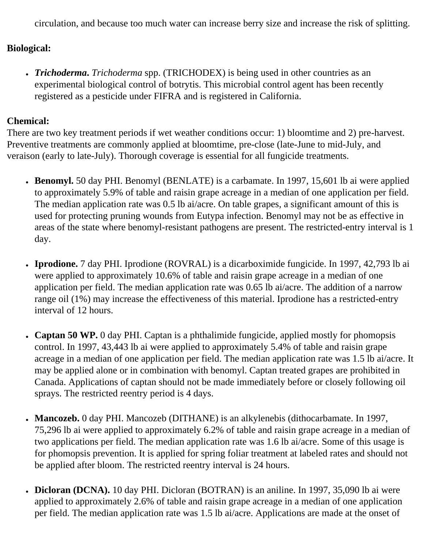circulation, and because too much water can increase berry size and increase the risk of splitting.

#### **Biological:**

• *Trichoderma*. *Trichoderma* spp. (TRICHODEX) is being used in other countries as an experimental biological control of botrytis. This microbial control agent has been recently registered as a pesticide under FIFRA and is registered in California.

## **Chemical:**

There are two key treatment periods if wet weather conditions occur: 1) bloomtime and 2) pre-harvest. Preventive treatments are commonly applied at bloomtime, pre-close (late-June to mid-July, and veraison (early to late-July). Thorough coverage is essential for all fungicide treatments.

- Benomyl. 50 day PHI. Benomyl (BENLATE) is a carbamate. In 1997, 15,601 lb ai were applied to approximately 5.9% of table and raisin grape acreage in a median of one application per field. The median application rate was 0.5 lb ai/acre. On table grapes, a significant amount of this is used for protecting pruning wounds from Eutypa infection. Benomyl may not be as effective in areas of the state where benomyl-resistant pathogens are present. The restricted-entry interval is 1 day.
- **Iprodione.** 7 day PHI. Iprodione (ROVRAL) is a dicarboximide fungicide. In 1997, 42,793 lb ai were applied to approximately 10.6% of table and raisin grape acreage in a median of one application per field. The median application rate was 0.65 lb ai/acre. The addition of a narrow range oil (1%) may increase the effectiveness of this material. Iprodione has a restricted-entry interval of 12 hours.
- Captan 50 WP. 0 day PHI. Captan is a phthalimide fungicide, applied mostly for phomopsis control. In 1997, 43,443 lb ai were applied to approximately 5.4% of table and raisin grape acreage in a median of one application per field. The median application rate was 1.5 lb ai/acre. It may be applied alone or in combination with benomyl. Captan treated grapes are prohibited in Canada. Applications of captan should not be made immediately before or closely following oil sprays. The restricted reentry period is 4 days.
- **Mancozeb.** 0 day PHI. Mancozeb (DITHANE) is an alkylenebis (dithocarbamate. In 1997, 75,296 lb ai were applied to approximately 6.2% of table and raisin grape acreage in a median of two applications per field. The median application rate was 1.6 lb ai/acre. Some of this usage is for phomopsis prevention. It is applied for spring foliar treatment at labeled rates and should not be applied after bloom. The restricted reentry interval is 24 hours.
- **Dicloran (DCNA).** 10 day PHI. Dicloran (BOTRAN) is an aniline. In 1997, 35,090 lb ai were applied to approximately 2.6% of table and raisin grape acreage in a median of one application per field. The median application rate was 1.5 lb ai/acre. Applications are made at the onset of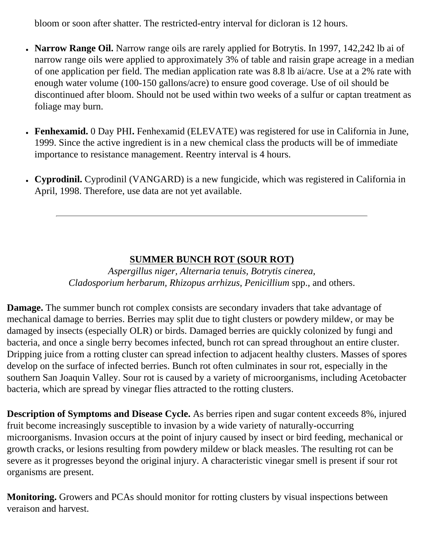bloom or soon after shatter. The restricted-entry interval for dicloran is 12 hours.

- Narrow Range Oil. Narrow range oils are rarely applied for Botrytis. In 1997, 142,242 lb ai of narrow range oils were applied to approximately 3% of table and raisin grape acreage in a median of one application per field. The median application rate was 8.8 lb ai/acre. Use at a 2% rate with enough water volume (100-150 gallons/acre) to ensure good coverage. Use of oil should be discontinued after bloom. Should not be used within two weeks of a sulfur or captan treatment as foliage may burn.
- **Fenhexamid.** 0 Day PHI**.** Fenhexamid (ELEVATE) was registered for use in California in June, 1999. Since the active ingredient is in a new chemical class the products will be of immediate importance to resistance management. Reentry interval is 4 hours.
- Cyprodinil. Cyprodinil (VANGARD) is a new fungicide, which was registered in California in April, 1998. Therefore, use data are not yet available.

## **SUMMER BUNCH ROT (SOUR ROT)**

*Aspergillus niger, Alternaria tenuis, Botrytis cinerea, Cladosporium herbarum, Rhizopus arrhizus, Penicillium* spp., and others.

**Damage.** The summer bunch rot complex consists are secondary invaders that take advantage of mechanical damage to berries. Berries may split due to tight clusters or powdery mildew, or may be damaged by insects (especially OLR) or birds. Damaged berries are quickly colonized by fungi and bacteria, and once a single berry becomes infected, bunch rot can spread throughout an entire cluster. Dripping juice from a rotting cluster can spread infection to adjacent healthy clusters. Masses of spores develop on the surface of infected berries. Bunch rot often culminates in sour rot, especially in the southern San Joaquin Valley. Sour rot is caused by a variety of microorganisms, including Acetobacter bacteria, which are spread by vinegar flies attracted to the rotting clusters.

**Description of Symptoms and Disease Cycle.** As berries ripen and sugar content exceeds 8%, injured fruit become increasingly susceptible to invasion by a wide variety of naturally-occurring microorganisms. Invasion occurs at the point of injury caused by insect or bird feeding, mechanical or growth cracks, or lesions resulting from powdery mildew or black measles. The resulting rot can be severe as it progresses beyond the original injury. A characteristic vinegar smell is present if sour rot organisms are present.

**Monitoring.** Growers and PCAs should monitor for rotting clusters by visual inspections between veraison and harvest.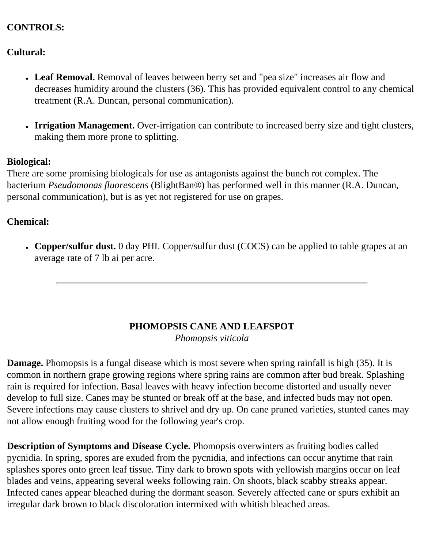## **CONTROLS:**

## **Cultural:**

- Leaf Removal. Removal of leaves between berry set and "pea size" increases air flow and decreases humidity around the clusters (36). This has provided equivalent control to any chemical treatment (R.A. Duncan, personal communication).
- **Irrigation Management.** Over-irrigation can contribute to increased berry size and tight clusters, making them more prone to splitting.

#### **Biological:**

There are some promising biologicals for use as antagonists against the bunch rot complex. The bacterium *Pseudomonas fluorescens* (BlightBan®) has performed well in this manner (R.A. Duncan, personal communication), but is as yet not registered for use on grapes.

#### **Chemical:**

• Copper/sulfur dust. 0 day PHI. Copper/sulfur dust (COCS) can be applied to table grapes at an average rate of 7 lb ai per acre.

# **PHOMOPSIS CANE AND LEAFSPOT**

*Phomopsis viticola*

**Damage.** Phomopsis is a fungal disease which is most severe when spring rainfall is high (35). It is common in northern grape growing regions where spring rains are common after bud break. Splashing rain is required for infection. Basal leaves with heavy infection become distorted and usually never develop to full size. Canes may be stunted or break off at the base, and infected buds may not open. Severe infections may cause clusters to shrivel and dry up. On cane pruned varieties, stunted canes may not allow enough fruiting wood for the following year's crop.

**Description of Symptoms and Disease Cycle.** Phomopsis overwinters as fruiting bodies called pycnidia. In spring, spores are exuded from the pycnidia, and infections can occur anytime that rain splashes spores onto green leaf tissue. Tiny dark to brown spots with yellowish margins occur on leaf blades and veins, appearing several weeks following rain. On shoots, black scabby streaks appear. Infected canes appear bleached during the dormant season. Severely affected cane or spurs exhibit an irregular dark brown to black discoloration intermixed with whitish bleached areas.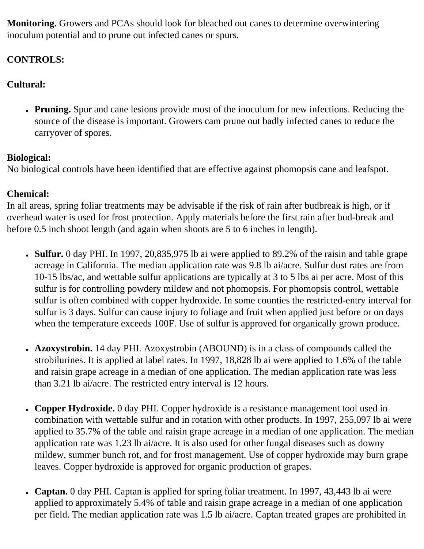**Monitoring.** Growers and PCAs should look for bleached out canes to determine overwintering inoculum potential and to prune out infected canes or spurs.

# **CONTROLS:**

# **Cultural:**

• **Pruning.** Spur and cane lesions provide most of the inoculum for new infections. Reducing the source of the disease is important. Growers cam prune out badly infected canes to reduce the carryover of spores.

# **Biological:**

No biological controls have been identified that are effective against phomopsis cane and leafspot.

# **Chemical:**

In all areas, spring foliar treatments may be advisable if the risk of rain after budbreak is high, or if overhead water is used for frost protection. Apply materials before the first rain after bud-break and before 0.5 inch shoot length (and again when shoots are 5 to 6 inches in length).

- **Sulfur.** 0 day PHI. In 1997, 20,835,975 lb ai were applied to 89.2% of the raisin and table grape acreage in California. The median application rate was 9.8 lb ai/acre. Sulfur dust rates are from 10-15 lbs/ac, and wettable sulfur applications are typically at 3 to 5 lbs ai per acre. Most of this sulfur is for controlling powdery mildew and not phomopsis. For phomopsis control, wettable sulfur is often combined with copper hydroxide. In some counties the restricted-entry interval for sulfur is 3 days. Sulfur can cause injury to foliage and fruit when applied just before or on days when the temperature exceeds 100F. Use of sulfur is approved for organically grown produce.
- **Azoxystrobin.** 14 day PHI. Azoxystrobin (ABOUND) is in a class of compounds called the strobilurines. It is applied at label rates. In 1997, 18,828 lb ai were applied to 1.6% of the table and raisin grape acreage in a median of one application. The median application rate was less than 3.21 lb ai/acre. The restricted entry interval is 12 hours.
- Copper Hydroxide. 0 day PHI. Copper hydroxide is a resistance management tool used in combination with wettable sulfur and in rotation with other products. In 1997, 255,097 lb ai were applied to 35.7% of the table and raisin grape acreage in a median of one application. The median application rate was 1.23 lb ai/acre. It is also used for other fungal diseases such as downy mildew, summer bunch rot, and for frost management. Use of copper hydroxide may burn grape leaves. Copper hydroxide is approved for organic production of grapes.
- Captan. 0 day PHI. Captan is applied for spring foliar treatment. In 1997, 43,443 lb ai were applied to approximately 5.4% of table and raisin grape acreage in a median of one application per field. The median application rate was 1.5 lb ai/acre. Captan treated grapes are prohibited in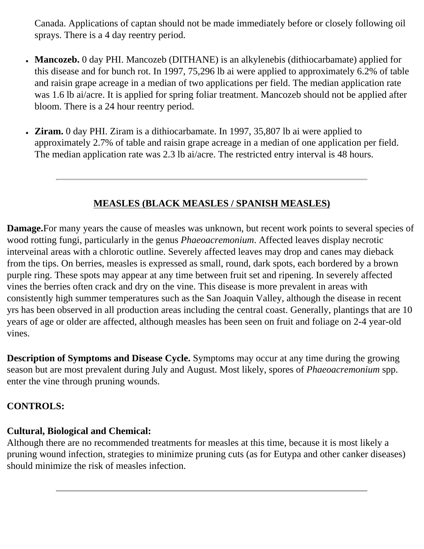Canada. Applications of captan should not be made immediately before or closely following oil sprays. There is a 4 day reentry period.

- Mancozeb. 0 day PHI. Mancozeb (DITHANE) is an alkylenebis (dithiocarbamate) applied for this disease and for bunch rot. In 1997, 75,296 lb ai were applied to approximately 6.2% of table and raisin grape acreage in a median of two applications per field. The median application rate was 1.6 lb ai/acre. It is applied for spring foliar treatment. Mancozeb should not be applied after bloom. There is a 24 hour reentry period.
- **Ziram.** 0 day PHI. Ziram is a dithiocarbamate. In 1997, 35,807 lb ai were applied to approximately 2.7% of table and raisin grape acreage in a median of one application per field. The median application rate was 2.3 lb ai/acre. The restricted entry interval is 48 hours.

## **MEASLES (BLACK MEASLES / SPANISH MEASLES)**

**Damage.**For many years the cause of measles was unknown, but recent work points to several species of wood rotting fungi, particularly in the genus *Phaeoacremonium*. Affected leaves display necrotic interveinal areas with a chlorotic outline. Severely affected leaves may drop and canes may dieback from the tips. On berries, measles is expressed as small, round, dark spots, each bordered by a brown purple ring. These spots may appear at any time between fruit set and ripening. In severely affected vines the berries often crack and dry on the vine. This disease is more prevalent in areas with consistently high summer temperatures such as the San Joaquin Valley, although the disease in recent yrs has been observed in all production areas including the central coast. Generally, plantings that are 10 years of age or older are affected, although measles has been seen on fruit and foliage on 2-4 year-old vines.

**Description of Symptoms and Disease Cycle.** Symptoms may occur at any time during the growing season but are most prevalent during July and August. Most likely, spores of *Phaeoacremonium* spp. enter the vine through pruning wounds.

## **CONTROLS:**

# **Cultural, Biological and Chemical:**

Although there are no recommended treatments for measles at this time, because it is most likely a pruning wound infection, strategies to minimize pruning cuts (as for Eutypa and other canker diseases) should minimize the risk of measles infection.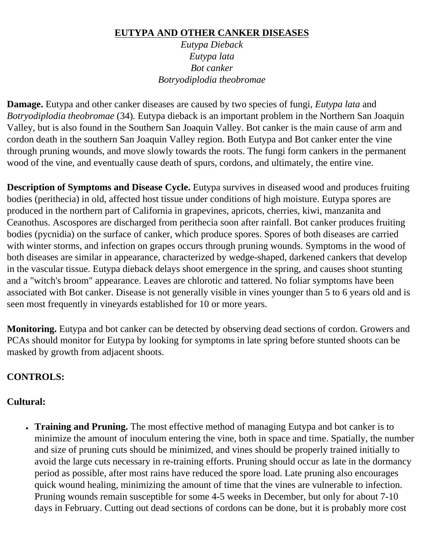#### **EUTYPA AND OTHER CANKER DISEASES**

*Eutypa Dieback Eutypa lata Bot canker Botryodiplodia theobromae*

**Damage.** Eutypa and other canker diseases are caused by two species of fungi, *Eutypa lata* and *Botryodiplodia theobromae* (34)*.* Eutypa dieback is an important problem in the Northern San Joaquin Valley, but is also found in the Southern San Joaquin Valley. Bot canker is the main cause of arm and cordon death in the southern San Joaquin Valley region. Both Eutypa and Bot canker enter the vine through pruning wounds, and move slowly towards the roots. The fungi form cankers in the permanent wood of the vine, and eventually cause death of spurs, cordons, and ultimately, the entire vine.

**Description of Symptoms and Disease Cycle.** Eutypa survives in diseased wood and produces fruiting bodies (perithecia) in old, affected host tissue under conditions of high moisture. Eutypa spores are produced in the northern part of California in grapevines, apricots, cherries, kiwi, manzanita and Ceanothus. Ascospores are discharged from perithecia soon after rainfall. Bot canker produces fruiting bodies (pycnidia) on the surface of canker, which produce spores. Spores of both diseases are carried with winter storms, and infection on grapes occurs through pruning wounds. Symptoms in the wood of both diseases are similar in appearance, characterized by wedge-shaped, darkened cankers that develop in the vascular tissue. Eutypa dieback delays shoot emergence in the spring, and causes shoot stunting and a "witch's broom" appearance. Leaves are chlorotic and tattered. No foliar symptoms have been associated with Bot canker. Disease is not generally visible in vines younger than 5 to 6 years old and is seen most frequently in vineyards established for 10 or more years.

**Monitoring.** Eutypa and bot canker can be detected by observing dead sections of cordon. Growers and PCAs should monitor for Eutypa by looking for symptoms in late spring before stunted shoots can be masked by growth from adjacent shoots.

## **CONTROLS:**

## **Cultural:**

• **Training and Pruning.** The most effective method of managing Eutypa and bot canker is to minimize the amount of inoculum entering the vine, both in space and time. Spatially, the number and size of pruning cuts should be minimized, and vines should be properly trained initially to avoid the large cuts necessary in re-training efforts. Pruning should occur as late in the dormancy period as possible, after most rains have reduced the spore load. Late pruning also encourages quick wound healing, minimizing the amount of time that the vines are vulnerable to infection. Pruning wounds remain susceptible for some 4-5 weeks in December, but only for about 7-10 days in February. Cutting out dead sections of cordons can be done, but it is probably more cost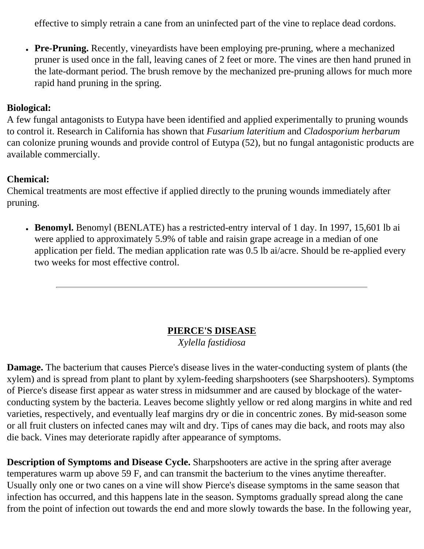effective to simply retrain a cane from an uninfected part of the vine to replace dead cordons.

• Pre-Pruning. Recently, vineyardists have been employing pre-pruning, where a mechanized pruner is used once in the fall, leaving canes of 2 feet or more. The vines are then hand pruned in the late-dormant period. The brush remove by the mechanized pre-pruning allows for much more rapid hand pruning in the spring.

## **Biological:**

A few fungal antagonists to Eutypa have been identified and applied experimentally to pruning wounds to control it. Research in California has shown that *Fusarium lateritium* and *Cladosporium herbarum* can colonize pruning wounds and provide control of Eutypa (52), but no fungal antagonistic products are available commercially.

## **Chemical:**

Chemical treatments are most effective if applied directly to the pruning wounds immediately after pruning.

• Benomyl. Benomyl (BENLATE) has a restricted-entry interval of 1 day. In 1997, 15,601 lb ai were applied to approximately 5.9% of table and raisin grape acreage in a median of one application per field. The median application rate was 0.5 lb ai/acre. Should be re-applied every two weeks for most effective control.

# **PIERCE'S DISEASE**

*Xylella fastidiosa*

**Damage.** The bacterium that causes Pierce's disease lives in the water-conducting system of plants (the xylem) and is spread from plant to plant by xylem-feeding sharpshooters (see Sharpshooters). Symptoms of Pierce's disease first appear as water stress in midsummer and are caused by blockage of the waterconducting system by the bacteria. Leaves become slightly yellow or red along margins in white and red varieties, respectively, and eventually leaf margins dry or die in concentric zones. By mid-season some or all fruit clusters on infected canes may wilt and dry. Tips of canes may die back, and roots may also die back. Vines may deteriorate rapidly after appearance of symptoms.

**Description of Symptoms and Disease Cycle.** Sharpshooters are active in the spring after average temperatures warm up above 59 F, and can transmit the bacterium to the vines anytime thereafter. Usually only one or two canes on a vine will show Pierce's disease symptoms in the same season that infection has occurred, and this happens late in the season. Symptoms gradually spread along the cane from the point of infection out towards the end and more slowly towards the base. In the following year,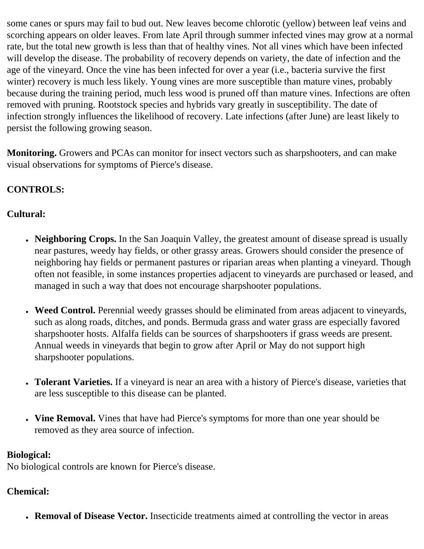some canes or spurs may fail to bud out. New leaves become chlorotic (yellow) between leaf veins and scorching appears on older leaves. From late April through summer infected vines may grow at a normal rate, but the total new growth is less than that of healthy vines. Not all vines which have been infected will develop the disease. The probability of recovery depends on variety, the date of infection and the age of the vineyard. Once the vine has been infected for over a year (i.e., bacteria survive the first winter) recovery is much less likely. Young vines are more susceptible than mature vines, probably because during the training period, much less wood is pruned off than mature vines. Infections are often removed with pruning. Rootstock species and hybrids vary greatly in susceptibility. The date of infection strongly influences the likelihood of recovery. Late infections (after June) are least likely to persist the following growing season.

**Monitoring.** Growers and PCAs can monitor for insect vectors such as sharpshooters, and can make visual observations for symptoms of Pierce's disease.

# **CONTROLS:**

# **Cultural:**

- **Neighboring Crops.** In the San Joaquin Valley, the greatest amount of disease spread is usually near pastures, weedy hay fields, or other grassy areas. Growers should consider the presence of neighboring hay fields or permanent pastures or riparian areas when planting a vineyard. Though often not feasible, in some instances properties adjacent to vineyards are purchased or leased, and managed in such a way that does not encourage sharpshooter populations.
- Weed Control. Perennial weedy grasses should be eliminated from areas adjacent to vineyards, such as along roads, ditches, and ponds. Bermuda grass and water grass are especially favored sharpshooter hosts. Alfalfa fields can be sources of sharpshooters if grass weeds are present. Annual weeds in vineyards that begin to grow after April or May do not support high sharpshooter populations.
- **Tolerant Varieties.** If a vineyard is near an area with a history of Pierce's disease, varieties that are less susceptible to this disease can be planted.
- Vine Removal. Vines that have had Pierce's symptoms for more than one year should be removed as they area source of infection.

# **Biological:**

No biological controls are known for Pierce's disease.

# **Chemical:**

● **Removal of Disease Vector.** Insecticide treatments aimed at controlling the vector in areas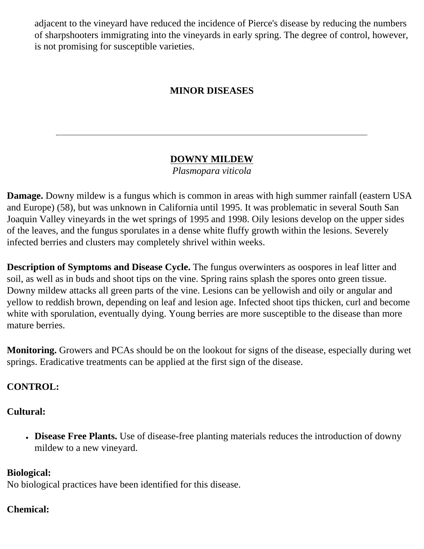adjacent to the vineyard have reduced the incidence of Pierce's disease by reducing the numbers of sharpshooters immigrating into the vineyards in early spring. The degree of control, however, is not promising for susceptible varieties.

# **MINOR DISEASES**

# **DOWNY MILDEW**

*Plasmopara viticola*

**Damage.** Downy mildew is a fungus which is common in areas with high summer rainfall (eastern USA and Europe) (58), but was unknown in California until 1995. It was problematic in several South San Joaquin Valley vineyards in the wet springs of 1995 and 1998. Oily lesions develop on the upper sides of the leaves, and the fungus sporulates in a dense white fluffy growth within the lesions. Severely infected berries and clusters may completely shrivel within weeks.

**Description of Symptoms and Disease Cycle.** The fungus overwinters as oospores in leaf litter and soil, as well as in buds and shoot tips on the vine. Spring rains splash the spores onto green tissue. Downy mildew attacks all green parts of the vine. Lesions can be yellowish and oily or angular and yellow to reddish brown, depending on leaf and lesion age. Infected shoot tips thicken, curl and become white with sporulation, eventually dying. Young berries are more susceptible to the disease than more mature berries.

**Monitoring.** Growers and PCAs should be on the lookout for signs of the disease, especially during wet springs. Eradicative treatments can be applied at the first sign of the disease.

# **CONTROL:**

# **Cultural:**

• Disease Free Plants. Use of disease-free planting materials reduces the introduction of downy mildew to a new vineyard.

# **Biological:**

No biological practices have been identified for this disease.

# **Chemical:**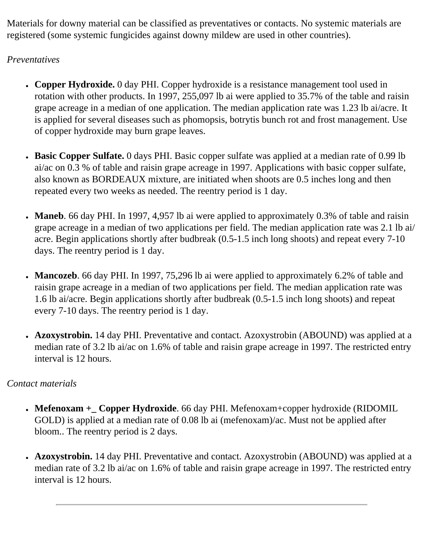Materials for downy material can be classified as preventatives or contacts. No systemic materials are registered (some systemic fungicides against downy mildew are used in other countries).

## *Preventatives*

- Copper Hydroxide. 0 day PHI. Copper hydroxide is a resistance management tool used in rotation with other products. In 1997, 255,097 lb ai were applied to 35.7% of the table and raisin grape acreage in a median of one application. The median application rate was 1.23 lb ai/acre. It is applied for several diseases such as phomopsis, botrytis bunch rot and frost management. Use of copper hydroxide may burn grape leaves.
- **Basic Copper Sulfate.** 0 days PHI. Basic copper sulfate was applied at a median rate of 0.99 lb ai/ac on 0.3 % of table and raisin grape acreage in 1997. Applications with basic copper sulfate, also known as BORDEAUX mixture, are initiated when shoots are 0.5 inches long and then repeated every two weeks as needed. The reentry period is 1 day.
- Maneb. 66 day PHI. In 1997, 4,957 lb ai were applied to approximately 0.3% of table and raisin grape acreage in a median of two applications per field. The median application rate was 2.1 lb ai/ acre. Begin applications shortly after budbreak (0.5-1.5 inch long shoots) and repeat every 7-10 days. The reentry period is 1 day.
- Mancozeb. 66 day PHI. In 1997, 75,296 lb ai were applied to approximately 6.2% of table and raisin grape acreage in a median of two applications per field. The median application rate was 1.6 lb ai/acre. Begin applications shortly after budbreak (0.5-1.5 inch long shoots) and repeat every 7-10 days. The reentry period is 1 day.
- **Azoxystrobin.** 14 day PHI. Preventative and contact. Azoxystrobin (ABOUND) was applied at a median rate of 3.2 lb ai/ac on 1.6% of table and raisin grape acreage in 1997. The restricted entry interval is 12 hours.

# *Contact materials*

- Mefenoxam + Copper Hydroxide. 66 day PHI. Mefenoxam+copper hydroxide (RIDOMIL GOLD) is applied at a median rate of 0.08 lb ai (mefenoxam)/ac. Must not be applied after bloom.. The reentry period is 2 days.
- Azoxystrobin. 14 day PHI. Preventative and contact. Azoxystrobin (ABOUND) was applied at a median rate of 3.2 lb ai/ac on 1.6% of table and raisin grape acreage in 1997. The restricted entry interval is 12 hours.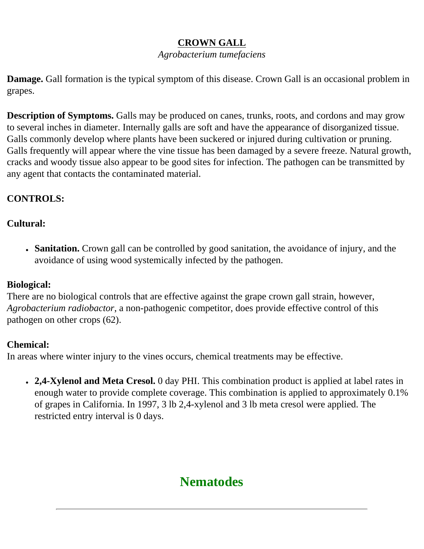# **CROWN GALL**

#### *Agrobacterium tumefaciens*

**Damage.** Gall formation is the typical symptom of this disease. Crown Gall is an occasional problem in grapes.

**Description of Symptoms.** Galls may be produced on canes, trunks, roots, and cordons and may grow to several inches in diameter. Internally galls are soft and have the appearance of disorganized tissue. Galls commonly develop where plants have been suckered or injured during cultivation or pruning. Galls frequently will appear where the vine tissue has been damaged by a severe freeze. Natural growth, cracks and woody tissue also appear to be good sites for infection. The pathogen can be transmitted by any agent that contacts the contaminated material.

# **CONTROLS:**

# **Cultural:**

• **Sanitation.** Crown gall can be controlled by good sanitation, the avoidance of injury, and the avoidance of using wood systemically infected by the pathogen.

# **Biological:**

There are no biological controls that are effective against the grape crown gall strain, however, *Agrobacterium radiobactor*, a non-pathogenic competitor, does provide effective control of this pathogen on other crops (62).

# **Chemical:**

In areas where winter injury to the vines occurs, chemical treatments may be effective.

• 2,4-Xylenol and Meta Cresol. 0 day PHI. This combination product is applied at label rates in enough water to provide complete coverage. This combination is applied to approximately 0.1% of grapes in California. In 1997, 3 lb 2,4-xylenol and 3 lb meta cresol were applied. The restricted entry interval is 0 days.

# **Nematodes**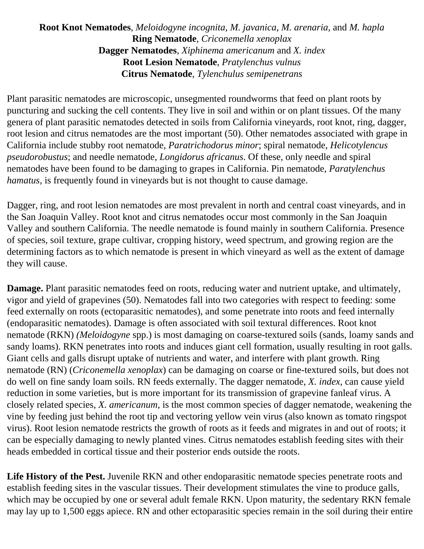## **Root Knot Nematodes**, *Meloidogyne incognita, M. javanica, M. arenaria,* and *M. hapla* **Ring Nematode**, *Criconemella xenoplax* **Dagger Nematodes**, *Xiphinema americanum* and *X. index* **Root Lesion Nematode**, *Pratylenchus vulnus* **Citrus Nematode**, *Tylenchulus semipenetrans*

Plant parasitic nematodes are microscopic, unsegmented roundworms that feed on plant roots by puncturing and sucking the cell contents. They live in soil and within or on plant tissues. Of the many genera of plant parasitic nematodes detected in soils from California vineyards, root knot, ring, dagger, root lesion and citrus nematodes are the most important (50). Other nematodes associated with grape in California include stubby root nematode, *Paratrichodorus minor*; spiral nematode, *Helicotylencus pseudorobustus*; and needle nematode, *Longidorus africanus*. Of these, only needle and spiral nematodes have been found to be damaging to grapes in California. Pin nematode, *Paratylenchus hamatus,* is frequently found in vineyards but is not thought to cause damage.

Dagger, ring, and root lesion nematodes are most prevalent in north and central coast vineyards, and in the San Joaquin Valley. Root knot and citrus nematodes occur most commonly in the San Joaquin Valley and southern California. The needle nematode is found mainly in southern California. Presence of species, soil texture, grape cultivar, cropping history, weed spectrum, and growing region are the determining factors as to which nematode is present in which vineyard as well as the extent of damage they will cause.

**Damage.** Plant parasitic nematodes feed on roots, reducing water and nutrient uptake, and ultimately, vigor and yield of grapevines (50). Nematodes fall into two categories with respect to feeding: some feed externally on roots (ectoparasitic nematodes), and some penetrate into roots and feed internally (endoparasitic nematodes). Damage is often associated with soil textural differences. Root knot nematode (RKN) *(Meloidogyne* spp.) is most damaging on coarse-textured soils (sands, loamy sands and sandy loams). RKN penetrates into roots and induces giant cell formation, usually resulting in root galls. Giant cells and galls disrupt uptake of nutrients and water, and interfere with plant growth. Ring nematode (RN) (*Criconemella xenoplax*) can be damaging on coarse or fine-textured soils, but does not do well on fine sandy loam soils. RN feeds externally. The dagger nematode, *X. index*, can cause yield reduction in some varieties, but is more important for its transmission of grapevine fanleaf virus. A closely related species, *X. americanum*, is the most common species of dagger nematode, weakening the vine by feeding just behind the root tip and vectoring yellow vein virus (also known as tomato ringspot virus). Root lesion nematode restricts the growth of roots as it feeds and migrates in and out of roots; it can be especially damaging to newly planted vines. Citrus nematodes establish feeding sites with their heads embedded in cortical tissue and their posterior ends outside the roots.

**Life History of the Pest.** Juvenile RKN and other endoparasitic nematode species penetrate roots and establish feeding sites in the vascular tissues. Their development stimulates the vine to produce galls, which may be occupied by one or several adult female RKN. Upon maturity, the sedentary RKN female may lay up to 1,500 eggs apiece. RN and other ectoparasitic species remain in the soil during their entire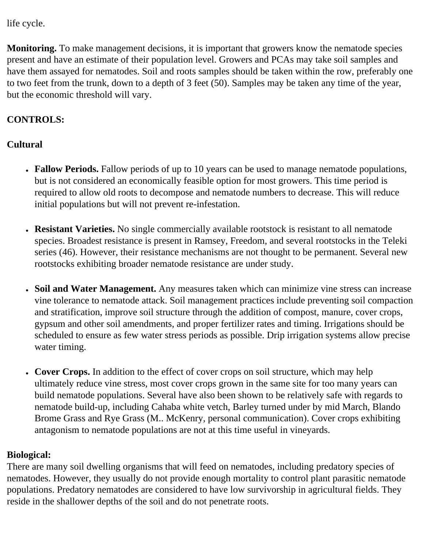life cycle.

**Monitoring.** To make management decisions, it is important that growers know the nematode species present and have an estimate of their population level. Growers and PCAs may take soil samples and have them assayed for nematodes. Soil and roots samples should be taken within the row, preferably one to two feet from the trunk, down to a depth of 3 feet (50). Samples may be taken any time of the year, but the economic threshold will vary.

# **CONTROLS:**

# **Cultural**

- **Fallow Periods.** Fallow periods of up to 10 years can be used to manage nematode populations, but is not considered an economically feasible option for most growers. This time period is required to allow old roots to decompose and nematode numbers to decrease. This will reduce initial populations but will not prevent re-infestation.
- **Resistant Varieties.** No single commercially available rootstock is resistant to all nematode species. Broadest resistance is present in Ramsey, Freedom, and several rootstocks in the Teleki series (46). However, their resistance mechanisms are not thought to be permanent. Several new rootstocks exhibiting broader nematode resistance are under study.
- **Soil and Water Management.** Any measures taken which can minimize vine stress can increase vine tolerance to nematode attack. Soil management practices include preventing soil compaction and stratification, improve soil structure through the addition of compost, manure, cover crops, gypsum and other soil amendments, and proper fertilizer rates and timing. Irrigations should be scheduled to ensure as few water stress periods as possible. Drip irrigation systems allow precise water timing.
- Cover Crops. In addition to the effect of cover crops on soil structure, which may help ultimately reduce vine stress, most cover crops grown in the same site for too many years can build nematode populations. Several have also been shown to be relatively safe with regards to nematode build-up, including Cahaba white vetch, Barley turned under by mid March, Blando Brome Grass and Rye Grass (M.. McKenry, personal communication). Cover crops exhibiting antagonism to nematode populations are not at this time useful in vineyards.

# **Biological:**

There are many soil dwelling organisms that will feed on nematodes, including predatory species of nematodes. However, they usually do not provide enough mortality to control plant parasitic nematode populations. Predatory nematodes are considered to have low survivorship in agricultural fields. They reside in the shallower depths of the soil and do not penetrate roots.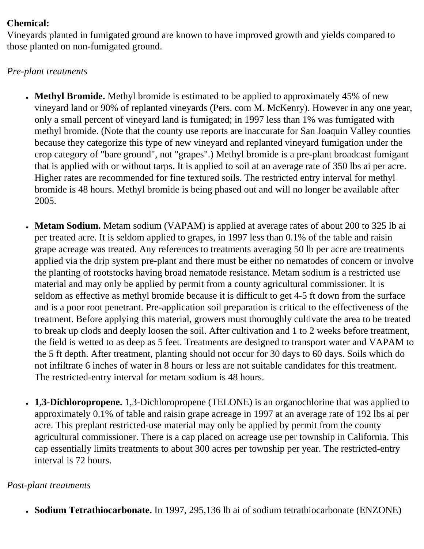## **Chemical:**

Vineyards planted in fumigated ground are known to have improved growth and yields compared to those planted on non-fumigated ground.

# *Pre-plant treatments*

- Methyl Bromide. Methyl bromide is estimated to be applied to approximately 45% of new vineyard land or 90% of replanted vineyards (Pers. com M. McKenry). However in any one year, only a small percent of vineyard land is fumigated; in 1997 less than 1% was fumigated with methyl bromide. (Note that the county use reports are inaccurate for San Joaquin Valley counties because they categorize this type of new vineyard and replanted vineyard fumigation under the crop category of "bare ground", not "grapes".) Methyl bromide is a pre-plant broadcast fumigant that is applied with or without tarps. It is applied to soil at an average rate of 350 lbs ai per acre. Higher rates are recommended for fine textured soils. The restricted entry interval for methyl bromide is 48 hours. Methyl bromide is being phased out and will no longer be available after 2005.
- Metam Sodium. Metam sodium (VAPAM) is applied at average rates of about 200 to 325 lb ai per treated acre. It is seldom applied to grapes, in 1997 less than 0.1% of the table and raisin grape acreage was treated. Any references to treatments averaging 50 lb per acre are treatments applied via the drip system pre-plant and there must be either no nematodes of concern or involve the planting of rootstocks having broad nematode resistance. Metam sodium is a restricted use material and may only be applied by permit from a county agricultural commissioner. It is seldom as effective as methyl bromide because it is difficult to get 4-5 ft down from the surface and is a poor root penetrant. Pre-application soil preparation is critical to the effectiveness of the treatment. Before applying this material, growers must thoroughly cultivate the area to be treated to break up clods and deeply loosen the soil. After cultivation and 1 to 2 weeks before treatment, the field is wetted to as deep as 5 feet. Treatments are designed to transport water and VAPAM to the 5 ft depth. After treatment, planting should not occur for 30 days to 60 days. Soils which do not infiltrate 6 inches of water in 8 hours or less are not suitable candidates for this treatment. The restricted-entry interval for metam sodium is 48 hours.
- **1,3-Dichloropropene.** 1,3-Dichloropropene (TELONE) is an organochlorine that was applied to approximately 0.1% of table and raisin grape acreage in 1997 at an average rate of 192 lbs ai per acre. This preplant restricted-use material may only be applied by permit from the county agricultural commissioner. There is a cap placed on acreage use per township in California. This cap essentially limits treatments to about 300 acres per township per year. The restricted-entry interval is 72 hours.

# *Post-plant treatments*

● **Sodium Tetrathiocarbonate.** In 1997, 295,136 lb ai of sodium tetrathiocarbonate (ENZONE)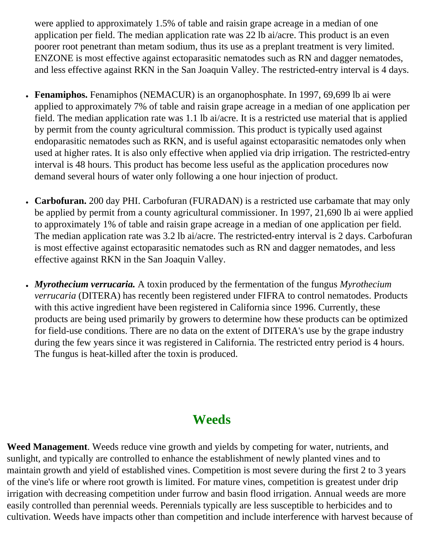were applied to approximately 1.5% of table and raisin grape acreage in a median of one application per field. The median application rate was 22 lb ai/acre. This product is an even poorer root penetrant than metam sodium, thus its use as a preplant treatment is very limited. ENZONE is most effective against ectoparasitic nematodes such as RN and dagger nematodes, and less effective against RKN in the San Joaquin Valley. The restricted-entry interval is 4 days.

- **Fenamiphos.** Fenamiphos (NEMACUR) is an organophosphate. In 1997, 69,699 lb ai were applied to approximately 7% of table and raisin grape acreage in a median of one application per field. The median application rate was 1.1 lb ai/acre. It is a restricted use material that is applied by permit from the county agricultural commission. This product is typically used against endoparasitic nematodes such as RKN, and is useful against ectoparasitic nematodes only when used at higher rates. It is also only effective when applied via drip irrigation. The restricted-entry interval is 48 hours. This product has become less useful as the application procedures now demand several hours of water only following a one hour injection of product.
- Carbofuran. 200 day PHI. Carbofuran (FURADAN) is a restricted use carbamate that may only be applied by permit from a county agricultural commissioner. In 1997, 21,690 lb ai were applied to approximately 1% of table and raisin grape acreage in a median of one application per field. The median application rate was 3.2 lb ai/acre. The restricted-entry interval is 2 days. Carbofuran is most effective against ectoparasitic nematodes such as RN and dagger nematodes, and less effective against RKN in the San Joaquin Valley.
- *Myrothecium verrucaria.* A toxin produced by the fermentation of the fungus *Myrothecium verrucaria* (DITERA) has recently been registered under FIFRA to control nematodes. Products with this active ingredient have been registered in California since 1996. Currently, these products are being used primarily by growers to determine how these products can be optimized for field-use conditions. There are no data on the extent of DITERA's use by the grape industry during the few years since it was registered in California. The restricted entry period is 4 hours. The fungus is heat-killed after the toxin is produced.

# **Weeds**

**Weed Management**. Weeds reduce vine growth and yields by competing for water, nutrients, and sunlight, and typically are controlled to enhance the establishment of newly planted vines and to maintain growth and yield of established vines. Competition is most severe during the first 2 to 3 years of the vine's life or where root growth is limited. For mature vines, competition is greatest under drip irrigation with decreasing competition under furrow and basin flood irrigation. Annual weeds are more easily controlled than perennial weeds. Perennials typically are less susceptible to herbicides and to cultivation. Weeds have impacts other than competition and include interference with harvest because of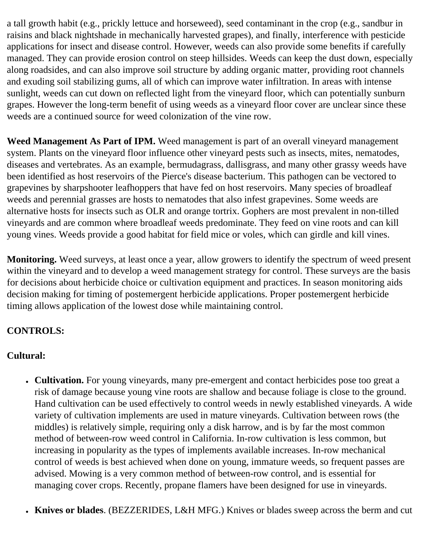a tall growth habit (e.g., prickly lettuce and horseweed), seed contaminant in the crop (e.g., sandbur in raisins and black nightshade in mechanically harvested grapes), and finally, interference with pesticide applications for insect and disease control. However, weeds can also provide some benefits if carefully managed. They can provide erosion control on steep hillsides. Weeds can keep the dust down, especially along roadsides, and can also improve soil structure by adding organic matter, providing root channels and exuding soil stabilizing gums, all of which can improve water infiltration. In areas with intense sunlight, weeds can cut down on reflected light from the vineyard floor, which can potentially sunburn grapes. However the long-term benefit of using weeds as a vineyard floor cover are unclear since these weeds are a continued source for weed colonization of the vine row.

**Weed Management As Part of IPM.** Weed management is part of an overall vineyard management system. Plants on the vineyard floor influence other vineyard pests such as insects, mites, nematodes, diseases and vertebrates. As an example, bermudagrass, dallisgrass, and many other grassy weeds have been identified as host reservoirs of the Pierce's disease bacterium. This pathogen can be vectored to grapevines by sharpshooter leafhoppers that have fed on host reservoirs. Many species of broadleaf weeds and perennial grasses are hosts to nematodes that also infest grapevines. Some weeds are alternative hosts for insects such as OLR and orange tortrix. Gophers are most prevalent in non-tilled vineyards and are common where broadleaf weeds predominate. They feed on vine roots and can kill young vines. Weeds provide a good habitat for field mice or voles, which can girdle and kill vines.

**Monitoring.** Weed surveys, at least once a year, allow growers to identify the spectrum of weed present within the vineyard and to develop a weed management strategy for control. These surveys are the basis for decisions about herbicide choice or cultivation equipment and practices. In season monitoring aids decision making for timing of postemergent herbicide applications. Proper postemergent herbicide timing allows application of the lowest dose while maintaining control.

# **CONTROLS:**

# **Cultural:**

- **Cultivation.** For young vineyards, many pre-emergent and contact herbicides pose too great a risk of damage because young vine roots are shallow and because foliage is close to the ground. Hand cultivation can be used effectively to control weeds in newly established vineyards. A wide variety of cultivation implements are used in mature vineyards. Cultivation between rows (the middles) is relatively simple, requiring only a disk harrow, and is by far the most common method of between-row weed control in California. In-row cultivation is less common, but increasing in popularity as the types of implements available increases. In-row mechanical control of weeds is best achieved when done on young, immature weeds, so frequent passes are advised. Mowing is a very common method of between-row control, and is essential for managing cover crops. Recently, propane flamers have been designed for use in vineyards.
- **Knives or blades**. (BEZZERIDES, L&H MFG.) Knives or blades sweep across the berm and cut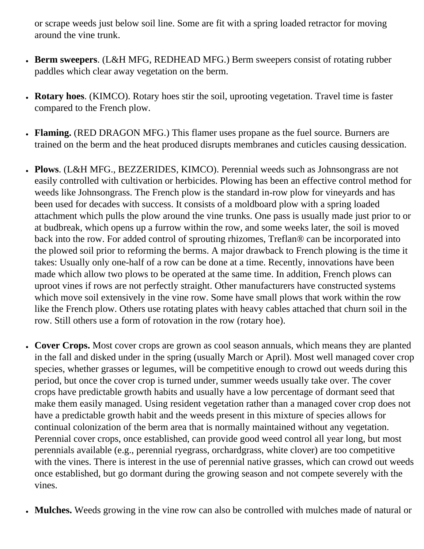or scrape weeds just below soil line. Some are fit with a spring loaded retractor for moving around the vine trunk.

- **Berm sweepers**. (L&H MFG, REDHEAD MFG.) Berm sweepers consist of rotating rubber paddles which clear away vegetation on the berm.
- **Rotary hoes**. (KIMCO). Rotary hoes stir the soil, uprooting vegetation. Travel time is faster compared to the French plow.
- **Flaming.** (RED DRAGON MFG.) This flamer uses propane as the fuel source. Burners are trained on the berm and the heat produced disrupts membranes and cuticles causing dessication.
- **Plows**. (L&H MFG., BEZZERIDES, KIMCO). Perennial weeds such as Johnsongrass are not easily controlled with cultivation or herbicides. Plowing has been an effective control method for weeds like Johnsongrass. The French plow is the standard in-row plow for vineyards and has been used for decades with success. It consists of a moldboard plow with a spring loaded attachment which pulls the plow around the vine trunks. One pass is usually made just prior to or at budbreak, which opens up a furrow within the row, and some weeks later, the soil is moved back into the row. For added control of sprouting rhizomes, Treflan® can be incorporated into the plowed soil prior to reforming the berms. A major drawback to French plowing is the time it takes: Usually only one-half of a row can be done at a time. Recently, innovations have been made which allow two plows to be operated at the same time. In addition, French plows can uproot vines if rows are not perfectly straight. Other manufacturers have constructed systems which move soil extensively in the vine row. Some have small plows that work within the row like the French plow. Others use rotating plates with heavy cables attached that churn soil in the row. Still others use a form of rotovation in the row (rotary hoe).
- Cover Crops. Most cover crops are grown as cool season annuals, which means they are planted in the fall and disked under in the spring (usually March or April). Most well managed cover crop species, whether grasses or legumes, will be competitive enough to crowd out weeds during this period, but once the cover crop is turned under, summer weeds usually take over. The cover crops have predictable growth habits and usually have a low percentage of dormant seed that make them easily managed. Using resident vegetation rather than a managed cover crop does not have a predictable growth habit and the weeds present in this mixture of species allows for continual colonization of the berm area that is normally maintained without any vegetation. Perennial cover crops, once established, can provide good weed control all year long, but most perennials available (e.g., perennial ryegrass, orchardgrass, white clover) are too competitive with the vines. There is interest in the use of perennial native grasses, which can crowd out weeds once established, but go dormant during the growing season and not compete severely with the vines.
- Mulches. Weeds growing in the vine row can also be controlled with mulches made of natural or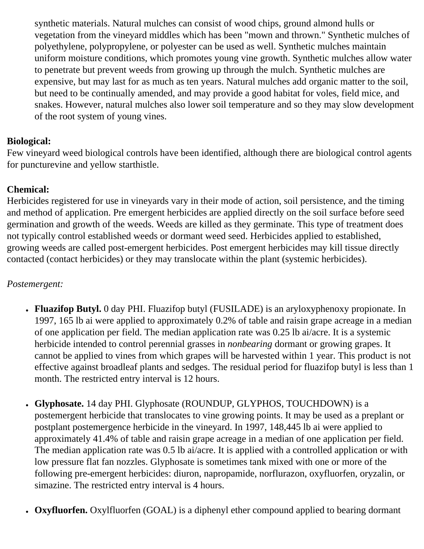synthetic materials. Natural mulches can consist of wood chips, ground almond hulls or vegetation from the vineyard middles which has been "mown and thrown." Synthetic mulches of polyethylene, polypropylene, or polyester can be used as well. Synthetic mulches maintain uniform moisture conditions, which promotes young vine growth. Synthetic mulches allow water to penetrate but prevent weeds from growing up through the mulch. Synthetic mulches are expensive, but may last for as much as ten years. Natural mulches add organic matter to the soil, but need to be continually amended, and may provide a good habitat for voles, field mice, and snakes. However, natural mulches also lower soil temperature and so they may slow development of the root system of young vines.

## **Biological:**

Few vineyard weed biological controls have been identified, although there are biological control agents for puncturevine and yellow starthistle.

## **Chemical:**

Herbicides registered for use in vineyards vary in their mode of action, soil persistence, and the timing and method of application. Pre emergent herbicides are applied directly on the soil surface before seed germination and growth of the weeds. Weeds are killed as they germinate. This type of treatment does not typically control established weeds or dormant weed seed. Herbicides applied to established, growing weeds are called post-emergent herbicides. Post emergent herbicides may kill tissue directly contacted (contact herbicides) or they may translocate within the plant (systemic herbicides).

## *Postemergent:*

- **Fluazifop Butyl.** 0 day PHI. Fluazifop butyl (FUSILADE) is an aryloxyphenoxy propionate. In 1997, 165 lb ai were applied to approximately 0.2% of table and raisin grape acreage in a median of one application per field. The median application rate was 0.25 lb ai/acre. It is a systemic herbicide intended to control perennial grasses in *nonbearing* dormant or growing grapes. It cannot be applied to vines from which grapes will be harvested within 1 year. This product is not effective against broadleaf plants and sedges. The residual period for fluazifop butyl is less than 1 month. The restricted entry interval is 12 hours.
- **Glyphosate.** 14 day PHI. Glyphosate (ROUNDUP, GLYPHOS, TOUCHDOWN) is a postemergent herbicide that translocates to vine growing points. It may be used as a preplant or postplant postemergence herbicide in the vineyard. In 1997, 148,445 lb ai were applied to approximately 41.4% of table and raisin grape acreage in a median of one application per field. The median application rate was 0.5 lb ai/acre. It is applied with a controlled application or with low pressure flat fan nozzles. Glyphosate is sometimes tank mixed with one or more of the following pre-emergent herbicides: diuron, napropamide, norflurazon, oxyfluorfen, oryzalin, or simazine. The restricted entry interval is 4 hours.
- **Oxyfluorfen.** Oxylfluorfen (GOAL) is a diphenyl ether compound applied to bearing dormant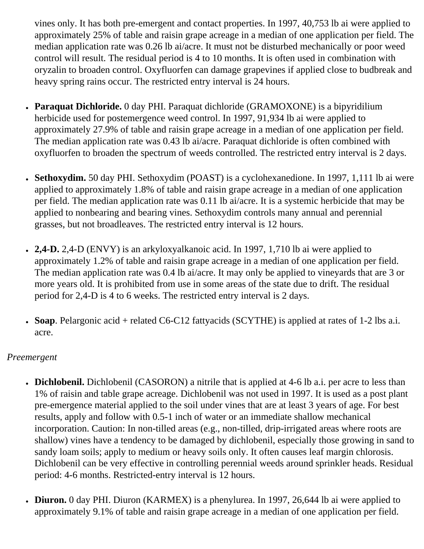vines only. It has both pre-emergent and contact properties. In 1997, 40,753 lb ai were applied to approximately 25% of table and raisin grape acreage in a median of one application per field. The median application rate was 0.26 lb ai/acre. It must not be disturbed mechanically or poor weed control will result. The residual period is 4 to 10 months. It is often used in combination with oryzalin to broaden control. Oxyfluorfen can damage grapevines if applied close to budbreak and heavy spring rains occur. The restricted entry interval is 24 hours.

- **Paraquat Dichloride.** 0 day PHI. Paraquat dichloride (GRAMOXONE) is a bipyridilium herbicide used for postemergence weed control. In 1997, 91,934 lb ai were applied to approximately 27.9% of table and raisin grape acreage in a median of one application per field. The median application rate was 0.43 lb ai/acre. Paraquat dichloride is often combined with oxyfluorfen to broaden the spectrum of weeds controlled. The restricted entry interval is 2 days.
- Sethoxydim. 50 day PHI. Sethoxydim (POAST) is a cyclohexanedione. In 1997, 1,111 lb ai were applied to approximately 1.8% of table and raisin grape acreage in a median of one application per field. The median application rate was 0.11 lb ai/acre. It is a systemic herbicide that may be applied to nonbearing and bearing vines. Sethoxydim controls many annual and perennial grasses, but not broadleaves. The restricted entry interval is 12 hours.
- **2,4-D.** 2,4-D (ENVY) is an arkyloxyalkanoic acid. In 1997, 1,710 lb ai were applied to approximately 1.2% of table and raisin grape acreage in a median of one application per field. The median application rate was 0.4 lb ai/acre. It may only be applied to vineyards that are 3 or more years old. It is prohibited from use in some areas of the state due to drift. The residual period for 2,4-D is 4 to 6 weeks. The restricted entry interval is 2 days.
- **Soap**. Pelargonic acid + related C6-C12 fattyacids (SCYTHE) is applied at rates of 1-2 lbs a.i. acre.

#### *Preemergent*

- **Dichlobenil.** Dichlobenil (CASORON) a nitrile that is applied at 4-6 lb a.i. per acre to less than 1% of raisin and table grape acreage. Dichlobenil was not used in 1997. It is used as a post plant pre-emergence material applied to the soil under vines that are at least 3 years of age. For best results, apply and follow with 0.5-1 inch of water or an immediate shallow mechanical incorporation. Caution: In non-tilled areas (e.g., non-tilled, drip-irrigated areas where roots are shallow) vines have a tendency to be damaged by dichlobenil, especially those growing in sand to sandy loam soils; apply to medium or heavy soils only. It often causes leaf margin chlorosis. Dichlobenil can be very effective in controlling perennial weeds around sprinkler heads. Residual period: 4-6 months. Restricted-entry interval is 12 hours.
- **Diuron.** 0 day PHI. Diuron (KARMEX) is a phenylurea. In 1997, 26,644 lb ai were applied to approximately 9.1% of table and raisin grape acreage in a median of one application per field.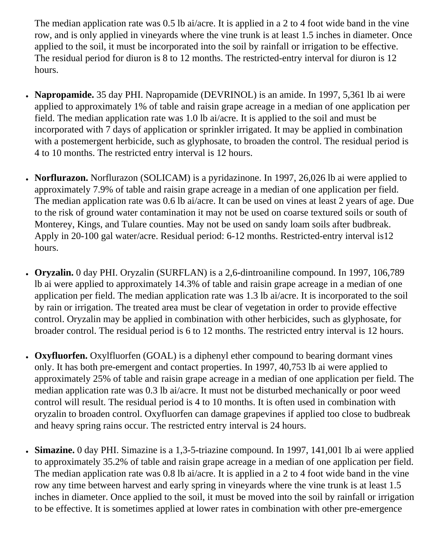The median application rate was 0.5 lb ai/acre. It is applied in a 2 to 4 foot wide band in the vine row, and is only applied in vineyards where the vine trunk is at least 1.5 inches in diameter. Once applied to the soil, it must be incorporated into the soil by rainfall or irrigation to be effective. The residual period for diuron is 8 to 12 months. The restricted-entry interval for diuron is 12 hours.

- Napropamide. 35 day PHI. Napropamide (DEVRINOL) is an amide. In 1997, 5,361 lb ai were applied to approximately 1% of table and raisin grape acreage in a median of one application per field. The median application rate was 1.0 lb ai/acre. It is applied to the soil and must be incorporated with 7 days of application or sprinkler irrigated. It may be applied in combination with a postemergent herbicide, such as glyphosate, to broaden the control. The residual period is 4 to 10 months. The restricted entry interval is 12 hours.
- **Norflurazon.** Norflurazon (SOLICAM) is a pyridazinone. In 1997, 26,026 lb ai were applied to approximately 7.9% of table and raisin grape acreage in a median of one application per field. The median application rate was 0.6 lb ai/acre. It can be used on vines at least 2 years of age. Due to the risk of ground water contamination it may not be used on coarse textured soils or south of Monterey, Kings, and Tulare counties. May not be used on sandy loam soils after budbreak. Apply in 20-100 gal water/acre. Residual period: 6-12 months. Restricted-entry interval is12 hours.
- **Oryzalin.** 0 day PHI. Oryzalin (SURFLAN) is a 2,6-dintroaniline compound. In 1997, 106,789 lb ai were applied to approximately 14.3% of table and raisin grape acreage in a median of one application per field. The median application rate was 1.3 lb ai/acre. It is incorporated to the soil by rain or irrigation. The treated area must be clear of vegetation in order to provide effective control. Oryzalin may be applied in combination with other herbicides, such as glyphosate, for broader control. The residual period is 6 to 12 months. The restricted entry interval is 12 hours.
- **Oxyfluorfen.** Oxylfluorfen (GOAL) is a diphenyl ether compound to bearing dormant vines only. It has both pre-emergent and contact properties. In 1997, 40,753 lb ai were applied to approximately 25% of table and raisin grape acreage in a median of one application per field. The median application rate was 0.3 lb ai/acre. It must not be disturbed mechanically or poor weed control will result. The residual period is 4 to 10 months. It is often used in combination with oryzalin to broaden control. Oxyfluorfen can damage grapevines if applied too close to budbreak and heavy spring rains occur. The restricted entry interval is 24 hours.
- Simazine. 0 day PHI. Simazine is a 1,3-5-triazine compound. In 1997, 141,001 lb ai were applied to approximately 35.2% of table and raisin grape acreage in a median of one application per field. The median application rate was 0.8 lb ai/acre. It is applied in a 2 to 4 foot wide band in the vine row any time between harvest and early spring in vineyards where the vine trunk is at least 1.5 inches in diameter. Once applied to the soil, it must be moved into the soil by rainfall or irrigation to be effective. It is sometimes applied at lower rates in combination with other pre-emergence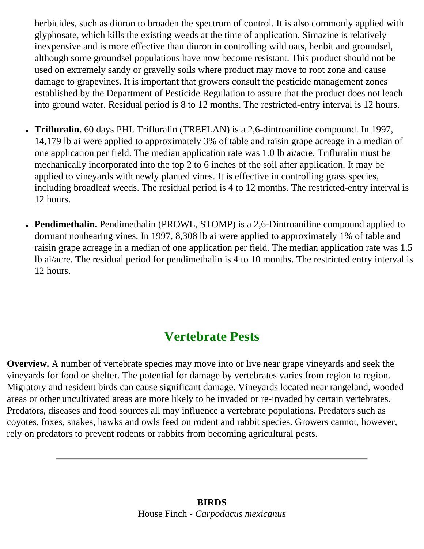herbicides, such as diuron to broaden the spectrum of control. It is also commonly applied with glyphosate, which kills the existing weeds at the time of application. Simazine is relatively inexpensive and is more effective than diuron in controlling wild oats, henbit and groundsel, although some groundsel populations have now become resistant. This product should not be used on extremely sandy or gravelly soils where product may move to root zone and cause damage to grapevines. It is important that growers consult the pesticide management zones established by the Department of Pesticide Regulation to assure that the product does not leach into ground water. Residual period is 8 to 12 months. The restricted-entry interval is 12 hours.

- **Trifluralin.** 60 days PHI. Trifluralin (TREFLAN) is a 2,6-dintroaniline compound. In 1997, 14,179 lb ai were applied to approximately 3% of table and raisin grape acreage in a median of one application per field. The median application rate was 1.0 lb ai/acre. Trifluralin must be mechanically incorporated into the top 2 to 6 inches of the soil after application. It may be applied to vineyards with newly planted vines. It is effective in controlling grass species, including broadleaf weeds. The residual period is 4 to 12 months. The restricted-entry interval is 12 hours.
- **Pendimethalin.** Pendimethalin (PROWL, STOMP) is a 2,6-Dintroaniline compound applied to dormant nonbearing vines. In 1997, 8,308 lb ai were applied to approximately 1% of table and raisin grape acreage in a median of one application per field. The median application rate was 1.5 lb ai/acre. The residual period for pendimethalin is 4 to 10 months. The restricted entry interval is 12 hours.

# **Vertebrate Pests**

**Overview.** A number of vertebrate species may move into or live near grape vineyards and seek the vineyards for food or shelter. The potential for damage by vertebrates varies from region to region. Migratory and resident birds can cause significant damage. Vineyards located near rangeland, wooded areas or other uncultivated areas are more likely to be invaded or re-invaded by certain vertebrates. Predators, diseases and food sources all may influence a vertebrate populations. Predators such as coyotes, foxes, snakes, hawks and owls feed on rodent and rabbit species. Growers cannot, however, rely on predators to prevent rodents or rabbits from becoming agricultural pests.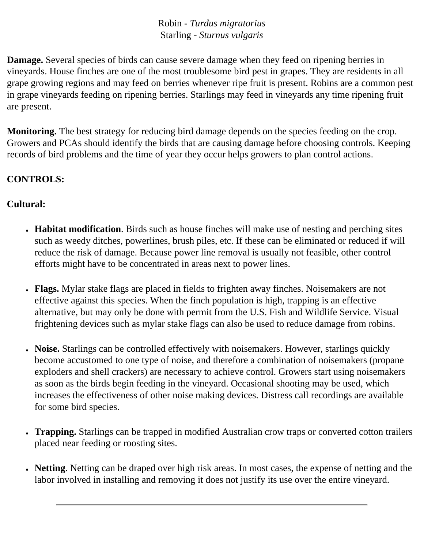Robin - *Turdus migratorius* Starling - *Sturnus vulgaris*

**Damage.** Several species of birds can cause severe damage when they feed on ripening berries in vineyards. House finches are one of the most troublesome bird pest in grapes. They are residents in all grape growing regions and may feed on berries whenever ripe fruit is present. Robins are a common pest in grape vineyards feeding on ripening berries. Starlings may feed in vineyards any time ripening fruit are present.

**Monitoring.** The best strategy for reducing bird damage depends on the species feeding on the crop. Growers and PCAs should identify the birds that are causing damage before choosing controls. Keeping records of bird problems and the time of year they occur helps growers to plan control actions.

## **CONTROLS:**

## **Cultural:**

- **Habitat modification**. Birds such as house finches will make use of nesting and perching sites such as weedy ditches, powerlines, brush piles, etc. If these can be eliminated or reduced if will reduce the risk of damage. Because power line removal is usually not feasible, other control efforts might have to be concentrated in areas next to power lines.
- **Flags.** Mylar stake flags are placed in fields to frighten away finches. Noisemakers are not effective against this species. When the finch population is high, trapping is an effective alternative, but may only be done with permit from the U.S. Fish and Wildlife Service. Visual frightening devices such as mylar stake flags can also be used to reduce damage from robins.
- Noise. Starlings can be controlled effectively with noisemakers. However, starlings quickly become accustomed to one type of noise, and therefore a combination of noisemakers (propane exploders and shell crackers) are necessary to achieve control. Growers start using noisemakers as soon as the birds begin feeding in the vineyard. Occasional shooting may be used, which increases the effectiveness of other noise making devices. Distress call recordings are available for some bird species.
- **Trapping.** Starlings can be trapped in modified Australian crow traps or converted cotton trailers placed near feeding or roosting sites.
- Netting. Netting can be draped over high risk areas. In most cases, the expense of netting and the labor involved in installing and removing it does not justify its use over the entire vineyard.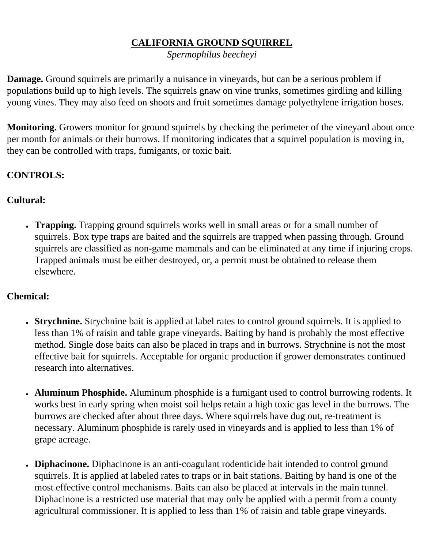# **CALIFORNIA GROUND SQUIRREL**

*Spermophilus beecheyi*

**Damage.** Ground squirrels are primarily a nuisance in vineyards, but can be a serious problem if populations build up to high levels. The squirrels gnaw on vine trunks, sometimes girdling and killing young vines. They may also feed on shoots and fruit sometimes damage polyethylene irrigation hoses.

**Monitoring.** Growers monitor for ground squirrels by checking the perimeter of the vineyard about once per month for animals or their burrows. If monitoring indicates that a squirrel population is moving in, they can be controlled with traps, fumigants, or toxic bait.

# **CONTROLS:**

# **Cultural:**

• **Trapping.** Trapping ground squirrels works well in small areas or for a small number of squirrels. Box type traps are baited and the squirrels are trapped when passing through. Ground squirrels are classified as non-game mammals and can be eliminated at any time if injuring crops. Trapped animals must be either destroyed, or, a permit must be obtained to release them elsewhere.

# **Chemical:**

- **Strychnine.** Strychnine bait is applied at label rates to control ground squirrels. It is applied to less than 1% of raisin and table grape vineyards. Baiting by hand is probably the most effective method. Single dose baits can also be placed in traps and in burrows. Strychnine is not the most effective bait for squirrels. Acceptable for organic production if grower demonstrates continued research into alternatives.
- **Aluminum Phosphide.** Aluminum phosphide is a fumigant used to control burrowing rodents. It works best in early spring when moist soil helps retain a high toxic gas level in the burrows. The burrows are checked after about three days. Where squirrels have dug out, re-treatment is necessary. Aluminum phosphide is rarely used in vineyards and is applied to less than 1% of grape acreage.
- Diphacinone. Diphacinone is an anti-coagulant rodenticide bait intended to control ground squirrels. It is applied at labeled rates to traps or in bait stations. Baiting by hand is one of the most effective control mechanisms. Baits can also be placed at intervals in the main tunnel. Diphacinone is a restricted use material that may only be applied with a permit from a county agricultural commissioner. It is applied to less than 1% of raisin and table grape vineyards.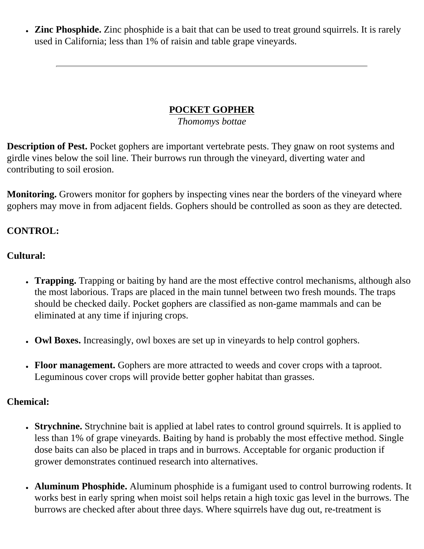• **Zinc Phosphide.** Zinc phosphide is a bait that can be used to treat ground squirrels. It is rarely used in California; less than 1% of raisin and table grape vineyards.

# **POCKET GOPHER**

*Thomomys bottae*

**Description of Pest.** Pocket gophers are important vertebrate pests. They gnaw on root systems and girdle vines below the soil line. Their burrows run through the vineyard, diverting water and contributing to soil erosion.

**Monitoring.** Growers monitor for gophers by inspecting vines near the borders of the vineyard where gophers may move in from adjacent fields. Gophers should be controlled as soon as they are detected.

## **CONTROL:**

#### **Cultural:**

- **Trapping.** Trapping or baiting by hand are the most effective control mechanisms, although also the most laborious. Traps are placed in the main tunnel between two fresh mounds. The traps should be checked daily. Pocket gophers are classified as non-game mammals and can be eliminated at any time if injuring crops.
- Owl Boxes. Increasingly, owl boxes are set up in vineyards to help control gophers.
- **Floor management.** Gophers are more attracted to weeds and cover crops with a taproot. Leguminous cover crops will provide better gopher habitat than grasses.

#### **Chemical:**

- **Strychnine.** Strychnine bait is applied at label rates to control ground squirrels. It is applied to less than 1% of grape vineyards. Baiting by hand is probably the most effective method. Single dose baits can also be placed in traps and in burrows. Acceptable for organic production if grower demonstrates continued research into alternatives.
- Aluminum Phosphide. Aluminum phosphide is a fumigant used to control burrowing rodents. It works best in early spring when moist soil helps retain a high toxic gas level in the burrows. The burrows are checked after about three days. Where squirrels have dug out, re-treatment is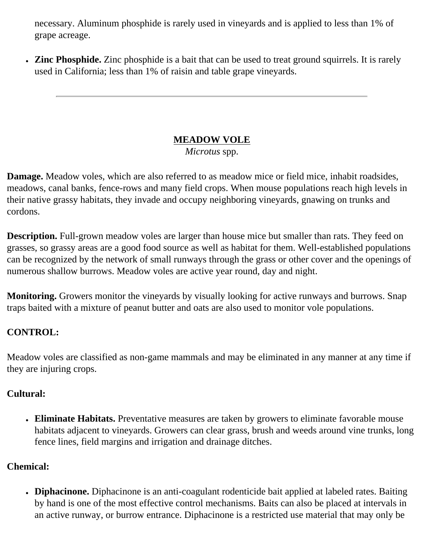necessary. Aluminum phosphide is rarely used in vineyards and is applied to less than 1% of grape acreage.

• **Zinc Phosphide.** Zinc phosphide is a bait that can be used to treat ground squirrels. It is rarely used in California; less than 1% of raisin and table grape vineyards.

# **MEADOW VOLE**

*Microtus* spp.

**Damage.** Meadow voles, which are also referred to as meadow mice or field mice, inhabit roadsides, meadows, canal banks, fence-rows and many field crops. When mouse populations reach high levels in their native grassy habitats, they invade and occupy neighboring vineyards, gnawing on trunks and cordons.

**Description.** Full-grown meadow voles are larger than house mice but smaller than rats. They feed on grasses, so grassy areas are a good food source as well as habitat for them. Well-established populations can be recognized by the network of small runways through the grass or other cover and the openings of numerous shallow burrows. Meadow voles are active year round, day and night.

**Monitoring.** Growers monitor the vineyards by visually looking for active runways and burrows. Snap traps baited with a mixture of peanut butter and oats are also used to monitor vole populations.

# **CONTROL:**

Meadow voles are classified as non-game mammals and may be eliminated in any manner at any time if they are injuring crops.

# **Cultural:**

• Eliminate Habitats. Preventative measures are taken by growers to eliminate favorable mouse habitats adjacent to vineyards. Growers can clear grass, brush and weeds around vine trunks, long fence lines, field margins and irrigation and drainage ditches.

# **Chemical:**

• Diphacinone. Diphacinone is an anti-coagulant rodenticide bait applied at labeled rates. Baiting by hand is one of the most effective control mechanisms. Baits can also be placed at intervals in an active runway, or burrow entrance. Diphacinone is a restricted use material that may only be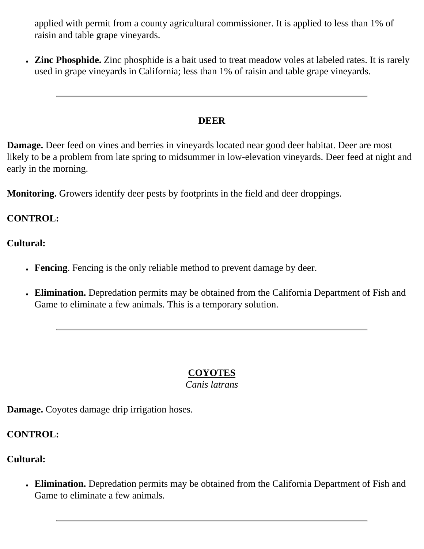applied with permit from a county agricultural commissioner. It is applied to less than 1% of raisin and table grape vineyards.

• Zinc Phosphide. Zinc phosphide is a bait used to treat meadow voles at labeled rates. It is rarely used in grape vineyards in California; less than 1% of raisin and table grape vineyards.

#### **DEER**

**Damage.** Deer feed on vines and berries in vineyards located near good deer habitat. Deer are most likely to be a problem from late spring to midsummer in low-elevation vineyards. Deer feed at night and early in the morning.

**Monitoring.** Growers identify deer pests by footprints in the field and deer droppings.

## **CONTROL:**

#### **Cultural:**

- **Fencing**. Fencing is the only reliable method to prevent damage by deer.
- Elimination. Depredation permits may be obtained from the California Department of Fish and Game to eliminate a few animals. This is a temporary solution.

# **COYOTES**

*Canis latrans*

**Damage.** Coyotes damage drip irrigation hoses.

**CONTROL:**

#### **Cultural:**

• Elimination. Depredation permits may be obtained from the California Department of Fish and Game to eliminate a few animals.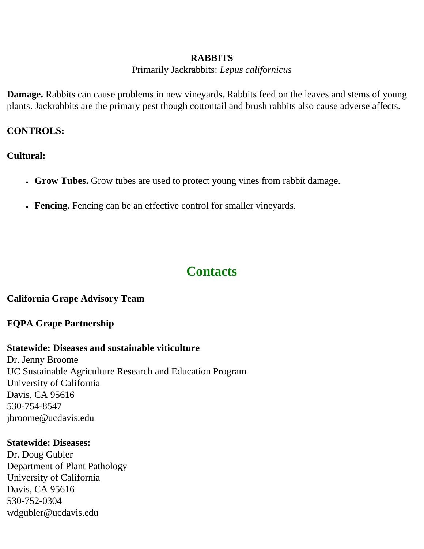#### **RABBITS**

Primarily Jackrabbits: *Lepus californicus*

**Damage.** Rabbits can cause problems in new vineyards. Rabbits feed on the leaves and stems of young plants. Jackrabbits are the primary pest though cottontail and brush rabbits also cause adverse affects.

## **CONTROLS:**

**Cultural:**

- Grow Tubes. Grow tubes are used to protect young vines from rabbit damage.
- **Fencing.** Fencing can be an effective control for smaller vineyards.

# **Contacts**

## **California Grape Advisory Team**

# **FQPA Grape Partnership**

# **Statewide: Diseases and sustainable viticulture**

Dr. Jenny Broome UC Sustainable Agriculture Research and Education Program University of California Davis, CA 95616 530-754-8547 jbroome@ucdavis.edu

## **Statewide: Diseases:**

Dr. Doug Gubler Department of Plant Pathology University of California Davis, CA 95616 530-752-0304 wdgubler@ucdavis.edu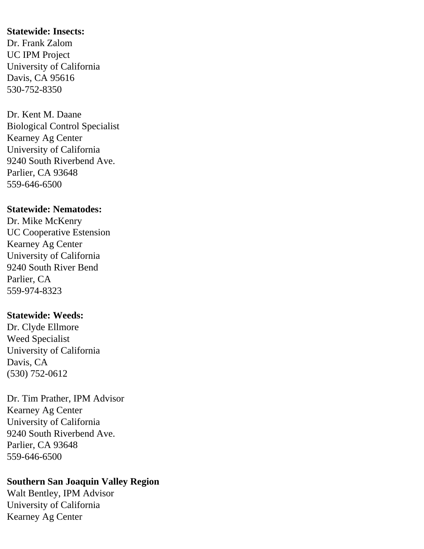#### **Statewide: Insects:**

Dr. Frank Zalom UC IPM Project University of California Davis, CA 95616 530-752-8350

Dr. Kent M. Daane Biological Control Specialist Kearney Ag Center University of California 9240 South Riverbend Ave. Parlier, CA 93648 559-646-6500

#### **Statewide: Nematodes:**

Dr. Mike McKenry UC Cooperative Estension Kearney Ag Center University of California 9240 South River Bend Parlier, CA 559-974-8323

#### **Statewide: Weeds:**

Dr. Clyde Ellmore Weed Specialist University of California Davis, CA (530) 752-0612

Dr. Tim Prather, IPM Advisor Kearney Ag Center University of California 9240 South Riverbend Ave. Parlier, CA 93648 559-646-6500

# **Southern San Joaquin Valley Region**

Walt Bentley, IPM Advisor University of California Kearney Ag Center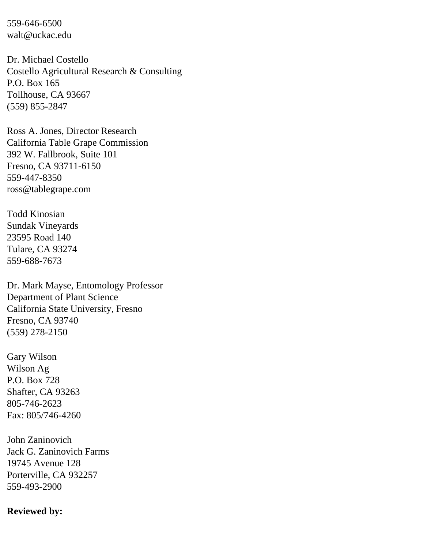559-646-6500 walt@uckac.edu

Dr. Michael Costello Costello Agricultural Research & Consulting P.O. Box 165 Tollhouse, CA 93667 (559) 855-2847

Ross A. Jones, Director Research California Table Grape Commission 392 W. Fallbrook, Suite 101 Fresno, CA 93711-6150 559-447-8350 ross@tablegrape.com

Todd Kinosian Sundak Vineyards 23595 Road 140 Tulare, CA 93274 559-688-7673

Dr. Mark Mayse, Entomology Professor Department of Plant Science California State University, Fresno Fresno, CA 93740 (559) 278-2150

Gary Wilson Wilson Ag P.O. Box 728 Shafter, CA 93263 805-746-2623 Fax: 805/746-4260

John Zaninovich Jack G. Zaninovich Farms 19745 Avenue 128 Porterville, CA 932257 559-493-2900

#### **Reviewed by:**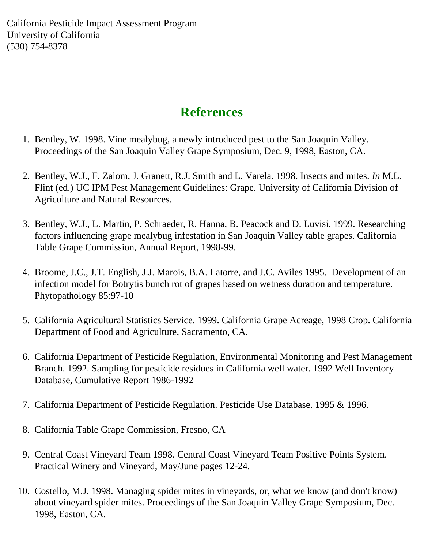California Pesticide Impact Assessment Program University of California (530) 754-8378

# **References**

- 1. Bentley, W. 1998. Vine mealybug, a newly introduced pest to the San Joaquin Valley. Proceedings of the San Joaquin Valley Grape Symposium, Dec. 9, 1998, Easton, CA.
- 2. Bentley, W.J., F. Zalom, J. Granett, R.J. Smith and L. Varela. 1998. Insects and mites. *In* M.L. Flint (ed.) UC IPM Pest Management Guidelines: Grape. University of California Division of Agriculture and Natural Resources.
- 3. Bentley, W.J., L. Martin, P. Schraeder, R. Hanna, B. Peacock and D. Luvisi. 1999. Researching factors influencing grape mealybug infestation in San Joaquin Valley table grapes. California Table Grape Commission, Annual Report, 1998-99.
- 4. Broome, J.C., J.T. English, J.J. Marois, B.A. Latorre, and J.C. Aviles 1995. Development of an infection model for Botrytis bunch rot of grapes based on wetness duration and temperature. Phytopathology 85:97-10
- 5. California Agricultural Statistics Service. 1999. California Grape Acreage, 1998 Crop. California Department of Food and Agriculture, Sacramento, CA.
- 6. California Department of Pesticide Regulation, Environmental Monitoring and Pest Management Branch. 1992. Sampling for pesticide residues in California well water. 1992 Well Inventory Database, Cumulative Report 1986-1992
- 7. California Department of Pesticide Regulation. Pesticide Use Database. 1995 & 1996.
- 8. California Table Grape Commission, Fresno, CA
- 9. Central Coast Vineyard Team 1998. Central Coast Vineyard Team Positive Points System. Practical Winery and Vineyard, May/June pages 12-24.
- 10. Costello, M.J. 1998. Managing spider mites in vineyards, or, what we know (and don't know) about vineyard spider mites. Proceedings of the San Joaquin Valley Grape Symposium, Dec. 1998, Easton, CA.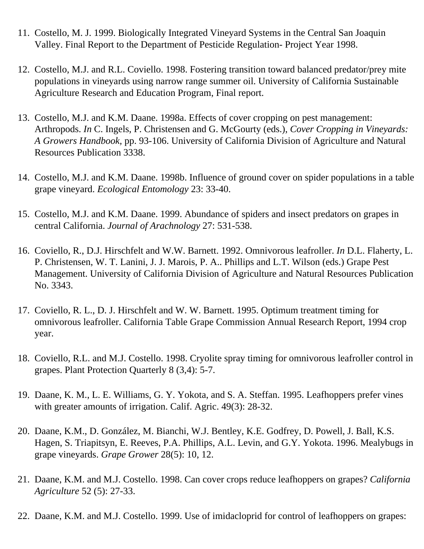- 11. Costello, M. J. 1999. Biologically Integrated Vineyard Systems in the Central San Joaquin Valley. Final Report to the Department of Pesticide Regulation- Project Year 1998.
- 12. Costello, M.J. and R.L. Coviello. 1998. Fostering transition toward balanced predator/prey mite populations in vineyards using narrow range summer oil. University of California Sustainable Agriculture Research and Education Program, Final report.
- 13. Costello, M.J. and K.M. Daane. 1998a. Effects of cover cropping on pest management: Arthropods. *In* C. Ingels, P. Christensen and G. McGourty (eds.), *Cover Cropping in Vineyards: A Growers Handbook,* pp. 93-106. University of California Division of Agriculture and Natural Resources Publication 3338.
- 14. Costello, M.J. and K.M. Daane. 1998b. Influence of ground cover on spider populations in a table grape vineyard. *Ecological Entomology* 23: 33-40.
- 15. Costello, M.J. and K.M. Daane. 1999. Abundance of spiders and insect predators on grapes in central California. *Journal of Arachnology* 27: 531-538.
- 16. Coviello, R., D.J. Hirschfelt and W.W. Barnett. 1992. Omnivorous leafroller. *In* D.L. Flaherty, L. P. Christensen, W. T. Lanini, J. J. Marois, P. A.. Phillips and L.T. Wilson (eds.) Grape Pest Management. University of California Division of Agriculture and Natural Resources Publication No. 3343.
- 17. Coviello, R. L., D. J. Hirschfelt and W. W. Barnett. 1995. Optimum treatment timing for omnivorous leafroller. California Table Grape Commission Annual Research Report, 1994 crop year.
- 18. Coviello, R.L. and M.J. Costello. 1998. Cryolite spray timing for omnivorous leafroller control in grapes. Plant Protection Quarterly 8 (3,4): 5-7.
- 19. Daane, K. M., L. E. Williams, G. Y. Yokota, and S. A. Steffan. 1995. Leafhoppers prefer vines with greater amounts of irrigation. Calif. Agric. 49(3): 28-32.
- 20. Daane, K.M., D. González, M. Bianchi, W.J. Bentley, K.E. Godfrey, D. Powell, J. Ball, K.S. Hagen, S. Triapitsyn, E. Reeves, P.A. Phillips, A.L. Levin, and G.Y. Yokota. 1996. Mealybugs in grape vineyards. *Grape Grower* 28(5): 10, 12.
- 21. Daane, K.M. and M.J. Costello. 1998. Can cover crops reduce leafhoppers on grapes? *California Agriculture* 52 (5): 27-33.
- 22. Daane, K.M. and M.J. Costello. 1999. Use of imidacloprid for control of leafhoppers on grapes: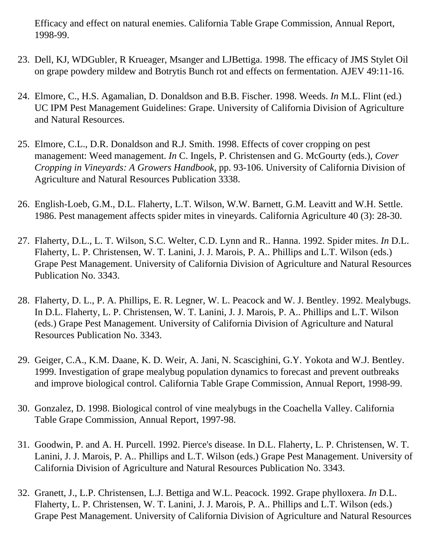Efficacy and effect on natural enemies. California Table Grape Commission, Annual Report, 1998-99.

- 23. Dell, KJ, WDGubler, R Krueager, Msanger and LJBettiga. 1998. The efficacy of JMS Stylet Oil on grape powdery mildew and Botrytis Bunch rot and effects on fermentation. AJEV 49:11-16.
- 24. Elmore, C., H.S. Agamalian, D. Donaldson and B.B. Fischer. 1998. Weeds. *In* M.L. Flint (ed.) UC IPM Pest Management Guidelines: Grape. University of California Division of Agriculture and Natural Resources.
- 25. Elmore, C.L., D.R. Donaldson and R.J. Smith. 1998. Effects of cover cropping on pest management: Weed management. *In* C. Ingels, P. Christensen and G. McGourty (eds.), *Cover Cropping in Vineyards: A Growers Handbook,* pp. 93-106. University of California Division of Agriculture and Natural Resources Publication 3338.
- 26. English-Loeb, G.M., D.L. Flaherty, L.T. Wilson, W.W. Barnett, G.M. Leavitt and W.H. Settle. 1986. Pest management affects spider mites in vineyards. California Agriculture 40 (3): 28-30.
- 27. Flaherty, D.L., L. T. Wilson, S.C. Welter, C.D. Lynn and R.. Hanna. 1992. Spider mites. *In* D.L. Flaherty, L. P. Christensen, W. T. Lanini, J. J. Marois, P. A.. Phillips and L.T. Wilson (eds.) Grape Pest Management. University of California Division of Agriculture and Natural Resources Publication No. 3343.
- 28. Flaherty, D. L., P. A. Phillips, E. R. Legner, W. L. Peacock and W. J. Bentley. 1992. Mealybugs. In D.L. Flaherty, L. P. Christensen, W. T. Lanini, J. J. Marois, P. A.. Phillips and L.T. Wilson (eds.) Grape Pest Management. University of California Division of Agriculture and Natural Resources Publication No. 3343.
- 29. Geiger, C.A., K.M. Daane, K. D. Weir, A. Jani, N. Scascighini, G.Y. Yokota and W.J. Bentley. 1999. Investigation of grape mealybug population dynamics to forecast and prevent outbreaks and improve biological control. California Table Grape Commission, Annual Report, 1998-99.
- 30. Gonzalez, D. 1998. Biological control of vine mealybugs in the Coachella Valley. California Table Grape Commission, Annual Report, 1997-98.
- 31. Goodwin, P. and A. H. Purcell. 1992. Pierce's disease. In D.L. Flaherty, L. P. Christensen, W. T. Lanini, J. J. Marois, P. A.. Phillips and L.T. Wilson (eds.) Grape Pest Management. University of California Division of Agriculture and Natural Resources Publication No. 3343.
- 32. Granett, J., L.P. Christensen, L.J. Bettiga and W.L. Peacock. 1992. Grape phylloxera. *In* D.L. Flaherty, L. P. Christensen, W. T. Lanini, J. J. Marois, P. A.. Phillips and L.T. Wilson (eds.) Grape Pest Management. University of California Division of Agriculture and Natural Resources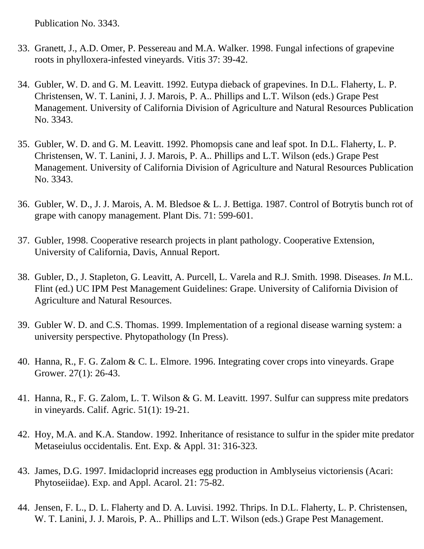Publication No. 3343.

- 33. Granett, J., A.D. Omer, P. Pessereau and M.A. Walker. 1998. Fungal infections of grapevine roots in phylloxera-infested vineyards. Vitis 37: 39-42.
- 34. Gubler, W. D. and G. M. Leavitt. 1992. Eutypa dieback of grapevines. In D.L. Flaherty, L. P. Christensen, W. T. Lanini, J. J. Marois, P. A.. Phillips and L.T. Wilson (eds.) Grape Pest Management. University of California Division of Agriculture and Natural Resources Publication No. 3343.
- 35. Gubler, W. D. and G. M. Leavitt. 1992. Phomopsis cane and leaf spot. In D.L. Flaherty, L. P. Christensen, W. T. Lanini, J. J. Marois, P. A.. Phillips and L.T. Wilson (eds.) Grape Pest Management. University of California Division of Agriculture and Natural Resources Publication No. 3343.
- 36. Gubler, W. D., J. J. Marois, A. M. Bledsoe & L. J. Bettiga. 1987. Control of Botrytis bunch rot of grape with canopy management. Plant Dis. 71: 599-601.
- 37. Gubler, 1998. Cooperative research projects in plant pathology. Cooperative Extension, University of California, Davis, Annual Report.
- 38. Gubler, D., J. Stapleton, G. Leavitt, A. Purcell, L. Varela and R.J. Smith. 1998. Diseases. *In* M.L. Flint (ed.) UC IPM Pest Management Guidelines: Grape. University of California Division of Agriculture and Natural Resources.
- 39. Gubler W. D. and C.S. Thomas. 1999. Implementation of a regional disease warning system: a university perspective. Phytopathology (In Press).
- 40. Hanna, R., F. G. Zalom & C. L. Elmore. 1996. Integrating cover crops into vineyards. Grape Grower. 27(1): 26-43.
- 41. Hanna, R., F. G. Zalom, L. T. Wilson & G. M. Leavitt. 1997. Sulfur can suppress mite predators in vineyards. Calif. Agric. 51(1): 19-21.
- 42. Hoy, M.A. and K.A. Standow. 1992. Inheritance of resistance to sulfur in the spider mite predator Metaseiulus occidentalis. Ent. Exp. & Appl. 31: 316-323.
- 43. James, D.G. 1997. Imidacloprid increases egg production in Amblyseius victoriensis (Acari: Phytoseiidae). Exp. and Appl. Acarol. 21: 75-82.
- 44. Jensen, F. L., D. L. Flaherty and D. A. Luvisi. 1992. Thrips. In D.L. Flaherty, L. P. Christensen, W. T. Lanini, J. J. Marois, P. A.. Phillips and L.T. Wilson (eds.) Grape Pest Management.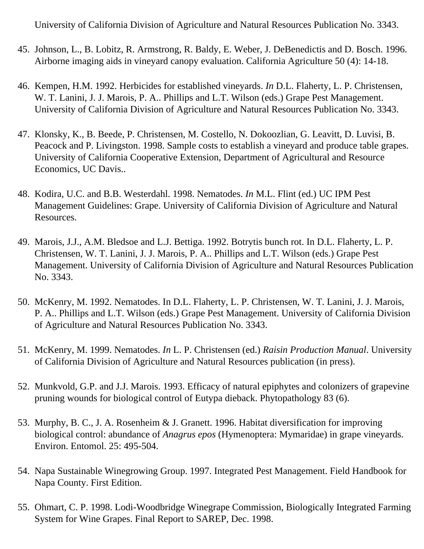University of California Division of Agriculture and Natural Resources Publication No. 3343.

- 45. Johnson, L., B. Lobitz, R. Armstrong, R. Baldy, E. Weber, J. DeBenedictis and D. Bosch. 1996. Airborne imaging aids in vineyard canopy evaluation. California Agriculture 50 (4): 14-18.
- 46. Kempen, H.M. 1992. Herbicides for established vineyards. *In* D.L. Flaherty, L. P. Christensen, W. T. Lanini, J. J. Marois, P. A.. Phillips and L.T. Wilson (eds.) Grape Pest Management. University of California Division of Agriculture and Natural Resources Publication No. 3343.
- 47. Klonsky, K., B. Beede, P. Christensen, M. Costello, N. Dokoozlian, G. Leavitt, D. Luvisi, B. Peacock and P. Livingston. 1998. Sample costs to establish a vineyard and produce table grapes. University of California Cooperative Extension, Department of Agricultural and Resource Economics, UC Davis..
- 48. Kodira, U.C. and B.B. Westerdahl. 1998. Nematodes. *In* M.L. Flint (ed.) UC IPM Pest Management Guidelines: Grape. University of California Division of Agriculture and Natural Resources.
- 49. Marois, J.J., A.M. Bledsoe and L.J. Bettiga. 1992. Botrytis bunch rot. In D.L. Flaherty, L. P. Christensen, W. T. Lanini, J. J. Marois, P. A.. Phillips and L.T. Wilson (eds.) Grape Pest Management. University of California Division of Agriculture and Natural Resources Publication No. 3343.
- 50. McKenry, M. 1992. Nematodes. In D.L. Flaherty, L. P. Christensen, W. T. Lanini, J. J. Marois, P. A.. Phillips and L.T. Wilson (eds.) Grape Pest Management. University of California Division of Agriculture and Natural Resources Publication No. 3343.
- 51. McKenry, M. 1999. Nematodes. *In* L. P. Christensen (ed.) *Raisin Production Manual*. University of California Division of Agriculture and Natural Resources publication (in press).
- 52. Munkvold, G.P. and J.J. Marois. 1993. Efficacy of natural epiphytes and colonizers of grapevine pruning wounds for biological control of Eutypa dieback. Phytopathology 83 (6).
- 53. Murphy, B. C., J. A. Rosenheim & J. Granett. 1996. Habitat diversification for improving biological control: abundance of *Anagrus epos* (Hymenoptera: Mymaridae) in grape vineyards. Environ. Entomol. 25: 495-504.
- 54. Napa Sustainable Winegrowing Group. 1997. Integrated Pest Management. Field Handbook for Napa County. First Edition.
- 55. Ohmart, C. P. 1998. Lodi-Woodbridge Winegrape Commission, Biologically Integrated Farming System for Wine Grapes. Final Report to SAREP, Dec. 1998.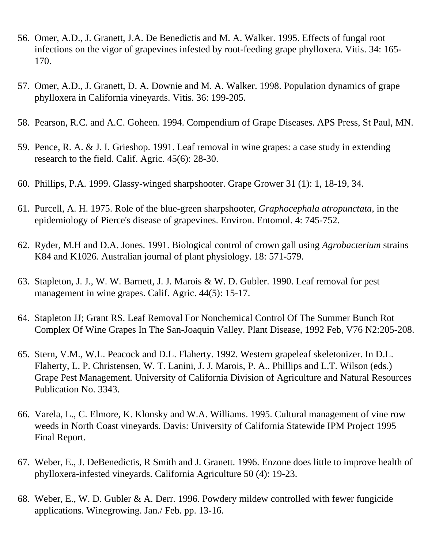- 56. Omer, A.D., J. Granett, J.A. De Benedictis and M. A. Walker. 1995. Effects of fungal root infections on the vigor of grapevines infested by root-feeding grape phylloxera. Vitis. 34: 165- 170.
- 57. Omer, A.D., J. Granett, D. A. Downie and M. A. Walker. 1998. Population dynamics of grape phylloxera in California vineyards. Vitis. 36: 199-205.
- 58. Pearson, R.C. and A.C. Goheen. 1994. Compendium of Grape Diseases. APS Press, St Paul, MN.
- 59. Pence, R. A. & J. I. Grieshop. 1991. Leaf removal in wine grapes: a case study in extending research to the field. Calif. Agric. 45(6): 28-30.
- 60. Phillips, P.A. 1999. Glassy-winged sharpshooter. Grape Grower 31 (1): 1, 18-19, 34.
- 61. Purcell, A. H. 1975. Role of the blue-green sharpshooter, *Graphocephala atropunctata*, in the epidemiology of Pierce's disease of grapevines. Environ. Entomol. 4: 745-752.
- 62. Ryder, M.H and D.A. Jones. 1991. Biological control of crown gall using *Agrobacterium* strains K84 and K1026. Australian journal of plant physiology. 18: 571-579.
- 63. Stapleton, J. J., W. W. Barnett, J. J. Marois & W. D. Gubler. 1990. Leaf removal for pest management in wine grapes. Calif. Agric. 44(5): 15-17.
- 64. Stapleton JJ; Grant RS. Leaf Removal For Nonchemical Control Of The Summer Bunch Rot Complex Of Wine Grapes In The San-Joaquin Valley. Plant Disease, 1992 Feb, V76 N2:205-208.
- 65. Stern, V.M., W.L. Peacock and D.L. Flaherty. 1992. Western grapeleaf skeletonizer. In D.L. Flaherty, L. P. Christensen, W. T. Lanini, J. J. Marois, P. A.. Phillips and L.T. Wilson (eds.) Grape Pest Management. University of California Division of Agriculture and Natural Resources Publication No. 3343.
- 66. Varela, L., C. Elmore, K. Klonsky and W.A. Williams. 1995. Cultural management of vine row weeds in North Coast vineyards. Davis: University of California Statewide IPM Project 1995 Final Report.
- 67. Weber, E., J. DeBenedictis, R Smith and J. Granett. 1996. Enzone does little to improve health of phylloxera-infested vineyards. California Agriculture 50 (4): 19-23.
- 68. Weber, E., W. D. Gubler & A. Derr. 1996. Powdery mildew controlled with fewer fungicide applications. Winegrowing. Jan./ Feb. pp. 13-16.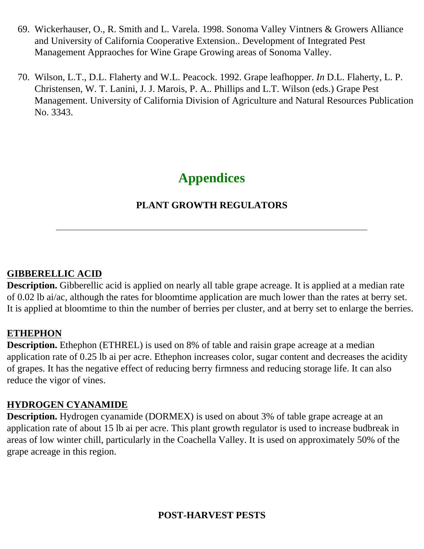- 69. Wickerhauser, O., R. Smith and L. Varela. 1998. Sonoma Valley Vintners & Growers Alliance and University of California Cooperative Extension.. Development of Integrated Pest Management Appraoches for Wine Grape Growing areas of Sonoma Valley.
- 70. Wilson, L.T., D.L. Flaherty and W.L. Peacock. 1992. Grape leafhopper. *In* D.L. Flaherty, L. P. Christensen, W. T. Lanini, J. J. Marois, P. A.. Phillips and L.T. Wilson (eds.) Grape Pest Management. University of California Division of Agriculture and Natural Resources Publication No. 3343.

# **Appendices**

# **PLANT GROWTH REGULATORS**

## **GIBBERELLIC ACID**

**Description.** Gibberellic acid is applied on nearly all table grape acreage. It is applied at a median rate of 0.02 lb ai/ac, although the rates for bloomtime application are much lower than the rates at berry set. It is applied at bloomtime to thin the number of berries per cluster, and at berry set to enlarge the berries.

## **ETHEPHON**

**Description.** Ethephon (ETHREL) is used on 8% of table and raisin grape acreage at a median application rate of 0.25 lb ai per acre. Ethephon increases color, sugar content and decreases the acidity of grapes. It has the negative effect of reducing berry firmness and reducing storage life. It can also reduce the vigor of vines.

## **HYDROGEN CYANAMIDE**

**Description.** Hydrogen cyanamide (DORMEX) is used on about 3% of table grape acreage at an application rate of about 15 lb ai per acre. This plant growth regulator is used to increase budbreak in areas of low winter chill, particularly in the Coachella Valley. It is used on approximately 50% of the grape acreage in this region.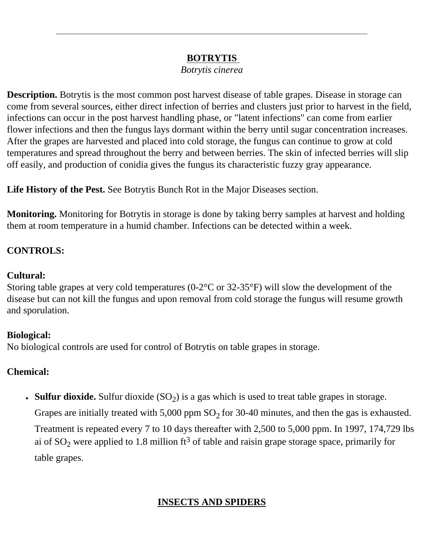## **BOTRYTIS**

*Botrytis cinerea*

**Description.** Botrytis is the most common post harvest disease of table grapes. Disease in storage can come from several sources, either direct infection of berries and clusters just prior to harvest in the field, infections can occur in the post harvest handling phase, or "latent infections" can come from earlier flower infections and then the fungus lays dormant within the berry until sugar concentration increases. After the grapes are harvested and placed into cold storage, the fungus can continue to grow at cold temperatures and spread throughout the berry and between berries. The skin of infected berries will slip off easily, and production of conidia gives the fungus its characteristic fuzzy gray appearance.

**Life History of the Pest.** See Botrytis Bunch Rot in the Major Diseases section.

**Monitoring.** Monitoring for Botrytis in storage is done by taking berry samples at harvest and holding them at room temperature in a humid chamber. Infections can be detected within a week.

## **CONTROLS:**

#### **Cultural:**

Storing table grapes at very cold temperatures (0-2°C or 32-35°F) will slow the development of the disease but can not kill the fungus and upon removal from cold storage the fungus will resume growth and sporulation.

## **Biological:**

No biological controls are used for control of Botrytis on table grapes in storage.

## **Chemical:**

• **Sulfur dioxide.** Sulfur dioxide (SO<sub>2</sub>) is a gas which is used to treat table grapes in storage.

Grapes are initially treated with  $5,000$  ppm  $SO_2$  for 30-40 minutes, and then the gas is exhausted. Treatment is repeated every 7 to 10 days thereafter with 2,500 to 5,000 ppm. In 1997, 174,729 lbs ai of  $SO_2$  were applied to 1.8 million ft<sup>3</sup> of table and raisin grape storage space, primarily for table grapes.

# **INSECTS AND SPIDERS**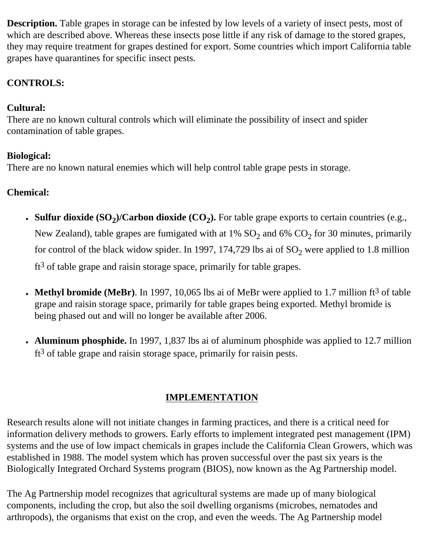**Description.** Table grapes in storage can be infested by low levels of a variety of insect pests, most of which are described above. Whereas these insects pose little if any risk of damage to the stored grapes, they may require treatment for grapes destined for export. Some countries which import California table grapes have quarantines for specific insect pests.

# **CONTROLS:**

# **Cultural:**

There are no known cultural controls which will eliminate the possibility of insect and spider contamination of table grapes.

# **Biological:**

There are no known natural enemies which will help control table grape pests in storage.

# **Chemical:**

- **Sulfur dioxide**  $(SO_2)/C$ **arbon dioxide**  $(CO_2)$ **.** For table grape exports to certain countries (e.g., New Zealand), table grapes are fumigated with at 1%  $SO_2$  and 6%  $CO_2$  for 30 minutes, primarily for control of the black widow spider. In 1997, 174,729 lbs ai of  $SO_2$  were applied to 1.8 million  $ft<sup>3</sup>$  of table grape and raisin storage space, primarily for table grapes.
- **Methyl bromide (MeBr)**. In 1997, 10,065 lbs ai of MeBr were applied to 1.7 million  $ft^3$  of table grape and raisin storage space, primarily for table grapes being exported. Methyl bromide is being phased out and will no longer be available after 2006.
- **Aluminum phosphide.** In 1997, 1,837 lbs ai of aluminum phosphide was applied to 12.7 million  $ft<sup>3</sup>$  of table grape and raisin storage space, primarily for raisin pests.

# **IMPLEMENTATION**

Research results alone will not initiate changes in farming practices, and there is a critical need for information delivery methods to growers. Early efforts to implement integrated pest management (IPM) systems and the use of low impact chemicals in grapes include the California Clean Growers, which was established in 1988. The model system which has proven successful over the past six years is the Biologically Integrated Orchard Systems program (BIOS), now known as the Ag Partnership model.

The Ag Partnership model recognizes that agricultural systems are made up of many biological components, including the crop, but also the soil dwelling organisms (microbes, nematodes and arthropods), the organisms that exist on the crop, and even the weeds. The Ag Partnership model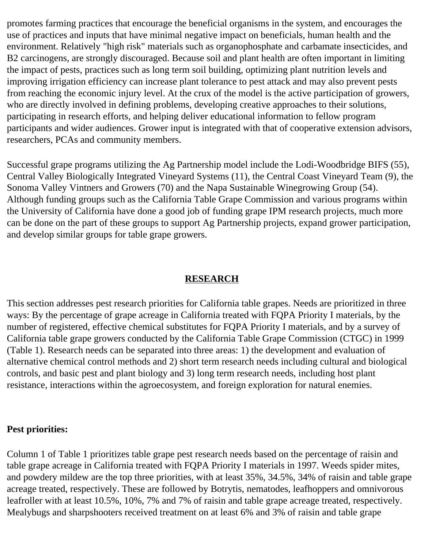promotes farming practices that encourage the beneficial organisms in the system, and encourages the use of practices and inputs that have minimal negative impact on beneficials, human health and the environment. Relatively "high risk" materials such as organophosphate and carbamate insecticides, and B2 carcinogens, are strongly discouraged. Because soil and plant health are often important in limiting the impact of pests, practices such as long term soil building, optimizing plant nutrition levels and improving irrigation efficiency can increase plant tolerance to pest attack and may also prevent pests from reaching the economic injury level. At the crux of the model is the active participation of growers, who are directly involved in defining problems, developing creative approaches to their solutions, participating in research efforts, and helping deliver educational information to fellow program participants and wider audiences. Grower input is integrated with that of cooperative extension advisors, researchers, PCAs and community members.

Successful grape programs utilizing the Ag Partnership model include the Lodi-Woodbridge BIFS (55), Central Valley Biologically Integrated Vineyard Systems (11), the Central Coast Vineyard Team (9), the Sonoma Valley Vintners and Growers (70) and the Napa Sustainable Winegrowing Group (54). Although funding groups such as the California Table Grape Commission and various programs within the University of California have done a good job of funding grape IPM research projects, much more can be done on the part of these groups to support Ag Partnership projects, expand grower participation, and develop similar groups for table grape growers.

## **RESEARCH**

This section addresses pest research priorities for California table grapes. Needs are prioritized in three ways: By the percentage of grape acreage in California treated with FQPA Priority I materials, by the number of registered, effective chemical substitutes for FQPA Priority I materials, and by a survey of California table grape growers conducted by the California Table Grape Commission (CTGC) in 1999 (Table 1). Research needs can be separated into three areas: 1) the development and evaluation of alternative chemical control methods and 2) short term research needs including cultural and biological controls, and basic pest and plant biology and 3) long term research needs, including host plant resistance, interactions within the agroecosystem, and foreign exploration for natural enemies.

## **Pest priorities:**

Column 1 of Table 1 prioritizes table grape pest research needs based on the percentage of raisin and table grape acreage in California treated with FQPA Priority I materials in 1997. Weeds spider mites, and powdery mildew are the top three priorities, with at least 35%, 34.5%, 34% of raisin and table grape acreage treated, respectively. These are followed by Botrytis, nematodes, leafhoppers and omnivorous leafroller with at least 10.5%, 10%, 7% and 7% of raisin and table grape acreage treated, respectively. Mealybugs and sharpshooters received treatment on at least 6% and 3% of raisin and table grape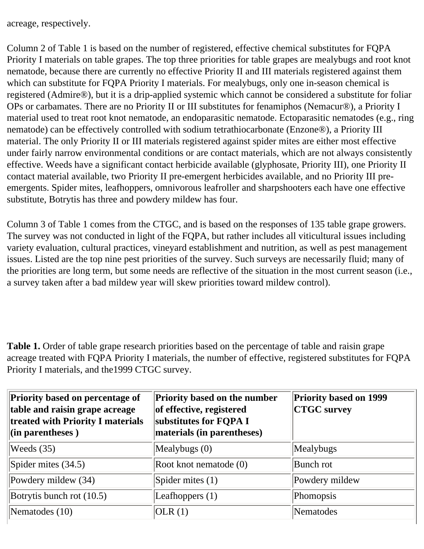acreage, respectively.

Column 2 of Table 1 is based on the number of registered, effective chemical substitutes for FQPA Priority I materials on table grapes. The top three priorities for table grapes are mealybugs and root knot nematode, because there are currently no effective Priority II and III materials registered against them which can substitute for FQPA Priority I materials. For mealybugs, only one in-season chemical is registered (Admire®), but it is a drip-applied systemic which cannot be considered a substitute for foliar OPs or carbamates. There are no Priority II or III substitutes for fenamiphos (Nemacur®), a Priority I material used to treat root knot nematode, an endoparasitic nematode. Ectoparasitic nematodes (e.g., ring nematode) can be effectively controlled with sodium tetrathiocarbonate (Enzone®), a Priority III material. The only Priority II or III materials registered against spider mites are either most effective under fairly narrow environmental conditions or are contact materials, which are not always consistently effective. Weeds have a significant contact herbicide available (glyphosate, Priority III), one Priority II contact material available, two Priority II pre-emergent herbicides available, and no Priority III preemergents. Spider mites, leafhoppers, omnivorous leafroller and sharpshooters each have one effective substitute, Botrytis has three and powdery mildew has four.

Column 3 of Table 1 comes from the CTGC, and is based on the responses of 135 table grape growers. The survey was not conducted in light of the FQPA, but rather includes all viticultural issues including variety evaluation, cultural practices, vineyard establishment and nutrition, as well as pest management issues. Listed are the top nine pest priorities of the survey. Such surveys are necessarily fluid; many of the priorities are long term, but some needs are reflective of the situation in the most current season (i.e., a survey taken after a bad mildew year will skew priorities toward mildew control).

**Table 1.** Order of table grape research priorities based on the percentage of table and raisin grape acreage treated with FQPA Priority I materials, the number of effective, registered substitutes for FQPA Priority I materials, and the1999 CTGC survey.

| Priority based on percentage of<br>table and raisin grape acreage<br>treated with Priority I materials<br>$\left  \text{(in parentheses)} \right\rangle$ | <b>Priority based on the number</b><br>of effective, registered<br>substitutes for FQPA I<br>materials (in parentheses) | <b>Priority based on 1999</b><br><b>CTGC</b> survey |
|----------------------------------------------------------------------------------------------------------------------------------------------------------|-------------------------------------------------------------------------------------------------------------------------|-----------------------------------------------------|
| Weeds $(35)$                                                                                                                                             | Mealybugs $(0)$                                                                                                         | Mealybugs                                           |
| Spider mites $(34.5)$                                                                                                                                    | Root knot nematode (0)                                                                                                  | Bunch rot                                           |
| Powdery mildew (34)                                                                                                                                      | Spider mites $(1)$                                                                                                      | Powdery mildew                                      |
| Botrytis bunch rot $(10.5)$                                                                                                                              | Leafhoppers $(1)$                                                                                                       | Phomopsis                                           |
| Nematodes (10)                                                                                                                                           | OLR(1)                                                                                                                  | Nematodes                                           |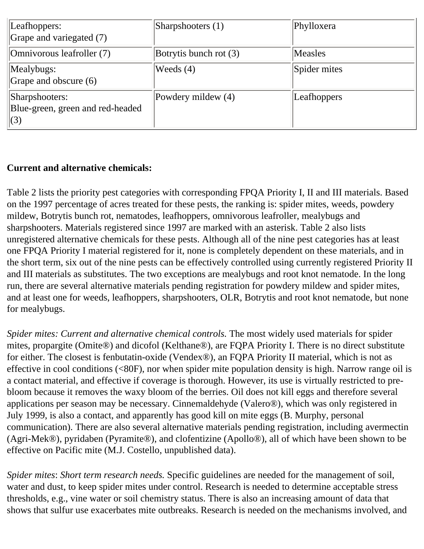| Leafhoppers:<br>Grape and variegated (7)                  | $\beta$ harpshooters (1) | Phylloxera   |
|-----------------------------------------------------------|--------------------------|--------------|
| Omnivorous leafroller (7)                                 | Botrytis bunch rot (3)   | Measles      |
| Mealybugs:<br>Grape and obscure (6)                       | Weeds $(4)$              | Spider mites |
| Sharpshooters:<br>Blue-green, green and red-headed<br>(3) | Powdery mildew (4)       | Leafhoppers  |

## **Current and alternative chemicals:**

Table 2 lists the priority pest categories with corresponding FPQA Priority I, II and III materials. Based on the 1997 percentage of acres treated for these pests, the ranking is: spider mites, weeds, powdery mildew, Botrytis bunch rot, nematodes, leafhoppers, omnivorous leafroller, mealybugs and sharpshooters. Materials registered since 1997 are marked with an asterisk. Table 2 also lists unregistered alternative chemicals for these pests. Although all of the nine pest categories has at least one FPQA Priority I material registered for it, none is completely dependent on these materials, and in the short term, six out of the nine pests can be effectively controlled using currently registered Priority II and III materials as substitutes. The two exceptions are mealybugs and root knot nematode. In the long run, there are several alternative materials pending registration for powdery mildew and spider mites, and at least one for weeds, leafhoppers, sharpshooters, OLR, Botrytis and root knot nematode, but none for mealybugs.

*Spider mites: Current and alternative chemical controls.* The most widely used materials for spider mites, propargite (Omite®) and dicofol (Kelthane®), are FQPA Priority I. There is no direct substitute for either. The closest is fenbutatin-oxide (Vendex®), an FQPA Priority II material, which is not as effective in cool conditions (<80F), nor when spider mite population density is high. Narrow range oil is a contact material, and effective if coverage is thorough. However, its use is virtually restricted to prebloom because it removes the waxy bloom of the berries. Oil does not kill eggs and therefore several applications per season may be necessary. Cinnemaldehyde (Valero®), which was only registered in July 1999, is also a contact, and apparently has good kill on mite eggs (B. Murphy, personal communication). There are also several alternative materials pending registration, including avermectin (Agri-Mek®), pyridaben (Pyramite®), and clofentizine (Apollo®), all of which have been shown to be effective on Pacific mite (M.J. Costello, unpublished data).

*Spider mites*: *Short term research needs.* Specific guidelines are needed for the management of soil, water and dust, to keep spider mites under control. Research is needed to determine acceptable stress thresholds, e.g., vine water or soil chemistry status. There is also an increasing amount of data that shows that sulfur use exacerbates mite outbreaks. Research is needed on the mechanisms involved, and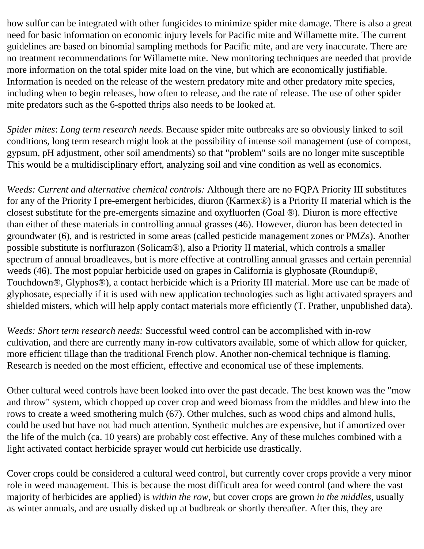how sulfur can be integrated with other fungicides to minimize spider mite damage. There is also a great need for basic information on economic injury levels for Pacific mite and Willamette mite. The current guidelines are based on binomial sampling methods for Pacific mite, and are very inaccurate. There are no treatment recommendations for Willamette mite. New monitoring techniques are needed that provide more information on the total spider mite load on the vine, but which are economically justifiable. Information is needed on the release of the western predatory mite and other predatory mite species, including when to begin releases, how often to release, and the rate of release. The use of other spider mite predators such as the 6-spotted thrips also needs to be looked at.

*Spider mites*: *Long term research needs.* Because spider mite outbreaks are so obviously linked to soil conditions, long term research might look at the possibility of intense soil management (use of compost, gypsum, pH adjustment, other soil amendments) so that "problem" soils are no longer mite susceptible This would be a multidisciplinary effort, analyzing soil and vine condition as well as economics.

*Weeds: Current and alternative chemical controls:* Although there are no FQPA Priority III substitutes for any of the Priority I pre-emergent herbicides, diuron (Karmex®) is a Priority II material which is the closest substitute for the pre-emergents simazine and oxyfluorfen (Goal ®). Diuron is more effective than either of these materials in controlling annual grasses (46). However, diuron has been detected in groundwater (6), and is restricted in some areas (called pesticide management zones or PMZs). Another possible substitute is norflurazon (Solicam®), also a Priority II material, which controls a smaller spectrum of annual broadleaves, but is more effective at controlling annual grasses and certain perennial weeds (46). The most popular herbicide used on grapes in California is glyphosate (Roundup®, Touchdown®, Glyphos®), a contact herbicide which is a Priority III material. More use can be made of glyphosate, especially if it is used with new application technologies such as light activated sprayers and shielded misters, which will help apply contact materials more efficiently (T. Prather, unpublished data).

*Weeds: Short term research needs:* Successful weed control can be accomplished with in-row cultivation, and there are currently many in-row cultivators available, some of which allow for quicker, more efficient tillage than the traditional French plow. Another non-chemical technique is flaming. Research is needed on the most efficient, effective and economical use of these implements.

Other cultural weed controls have been looked into over the past decade. The best known was the "mow and throw" system, which chopped up cover crop and weed biomass from the middles and blew into the rows to create a weed smothering mulch (67). Other mulches, such as wood chips and almond hulls, could be used but have not had much attention. Synthetic mulches are expensive, but if amortized over the life of the mulch (ca. 10 years) are probably cost effective. Any of these mulches combined with a light activated contact herbicide sprayer would cut herbicide use drastically.

Cover crops could be considered a cultural weed control, but currently cover crops provide a very minor role in weed management. This is because the most difficult area for weed control (and where the vast majority of herbicides are applied) is *within the row*, but cover crops are grown *in the middles,* usually as winter annuals, and are usually disked up at budbreak or shortly thereafter. After this, they are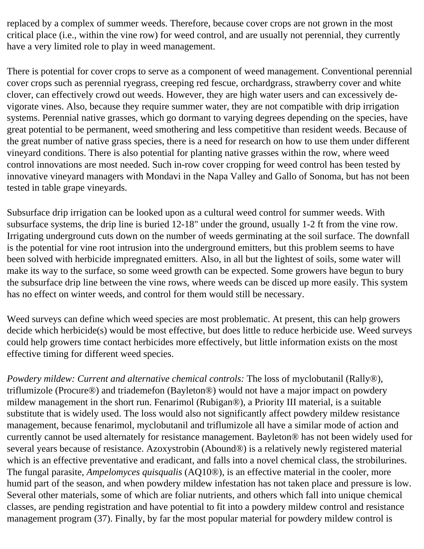replaced by a complex of summer weeds. Therefore, because cover crops are not grown in the most critical place (i.e., within the vine row) for weed control, and are usually not perennial, they currently have a very limited role to play in weed management.

There is potential for cover crops to serve as a component of weed management. Conventional perennial cover crops such as perennial ryegrass, creeping red fescue, orchardgrass, strawberry cover and white clover, can effectively crowd out weeds. However, they are high water users and can excessively devigorate vines. Also, because they require summer water, they are not compatible with drip irrigation systems. Perennial native grasses, which go dormant to varying degrees depending on the species, have great potential to be permanent, weed smothering and less competitive than resident weeds. Because of the great number of native grass species, there is a need for research on how to use them under different vineyard conditions. There is also potential for planting native grasses within the row, where weed control innovations are most needed. Such in-row cover cropping for weed control has been tested by innovative vineyard managers with Mondavi in the Napa Valley and Gallo of Sonoma, but has not been tested in table grape vineyards.

Subsurface drip irrigation can be looked upon as a cultural weed control for summer weeds. With subsurface systems, the drip line is buried 12-18" under the ground, usually 1-2 ft from the vine row. Irrigating underground cuts down on the number of weeds germinating at the soil surface. The downfall is the potential for vine root intrusion into the underground emitters, but this problem seems to have been solved with herbicide impregnated emitters. Also, in all but the lightest of soils, some water will make its way to the surface, so some weed growth can be expected. Some growers have begun to bury the subsurface drip line between the vine rows, where weeds can be disced up more easily. This system has no effect on winter weeds, and control for them would still be necessary.

Weed surveys can define which weed species are most problematic. At present, this can help growers decide which herbicide(s) would be most effective, but does little to reduce herbicide use. Weed surveys could help growers time contact herbicides more effectively, but little information exists on the most effective timing for different weed species.

*Powdery mildew: Current and alternative chemical controls:* The loss of myclobutanil (Rally®), triflumizole (Procure®) and triademefon (Bayleton®) would not have a major impact on powdery mildew management in the short run. Fenarimol (Rubigan®), a Priority III material, is a suitable substitute that is widely used. The loss would also not significantly affect powdery mildew resistance management, because fenarimol, myclobutanil and triflumizole all have a similar mode of action and currently cannot be used alternately for resistance management. Bayleton® has not been widely used for several years because of resistance. Azoxystrobin (Abound®) is a relatively newly registered material which is an effective preventative and eradicant, and falls into a novel chemical class, the strobilurines. The fungal parasite, *Ampelomyces quisqualis* (AQ10®)*,* is an effective material in the cooler, more humid part of the season, and when powdery mildew infestation has not taken place and pressure is low. Several other materials, some of which are foliar nutrients, and others which fall into unique chemical classes, are pending registration and have potential to fit into a powdery mildew control and resistance management program (37). Finally, by far the most popular material for powdery mildew control is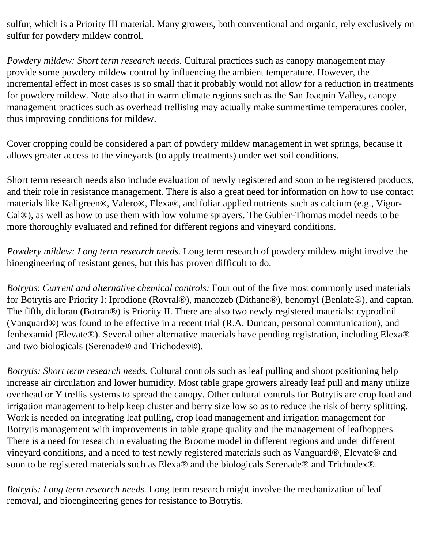sulfur, which is a Priority III material. Many growers, both conventional and organic, rely exclusively on sulfur for powdery mildew control.

*Powdery mildew: Short term research needs.* Cultural practices such as canopy management may provide some powdery mildew control by influencing the ambient temperature. However, the incremental effect in most cases is so small that it probably would not allow for a reduction in treatments for powdery mildew. Note also that in warm climate regions such as the San Joaquin Valley, canopy management practices such as overhead trellising may actually make summertime temperatures cooler, thus improving conditions for mildew.

Cover cropping could be considered a part of powdery mildew management in wet springs, because it allows greater access to the vineyards (to apply treatments) under wet soil conditions.

Short term research needs also include evaluation of newly registered and soon to be registered products, and their role in resistance management. There is also a great need for information on how to use contact materials like Kaligreen®, Valero®, Elexa®, and foliar applied nutrients such as calcium (e.g., Vigor-Cal®), as well as how to use them with low volume sprayers. The Gubler-Thomas model needs to be more thoroughly evaluated and refined for different regions and vineyard conditions.

*Powdery mildew: Long term research needs.* Long term research of powdery mildew might involve the bioengineering of resistant genes, but this has proven difficult to do.

*Botrytis*: *Current and alternative chemical controls:* Four out of the five most commonly used materials for Botrytis are Priority I: Iprodione (Rovral®), mancozeb (Dithane®), benomyl (Benlate®), and captan. The fifth, dicloran (Botran®) is Priority II. There are also two newly registered materials: cyprodinil (Vanguard®) was found to be effective in a recent trial (R.A. Duncan, personal communication), and fenhexamid (Elevate®). Several other alternative materials have pending registration, including Elexa® and two biologicals (Serenade® and Trichodex®).

*Botrytis: Short term research needs.* Cultural controls such as leaf pulling and shoot positioning help increase air circulation and lower humidity. Most table grape growers already leaf pull and many utilize overhead or Y trellis systems to spread the canopy. Other cultural controls for Botrytis are crop load and irrigation management to help keep cluster and berry size low so as to reduce the risk of berry splitting. Work is needed on integrating leaf pulling, crop load management and irrigation management for Botrytis management with improvements in table grape quality and the management of leafhoppers. There is a need for research in evaluating the Broome model in different regions and under different vineyard conditions, and a need to test newly registered materials such as Vanguard®, Elevate® and soon to be registered materials such as Elexa® and the biologicals Serenade® and Trichodex®.

*Botrytis: Long term research needs.* Long term research might involve the mechanization of leaf removal, and bioengineering genes for resistance to Botrytis.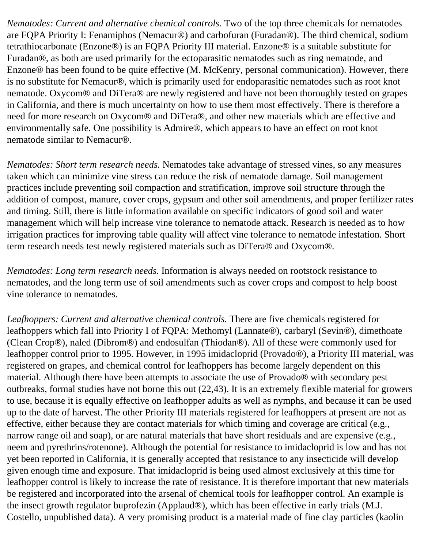*Nematodes: Current and alternative chemical controls.* Two of the top three chemicals for nematodes are FQPA Priority I: Fenamiphos (Nemacur®) and carbofuran (Furadan®). The third chemical, sodium tetrathiocarbonate (Enzone®) is an FQPA Priority III material. Enzone® is a suitable substitute for Furadan®, as both are used primarily for the ectoparasitic nematodes such as ring nematode, and Enzone® has been found to be quite effective (M. McKenry, personal communication). However, there is no substitute for Nemacur®, which is primarily used for endoparasitic nematodes such as root knot nematode. Oxycom® and DiTera® are newly registered and have not been thoroughly tested on grapes in California, and there is much uncertainty on how to use them most effectively. There is therefore a need for more research on Oxycom® and DiTera®, and other new materials which are effective and environmentally safe. One possibility is Admire®, which appears to have an effect on root knot nematode similar to Nemacur®.

*Nematodes: Short term research needs.* Nematodes take advantage of stressed vines, so any measures taken which can minimize vine stress can reduce the risk of nematode damage. Soil management practices include preventing soil compaction and stratification, improve soil structure through the addition of compost, manure, cover crops, gypsum and other soil amendments, and proper fertilizer rates and timing. Still, there is little information available on specific indicators of good soil and water management which will help increase vine tolerance to nematode attack. Research is needed as to how irrigation practices for improving table quality will affect vine tolerance to nematode infestation. Short term research needs test newly registered materials such as DiTera® and Oxycom®.

*Nematodes: Long term research needs.* Information is always needed on rootstock resistance to nematodes, and the long term use of soil amendments such as cover crops and compost to help boost vine tolerance to nematodes.

*Leafhoppers: Current and alternative chemical controls.* There are five chemicals registered for leafhoppers which fall into Priority I of FQPA: Methomyl (Lannate®), carbaryl (Sevin®), dimethoate (Clean Crop®), naled (Dibrom®) and endosulfan (Thiodan®). All of these were commonly used for leafhopper control prior to 1995. However, in 1995 imidacloprid (Provado®), a Priority III material, was registered on grapes, and chemical control for leafhoppers has become largely dependent on this material. Although there have been attempts to associate the use of Provado® with secondary pest outbreaks, formal studies have not borne this out (22,43). It is an extremely flexible material for growers to use, because it is equally effective on leafhopper adults as well as nymphs, and because it can be used up to the date of harvest. The other Priority III materials registered for leafhoppers at present are not as effective, either because they are contact materials for which timing and coverage are critical (e.g., narrow range oil and soap), or are natural materials that have short residuals and are expensive (e.g., neem and pyrethrins/rotenone). Although the potential for resistance to imidacloprid is low and has not yet been reported in California, it is generally accepted that resistance to any insecticide will develop given enough time and exposure. That imidacloprid is being used almost exclusively at this time for leafhopper control is likely to increase the rate of resistance. It is therefore important that new materials be registered and incorporated into the arsenal of chemical tools for leafhopper control. An example is the insect growth regulator buprofezin (Applaud®), which has been effective in early trials (M.J. Costello, unpublished data). A very promising product is a material made of fine clay particles (kaolin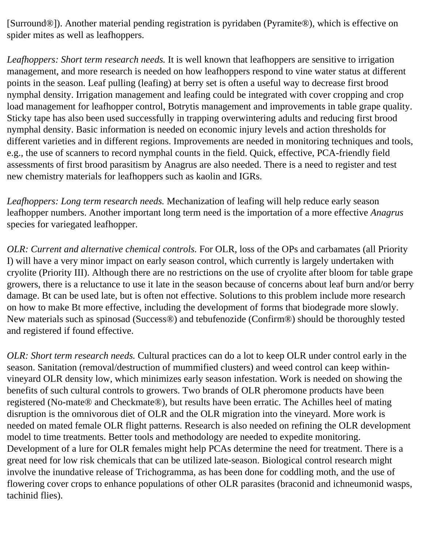[Surround®]). Another material pending registration is pyridaben (Pyramite®), which is effective on spider mites as well as leafhoppers.

*Leafhoppers: Short term research needs.* It is well known that leafhoppers are sensitive to irrigation management, and more research is needed on how leafhoppers respond to vine water status at different points in the season. Leaf pulling (leafing) at berry set is often a useful way to decrease first brood nymphal density. Irrigation management and leafing could be integrated with cover cropping and crop load management for leafhopper control, Botrytis management and improvements in table grape quality. Sticky tape has also been used successfully in trapping overwintering adults and reducing first brood nymphal density. Basic information is needed on economic injury levels and action thresholds for different varieties and in different regions. Improvements are needed in monitoring techniques and tools, e.g., the use of scanners to record nymphal counts in the field. Quick, effective, PCA-friendly field assessments of first brood parasitism by Anagrus are also needed. There is a need to register and test new chemistry materials for leafhoppers such as kaolin and IGRs.

*Leafhoppers: Long term research needs.* Mechanization of leafing will help reduce early season leafhopper numbers. Another important long term need is the importation of a more effective *Anagrus* species for variegated leafhopper.

*OLR: Current and alternative chemical controls.* For OLR, loss of the OPs and carbamates (all Priority I) will have a very minor impact on early season control, which currently is largely undertaken with cryolite (Priority III). Although there are no restrictions on the use of cryolite after bloom for table grape growers, there is a reluctance to use it late in the season because of concerns about leaf burn and/or berry damage. Bt can be used late, but is often not effective. Solutions to this problem include more research on how to make Bt more effective, including the development of forms that biodegrade more slowly. New materials such as spinosad (Success®) and tebufenozide (Confirm®) should be thoroughly tested and registered if found effective.

*OLR: Short term research needs.* Cultural practices can do a lot to keep OLR under control early in the season. Sanitation (removal/destruction of mummified clusters) and weed control can keep withinvineyard OLR density low, which minimizes early season infestation. Work is needed on showing the benefits of such cultural controls to growers. Two brands of OLR pheromone products have been registered (No-mate® and Checkmate®), but results have been erratic. The Achilles heel of mating disruption is the omnivorous diet of OLR and the OLR migration into the vineyard. More work is needed on mated female OLR flight patterns. Research is also needed on refining the OLR development model to time treatments. Better tools and methodology are needed to expedite monitoring. Development of a lure for OLR females might help PCAs determine the need for treatment. There is a great need for low risk chemicals that can be utilized late-season. Biological control research might involve the inundative release of Trichogramma, as has been done for coddling moth, and the use of flowering cover crops to enhance populations of other OLR parasites (braconid and ichneumonid wasps, tachinid flies).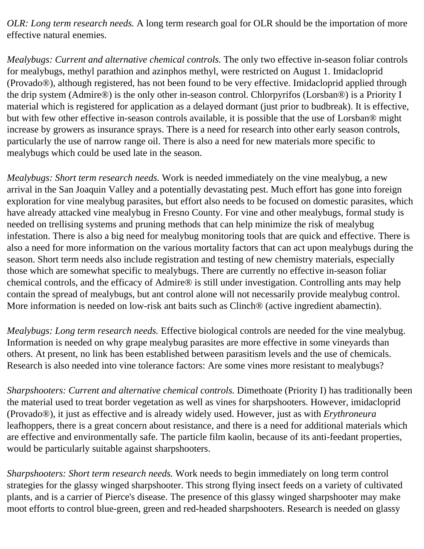*OLR: Long term research needs.* A long term research goal for OLR should be the importation of more effective natural enemies.

*Mealybugs: Current and alternative chemical controls.* The only two effective in-season foliar controls for mealybugs, methyl parathion and azinphos methyl, were restricted on August 1. Imidacloprid (Provado®), although registered, has not been found to be very effective. Imidacloprid applied through the drip system (Admire®) is the only other in-season control. Chlorpyrifos (Lorsban®) is a Priority I material which is registered for application as a delayed dormant (just prior to budbreak). It is effective, but with few other effective in-season controls available, it is possible that the use of Lorsban® might increase by growers as insurance sprays. There is a need for research into other early season controls, particularly the use of narrow range oil. There is also a need for new materials more specific to mealybugs which could be used late in the season.

*Mealybugs: Short term research needs.* Work is needed immediately on the vine mealybug, a new arrival in the San Joaquin Valley and a potentially devastating pest. Much effort has gone into foreign exploration for vine mealybug parasites, but effort also needs to be focused on domestic parasites, which have already attacked vine mealybug in Fresno County. For vine and other mealybugs, formal study is needed on trellising systems and pruning methods that can help minimize the risk of mealybug infestation. There is also a big need for mealybug monitoring tools that are quick and effective. There is also a need for more information on the various mortality factors that can act upon mealybugs during the season. Short term needs also include registration and testing of new chemistry materials, especially those which are somewhat specific to mealybugs. There are currently no effective in-season foliar chemical controls, and the efficacy of Admire® is still under investigation. Controlling ants may help contain the spread of mealybugs, but ant control alone will not necessarily provide mealybug control. More information is needed on low-risk ant baits such as Clinch<sup>®</sup> (active ingredient abamectin).

*Mealybugs: Long term research needs.* Effective biological controls are needed for the vine mealybug. Information is needed on why grape mealybug parasites are more effective in some vineyards than others. At present, no link has been established between parasitism levels and the use of chemicals. Research is also needed into vine tolerance factors: Are some vines more resistant to mealybugs?

*Sharpshooters: Current and alternative chemical controls.* Dimethoate (Priority I) has traditionally been the material used to treat border vegetation as well as vines for sharpshooters. However, imidacloprid (Provado®), it just as effective and is already widely used. However, just as with *Erythroneura* leafhoppers, there is a great concern about resistance, and there is a need for additional materials which are effective and environmentally safe. The particle film kaolin, because of its anti-feedant properties, would be particularly suitable against sharpshooters.

*Sharpshooters: Short term research needs.* Work needs to begin immediately on long term control strategies for the glassy winged sharpshooter. This strong flying insect feeds on a variety of cultivated plants, and is a carrier of Pierce's disease. The presence of this glassy winged sharpshooter may make moot efforts to control blue-green, green and red-headed sharpshooters. Research is needed on glassy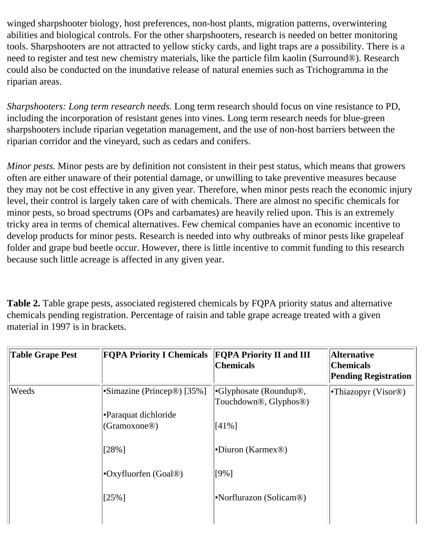winged sharpshooter biology, host preferences, non-host plants, migration patterns, overwintering abilities and biological controls. For the other sharpshooters, research is needed on better monitoring tools. Sharpshooters are not attracted to yellow sticky cards, and light traps are a possibility. There is a need to register and test new chemistry materials, like the particle film kaolin (Surround®). Research could also be conducted on the inundative release of natural enemies such as Trichogramma in the riparian areas.

*Sharpshooters: Long term research needs.* Long term research should focus on vine resistance to PD, including the incorporation of resistant genes into vines. Long term research needs for blue-green sharpshooters include riparian vegetation management, and the use of non-host barriers between the riparian corridor and the vineyard, such as cedars and conifers.

*Minor pests.* Minor pests are by definition not consistent in their pest status, which means that growers often are either unaware of their potential damage, or unwilling to take preventive measures because they may not be cost effective in any given year. Therefore, when minor pests reach the economic injury level, their control is largely taken care of with chemicals. There are almost no specific chemicals for minor pests, so broad spectrums (OPs and carbamates) are heavily relied upon. This is an extremely tricky area in terms of chemical alternatives. Few chemical companies have an economic incentive to develop products for minor pests. Research is needed into why outbreaks of minor pests like grapeleaf folder and grape bud beetle occur. However, there is little incentive to commit funding to this research because such little acreage is affected in any given year.

**Table 2.** Table grape pests, associated registered chemicals by FQPA priority status and alternative chemicals pending registration. Percentage of raisin and table grape acreage treated with a given material in 1997 is in brackets.

| <b>Table Grape Pest</b> | <b>FQPA Priority I Chemicals</b>                        | <b>FOPA Priority II and III</b><br><b>Chemicals</b>                  | <b>Alternative</b><br><b>Chemicals</b><br><b>Pending Registration</b> |
|-------------------------|---------------------------------------------------------|----------------------------------------------------------------------|-----------------------------------------------------------------------|
| Weeds                   | $\cdot$ Simazine (Princep <sup>®</sup> ) [35%]          | $\cdot$ Glyphosate (Roundup <sup>®)</sup> ,<br>Touchdown®, Glyphos®) | • Thiazopyr (Visor <sup>®)</sup>                                      |
|                         | <b>Paraquat dichloride</b><br>(Gramoxone <sup>®</sup> ) | $[41\%]$                                                             |                                                                       |
|                         | $[28\%]$                                                | •Diuron (Karmex <sup>®)</sup>                                        |                                                                       |
|                         | $\cdot$ Oxyfluorfen (Goal <sup>®)</sup>                 | $[9\%]$                                                              |                                                                       |
|                         | $[25\%]$                                                | •Norflurazon (Solicam <sup>®)</sup>                                  |                                                                       |
|                         |                                                         |                                                                      |                                                                       |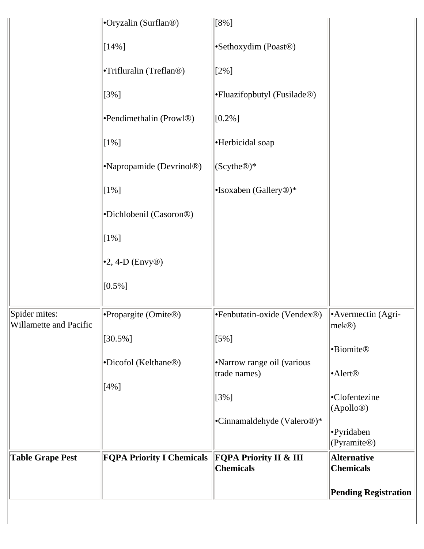|                         |                                      |                                           | <b>Pending Registration</b>                   |
|-------------------------|--------------------------------------|-------------------------------------------|-----------------------------------------------|
|                         |                                      | <b>Chemicals</b>                          | <b>Chemicals</b>                              |
| <b>Table Grape Pest</b> | <b>FQPA Priority I Chemicals</b>     | <b>FQPA Priority II &amp; III</b>         | (Pyramite <sup>®)</sup><br><b>Alternative</b> |
|                         |                                      | •Cinnamaldehyde (Valero <sup>®</sup> )*   | •Pyridaben                                    |
|                         |                                      | $[3\%]$                                   | •Clofentezine<br>(Apollo@)                    |
|                         | $[4\%]$                              |                                           |                                               |
|                         | •Dicofol (Kelthane <sup>®)</sup>     | Narrow range oil (various<br>trade names) | •Alert <sup>®</sup>                           |
|                         | $[30.5\%]$                           | $[5\%]$                                   | •Biomite®                                     |
| Willamette and Pacific  | Propargite (Omite®)                  | •Fenbutatin-oxide (Vendex®)               | $ mek$ <sup>(®)</sup>                         |
| Spider mites:           |                                      |                                           | •Avermectin (Agri-                            |
|                         | $[0.5\%]$                            |                                           |                                               |
|                         | $\cdot$ 2, 4-D (Envy®)               |                                           |                                               |
|                         | $[1\%]$                              |                                           |                                               |
|                         | •Dichlobenil (Casoron <sup>®)</sup>  |                                           |                                               |
|                         | $[1\%]$                              | •Isoxaben (Gallery <sup>®</sup> )*        |                                               |
|                         | •Napropamide (Devrinol <sup>®)</sup> | $ $ (Scythe <sup>®</sup> )*               |                                               |
|                         | $[1\%]$                              | ·Herbicidal soap                          |                                               |
|                         | •Pendimethalin (Prowl®)              | $[0.2\%]$                                 |                                               |
|                         | $[3\%]$                              | •Fluazifopbutyl (Fusilade <sup>®)</sup>   |                                               |
|                         | •Trifluralin (Treflan®)              | $[2\%]$                                   |                                               |
|                         | $[14\%]$                             | •Sethoxydim (Poast <sup>®)</sup>          |                                               |
|                         | •Oryzalin (Surflan <sup>®)</sup>     | $[8\%]$                                   |                                               |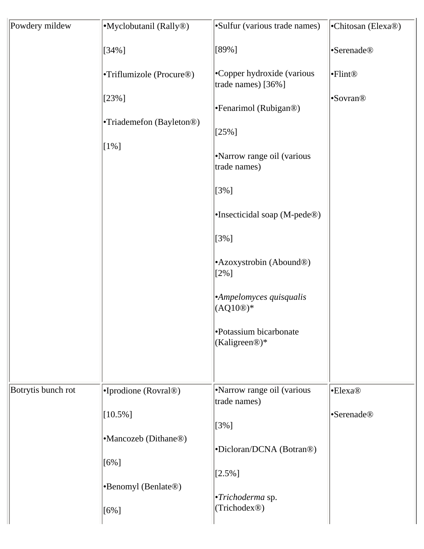| Powdery mildew     | •Myclobutanil (Rally <sup>®)</sup> | •Sulfur (various trade names)                        | •Chitosan (Elexa®)     |
|--------------------|------------------------------------|------------------------------------------------------|------------------------|
|                    |                                    |                                                      |                        |
|                    | $[34\%]$                           | [89%]                                                | •Serenade <sup>®</sup> |
|                    | •Triflumizole (Procure®)           | •Copper hydroxide (various<br>trade names) [36%]     | •Flint®                |
|                    | $[23\%]$                           | •Fenarimol (Rubigan®)                                | •Sovran <sup>®</sup>   |
|                    | •Triademefon (Bayleton®)           |                                                      |                        |
|                    | $[1\%]$                            | $[25\%]$                                             |                        |
|                    |                                    | •Narrow range oil (various<br>trade names)           |                        |
|                    |                                    | $[3\%]$                                              |                        |
|                    |                                    | •Insecticidal soap (M-pede®)                         |                        |
|                    |                                    | $[3\%]$                                              |                        |
|                    |                                    | • Azoxystrobin (Abound <sup>®)</sup><br>$[2\%]$      |                        |
|                    |                                    | ·Ampelomyces quisqualis<br>$(AQ10@)*$                |                        |
|                    |                                    | •Potassium bicarbonate<br>(Kaligreen <sup>®</sup> )* |                        |
|                    |                                    |                                                      |                        |
| Botrytis bunch rot | •Iprodione (Rovral®)               | •Narrow range oil (various<br>trade names)           | •Elexa <sup>®</sup>    |
|                    | $[10.5\%]$                         |                                                      | •Serenade <sup>®</sup> |
|                    | •Mancozeb (Dithane <sup>®)</sup>   | $[3\%]$                                              |                        |
|                    |                                    | •Dicloran/DCNA (Botran®)                             |                        |
|                    | $[6\%]$                            | $[2.5\%]$                                            |                        |
|                    | •Benomyl (Benlate®)                |                                                      |                        |
|                    | $[6\%]$                            | $\cdot$ Trichoderma sp.<br>(Trichodex <sup>®</sup> ) |                        |
|                    |                                    |                                                      |                        |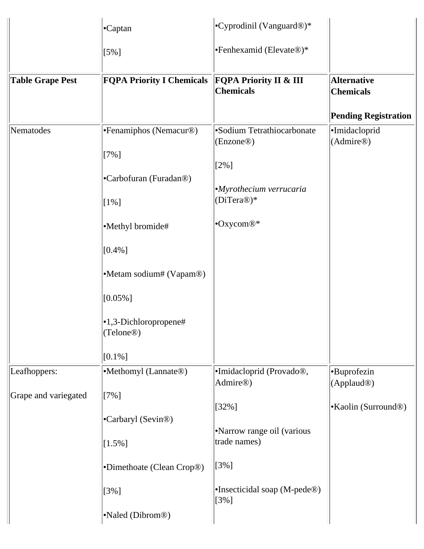|                         | •Captan                                        | $\cdot$ Cyprodinil (Vanguard®)*                       |                                        |
|-------------------------|------------------------------------------------|-------------------------------------------------------|----------------------------------------|
|                         | $[5\%]$                                        | •Fenhexamid (Elevate®)*                               |                                        |
| <b>Table Grape Pest</b> | <b>FQPA Priority I Chemicals</b>               | <b>FQPA Priority II &amp; III</b><br><b>Chemicals</b> | <b>Alternative</b><br><b>Chemicals</b> |
|                         |                                                |                                                       | <b>Pending Registration</b>            |
| Nematodes               | •Fenamiphos (Nemacur®)                         | •Sodium Tetrathiocarbonate<br>(Enzone <sup>®</sup> )  | ·Imidacloprid<br>(Admire@)             |
|                         | $[7\%]$                                        | $[2\%]$                                               |                                        |
|                         | •Carbofuran (Furadan®)                         |                                                       |                                        |
|                         | $[1\%]$                                        | ·Myrothecium verrucaria<br>(DiTera®)*                 |                                        |
|                         | •Methyl bromide#                               | •Oxycom®*                                             |                                        |
|                         | $[0.4\%]$                                      |                                                       |                                        |
|                         | •Metam sodium# (Vapam®)                        |                                                       |                                        |
|                         | $[0.05\%]$                                     |                                                       |                                        |
|                         | •1,3-Dichloropropene#<br>(Telone <sup>®)</sup> |                                                       |                                        |
|                         | $[0.1\%]$                                      |                                                       |                                        |
| Leafhoppers:            | •Methomyl (Lannate®)                           | ·Imidacloprid (Provado®,<br>Admire®)                  | •Buprofezin<br>(Applaud <sup>®</sup> ) |
| Grape and variegated    | $[7\%]$                                        |                                                       |                                        |
|                         | •Carbaryl (Sevin®)                             | $[32\%]$                                              | •Kaolin (Surround <sup>®)</sup>        |
|                         | $[1.5\%]$                                      | •Narrow range oil (various<br>trade names)            |                                        |
|                         | •Dimethoate (Clean Crop®)                      | $[3\%]$                                               |                                        |
|                         | $[3\%]$                                        | •Insecticidal soap (M-pede®)<br>$[3\%]$               |                                        |
|                         | •Naled (Dibrom <sup>®)</sup>                   |                                                       |                                        |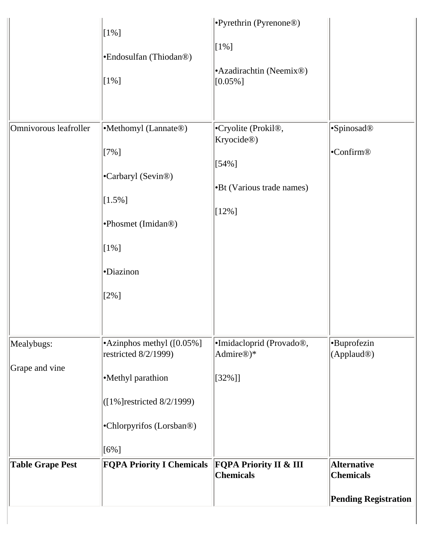|                              | $[1\%]$<br>•Endosulfan (Thiodan®)<br>$[1\%]$                                                                                                | Pyrethrin (Pyrenone <sup>®)</sup><br>$[1\%]$<br>• Azadirachtin (Neemix <sup>®)</sup><br>$[0.05\%]$                      |                                                                       |
|------------------------------|---------------------------------------------------------------------------------------------------------------------------------------------|-------------------------------------------------------------------------------------------------------------------------|-----------------------------------------------------------------------|
| Omnivorous leafroller        | •Methomyl (Lannate®)<br>$[7\%]$<br>•Carbaryl (Sevin®)<br>$[1.5\%]$<br>•Phosmet (Imidan®)<br>$[1\%]$<br>·Diazinon<br>$[2\%]$                 | •Cryolite (Prokil <sup>®</sup> ,<br>Kryocide <sup>®</sup> )<br>$[54\%]$<br><b>B</b> t (Various trade names)<br>$[12\%]$ | ·Spinosad <sup>®</sup><br>•Confirm <sup>®</sup>                       |
| Mealybugs:<br>Grape and vine | •Azinphos methyl ([0.05%]<br>restricted 8/2/1999)<br>•Methyl parathion<br>([1%] restricted 8/2/1999)<br>•Chlorpyrifos (Lorsban®)<br>$[6\%]$ | ·Imidacloprid (Provado®,<br>Admire <sup>®</sup> )*<br>$[32\%]$                                                          | •Buprofezin<br>(Applaud <sup>®</sup> )                                |
| <b>Table Grape Pest</b>      | <b>FQPA Priority I Chemicals</b>                                                                                                            | <b>FQPA Priority II &amp; III</b><br><b>Chemicals</b>                                                                   | <b>Alternative</b><br><b>Chemicals</b><br><b>Pending Registration</b> |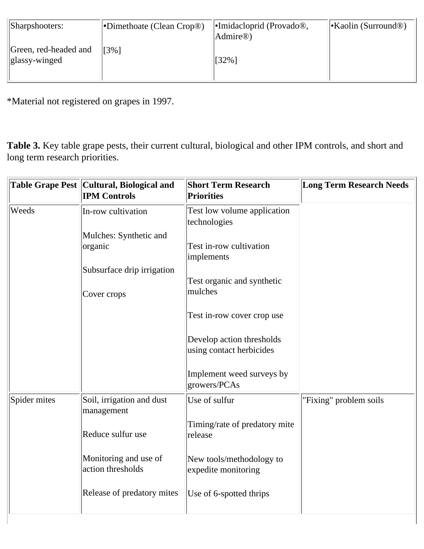| Sharpshooters:                         | •Dimethoate (Clean Crop®) | $\lvert \cdot \rvert$ -Imidacloprid (Provado <sup>®</sup> ),<br>Admire <sup>®</sup> ) | $\cdot$ Kaolin (Surround <sup>®)</sup> |
|----------------------------------------|---------------------------|---------------------------------------------------------------------------------------|----------------------------------------|
| Green, red-headed and<br>glassy-winged | 13%1                      | $[32\%]$                                                                              |                                        |

\*Material not registered on grapes in 1997.

**Table 3.** Key table grape pests, their current cultural, biological and other IPM controls, and short and long term research priorities.

|              | Table Grape Pest Cultural, Biological and<br><b>IPM Controls</b> | <b>Short Term Research</b><br><b>Priorities</b>       | <b>Long Term Research Needs</b> |
|--------------|------------------------------------------------------------------|-------------------------------------------------------|---------------------------------|
| Weeds        | In-row cultivation                                               | Test low volume application<br>technologies           |                                 |
|              | Mulches: Synthetic and                                           |                                                       |                                 |
|              | organic                                                          | Test in-row cultivation<br>implements                 |                                 |
|              | Subsurface drip irrigation                                       |                                                       |                                 |
|              |                                                                  | Test organic and synthetic                            |                                 |
|              | Cover crops                                                      | mulches                                               |                                 |
|              |                                                                  | Test in-row cover crop use                            |                                 |
|              |                                                                  | Develop action thresholds<br>using contact herbicides |                                 |
|              |                                                                  | Implement weed surveys by<br>growers/PCAs             |                                 |
| Spider mites | Soil, irrigation and dust<br>management                          | Use of sulfur                                         | "Fixing" problem soils          |
|              | Reduce sulfur use                                                | Timing/rate of predatory mite<br>release              |                                 |
|              | Monitoring and use of<br>action thresholds                       | New tools/methodology to<br>expedite monitoring       |                                 |
|              | Release of predatory mites                                       | Use of 6-spotted thrips                               |                                 |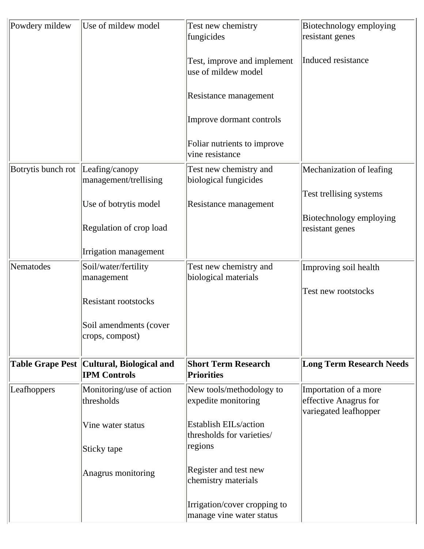| Powdery mildew          | Use of mildew model                             | Test new chemistry<br>fungicides                          | Biotechnology employing<br>resistant genes                              |
|-------------------------|-------------------------------------------------|-----------------------------------------------------------|-------------------------------------------------------------------------|
|                         |                                                 | Test, improve and implement<br>use of mildew model        | Induced resistance                                                      |
|                         |                                                 | Resistance management                                     |                                                                         |
|                         |                                                 | Improve dormant controls                                  |                                                                         |
|                         |                                                 | Foliar nutrients to improve<br>vine resistance            |                                                                         |
| Botrytis bunch rot      | Leafing/canopy<br>management/trellising         | Test new chemistry and<br>biological fungicides           | Mechanization of leafing                                                |
|                         | Use of botrytis model                           | Resistance management                                     | Test trellising systems                                                 |
|                         | Regulation of crop load                         |                                                           | Biotechnology employing<br>resistant genes                              |
|                         | Irrigation management                           |                                                           |                                                                         |
| Nematodes               | Soil/water/fertility<br>management              | Test new chemistry and<br>biological materials            | Improving soil health                                                   |
|                         | <b>Resistant rootstocks</b>                     |                                                           | Test new rootstocks                                                     |
|                         | Soil amendments (cover<br>crops, compost)       |                                                           |                                                                         |
| <b>Table Grape Pest</b> | Cultural, Biological and<br><b>IPM Controls</b> | <b>Short Term Research</b><br><b>Priorities</b>           | <b>Long Term Research Needs</b>                                         |
| Leafhoppers             | Monitoring/use of action<br>thresholds          | New tools/methodology to<br>expedite monitoring           | Importation of a more<br>effective Anagrus for<br>variegated leafhopper |
|                         | Vine water status                               | <b>Establish EILs/action</b><br>thresholds for varieties/ |                                                                         |
|                         | Sticky tape                                     | regions                                                   |                                                                         |
|                         | Anagrus monitoring                              | Register and test new<br>chemistry materials              |                                                                         |
|                         |                                                 | Irrigation/cover cropping to<br>manage vine water status  |                                                                         |